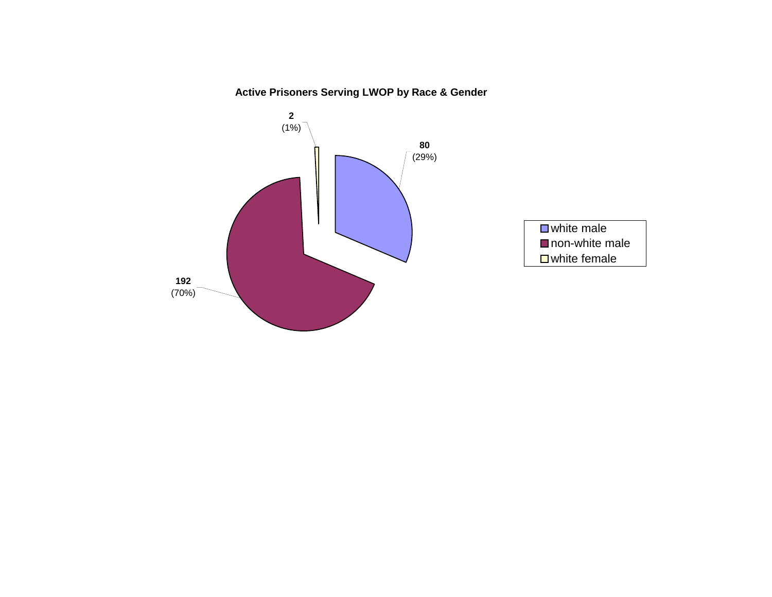# **Active Prisoners Serving LWOP by Race & Gender**

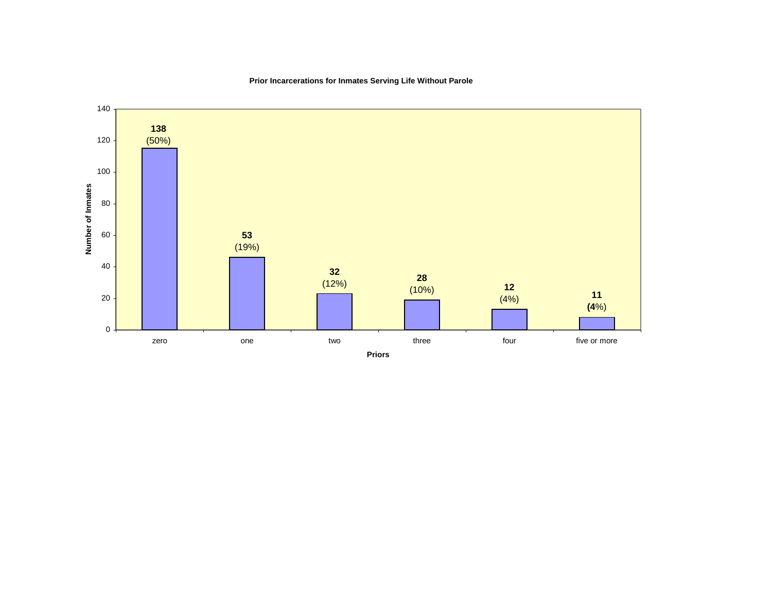

# **Prior Incarcerations for Inmates Serving Life Without Parole**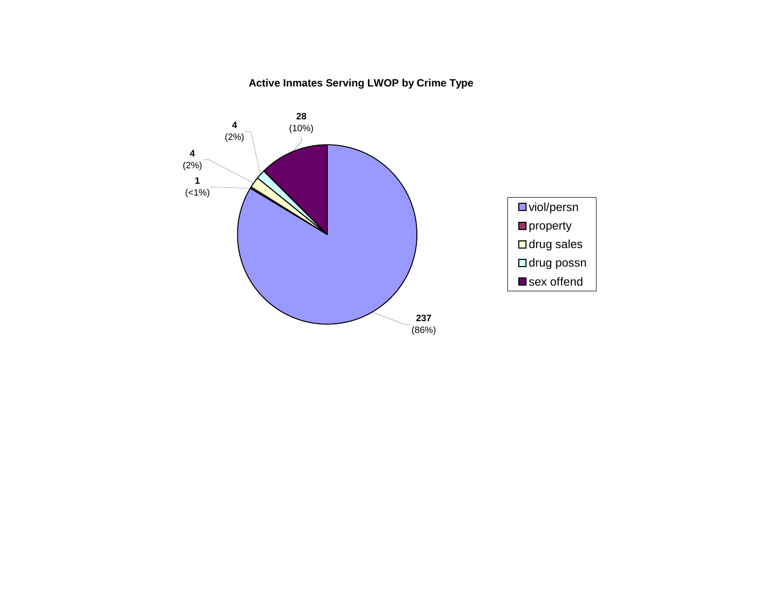# **Active Inmates Serving LWOP by Crime Type**

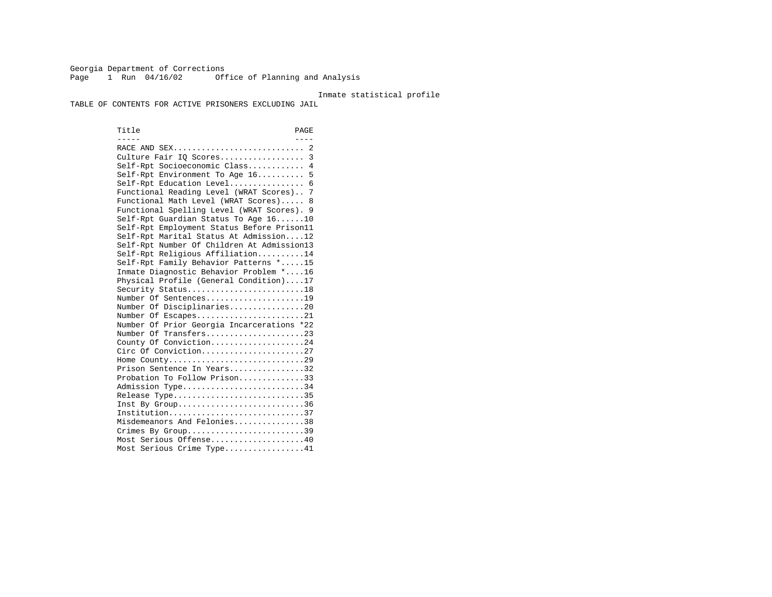Georgia Department of Corrections Page 1 Run 04/16/02 Office of Planning and Analysis

#### Inmate statistical profile

TABLE OF CONTENTS FOR ACTIVE PRISONERS EXCLUDING JAIL

Title PAGE ----- ---- RACE AND SEX............................ 2 Culture Fair IQ Scores.................. 3 Self-Rpt Socioeconomic Class............ 4 Self-Rpt Environment To Age 16.......... 5 Self-Rpt Education Level................ 6 Functional Reading Level (WRAT Scores).. 7 Functional Math Level (WRAT Scores)..... 8 Functional Spelling Level (WRAT Scores). 9 Self-Rpt Guardian Status To Age 16......10 Self-Rpt Employment Status Before Prison11 Self-Rpt Marital Status At Admission....12 Self-Rpt Number Of Children At Admission13 Self-Rpt Religious Affiliation..........14 Self-Rpt Family Behavior Patterns \*.....15 Inmate Diagnostic Behavior Problem \*....16 Physical Profile (General Condition)....17 Security Status...........................18 Number Of Sentences.....................19 Number Of Disciplinaries................20 Number Of Escapes........................21 Number Of Prior Georgia Incarcerations \*22 Number Of Transfers.....................23 County Of Conviction....................24 Circ Of Conviction......................27 Home County.............................29 Prison Sentence In Years.................32 Probation To Follow Prison..............33Admission Type............................34 Release Type..............................35 Inst By Group..............................36 Institution.............................37 Misdemeanors And Felonies...............38 Crimes By Group.............................39 Most Serious Offense....................40 Most Serious Crime Type.................41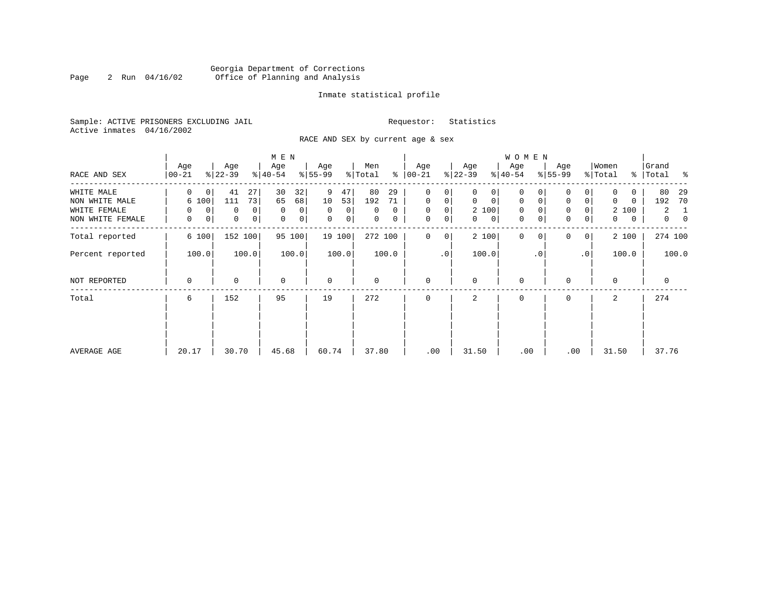# Georgia Department of Corrections Page 2 Run 04/16/02 Office of Planning and Analysis

#### Inmate statistical profile

Sample: ACTIVE PRISONERS EXCLUDING JAIL **Requestor:** Statistics Active inmates 04/16/2002

RACE AND SEX by current age & sex

|                  |                    |                            | M E N            |                      |                     |                  |                             | W O M E N                  |                            |                  |                                  |
|------------------|--------------------|----------------------------|------------------|----------------------|---------------------|------------------|-----------------------------|----------------------------|----------------------------|------------------|----------------------------------|
| RACE AND SEX     | Age<br>$ 00 - 21 $ | Age<br>$ 22-39 $           | Age<br>$ 40-54 $ | Age<br>$8 55-99$     | Men<br>ႜ<br>% Total | Age<br>$ 00-21 $ | Age<br>$ 22-39 $            | Age<br>$ 40-54 $           | Age<br>$8 55-99$           | Women<br>% Total | Grand<br>%   Total<br>ಿ          |
| WHITE MALE       | 0<br>0             | 41<br>27                   | 30<br>32         | 9<br>47              | 80<br>29            | 0<br>0           | 0                           | 0                          |                            | 0                | 80<br>29                         |
| NON WHITE MALE   | 6 100              | 73<br>111                  | 65<br>68         | 10<br>53             | 192<br>71           | $\mathbf 0$<br>0 | $\mathbf 0$<br>$\mathbf{0}$ | 0<br>0                     | $\mathbf 0$<br>0           | 0<br>0           | 192<br>70                        |
| WHITE FEMALE     | $\mathbf 0$<br>0   | $\Omega$<br>0              | $\mathbf 0$<br>0 | $\Omega$<br>$\Omega$ | $\Omega$<br>0       | $\mathbf 0$<br>0 | 2 100                       | $\mathbf 0$                | $\mathbf 0$<br>0           | 2 100            | $\overline{2}$<br>1              |
| NON WHITE FEMALE | 0<br>0             | $\mathbf 0$<br>$\mathbf 0$ | 0<br>0           | $\mathbf 0$<br> 0    | 0<br>0              | 0<br>$\mathbf 0$ | 0<br>$\mathbf{0}$           | $\mathbf 0$<br>$\mathbf 0$ | $\mathbf 0$<br>0           | 0<br>0           | $\overline{0}$<br>$\overline{0}$ |
| Total reported   | 6 100              | 152 100                    | 95 100           | 19 100               | 272 100             | $\mathbf 0$<br>0 | 2 100                       | $\mathbf{0}$               | $\Omega$<br>0 <sup>1</sup> | 2 100            | 274 100                          |
| Percent reported | 100.0              | 100.0                      | 100.0            | 100.0                | 100.0               | $\cdot$ 0        | 100.0                       | $\cdot$ 0                  | .0'                        | 100.0            | 100.0                            |
| NOT REPORTED     | 0                  | $\mathbf 0$                | $\mathbf 0$      | $\mathbf 0$          | 0                   | $\mathbf 0$      | $\mathbf 0$                 | $\mathbf 0$                | $\Omega$                   | $\mathbf 0$      | 0                                |
| Total            | 6                  | 152                        | 95               | 19                   | 272                 | $\mathbf 0$      | 2                           | 0                          | 0                          | 2                | 274                              |
|                  |                    |                            |                  |                      |                     |                  |                             |                            |                            |                  |                                  |
|                  |                    |                            |                  |                      |                     |                  |                             |                            |                            |                  |                                  |
| AVERAGE AGE      | 20.17              | 30.70                      | 45.68            | 60.74                | 37.80               | .00              | 31.50                       | .00                        | .00                        | 31.50            | 37.76                            |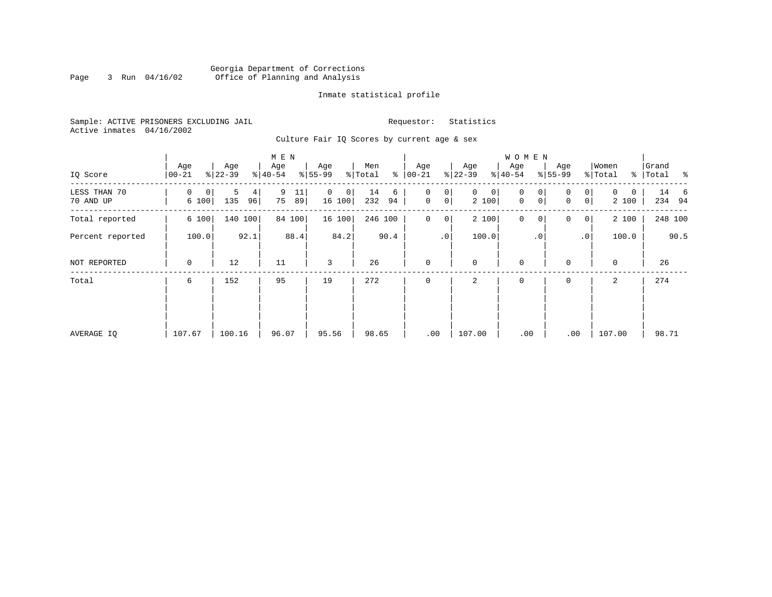# Georgia Department of Corrections Page 3 Run 04/16/02 Office of Planning and Analysis

#### Inmate statistical profile

Sample: ACTIVE PRISONERS EXCLUDING JAIL **Requestor:** Statistics Active inmates 04/16/2002

Culture Fair IQ Scores by current age & sex

|                           |                  |                     | M E N               |                             |                      |                                       |                            | W O M E N                            |                                                      |                                   |                                 |
|---------------------------|------------------|---------------------|---------------------|-----------------------------|----------------------|---------------------------------------|----------------------------|--------------------------------------|------------------------------------------------------|-----------------------------------|---------------------------------|
| IQ Score                  | Age<br>$00 - 21$ | Age<br>$ 22-39 $    | Age<br>$8 40-54$    | Age<br>$8 55-99$            | Men<br>ి<br>% Total  | Age<br>$ 00 - 21 $                    | Age<br>$ 22-39 $           | Age<br>$ 40-54 $                     | Age<br>$8 55-99$                                     | Women<br>% Total<br>$\frac{8}{6}$ | Grand<br>Total<br>$\sim$ $\sim$ |
| LESS THAN 70<br>70 AND UP | 0<br>0<br>6 100  | 5<br>4<br>135<br>96 | 9<br>11<br>75<br>89 | 0<br>$\mathsf{O}$<br>16 100 | 14<br>6<br>232<br>94 | 0<br>0<br>$\mathsf{O}$<br>$\mathbf 0$ | $\mathbf{0}$<br>0<br>2 100 | 0<br>0<br>$\mathbf 0$<br>$\mathbf 0$ | 0 <sup>1</sup><br>0<br>0 <sup>1</sup><br>$\mathbf 0$ | $\Omega$<br>0<br>2 100            | 14 6<br>234 94                  |
| Total reported            | 6 100            | 140 100             | 84 100              | 16 100                      | 246 100              | $\mathbf 0$<br>0                      | 2 100                      | $\mathsf{O}\xspace$<br>0             | 0<br>0 <sup>1</sup>                                  | 2 100                             | 248 100                         |
| Percent reported          | 100.0            | 92.1                | 88.4                | 84.2                        | 90.4                 | $\cdot$ 0                             | 100.0                      | $\cdot$ 0                            | .0'                                                  | 100.0                             | 90.5                            |
| NOT REPORTED              | 0                | 12                  | 11                  | 3                           | 26                   | $\mathbf 0$                           | $\mathbf 0$                | $\mathbf 0$                          | $\mathbf 0$                                          | $\mathbf 0$                       | 26                              |
| Total                     | 6                | 152                 | 95                  | 19                          | 272                  | $\mathbf 0$                           | 2                          | 0                                    | 0                                                    | 2                                 | 274                             |
|                           |                  |                     |                     |                             |                      |                                       |                            |                                      |                                                      |                                   |                                 |
|                           |                  |                     |                     |                             |                      |                                       |                            |                                      |                                                      |                                   |                                 |
| AVERAGE IQ                | 107.67           | 100.16              | 96.07               | 95.56                       | 98.65                | .00                                   | 107.00                     | .00                                  | .00                                                  | 107.00                            | 98.71                           |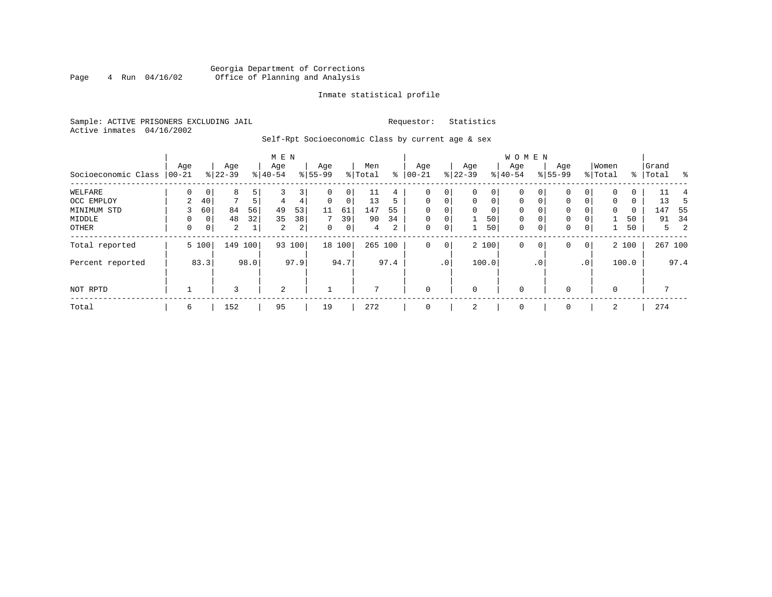# Georgia Department of Corrections<br>4 Run 04/16/02 Office of Planning and Analysis Page 4 Run 04/16/02 Office of Planning and Analysis

#### Inmate statistical profile

Sample: ACTIVE PRISONERS EXCLUDING JAIL **Requestor:** Statistics Active inmates 04/16/2002

Self-Rpt Socioeconomic Class by current age & sex

|                     |          |       |                |      | M E N     |                |           |             |         |      |             |             |              |             | <b>WOMEN</b> |             |           |                 |          |       |           |         |
|---------------------|----------|-------|----------------|------|-----------|----------------|-----------|-------------|---------|------|-------------|-------------|--------------|-------------|--------------|-------------|-----------|-----------------|----------|-------|-----------|---------|
|                     | Age      |       | Age            |      | Age       |                | Age       |             | Men     |      | Age         |             | Age          |             | Age          |             | Age       |                 | Women    |       | Grand     |         |
| Socioeconomic Class | $ 00-21$ |       | $ 22-39 $      |      | $8 40-54$ |                | $8 55-99$ |             | % Total | ⊱    | $00 - 21$   |             | $ 22-39 $    |             | $ 40-54 $    |             | $8 55-99$ |                 | % Total  |       | %   Total | - 왕     |
| WELFARE             | $\Omega$ | 0     | 8              | 5    |           | 3              | 0         | 0           | 11      | 4    |             | 0           | 0            | 0           | $\Omega$     | 0           | 0         |                 | $\Omega$ | 0     | 11        |         |
| OCC EMPLOY          | 2        | 40    | 7              | 5    | 4         | 4              | $\Omega$  | $\mathbf 0$ | 13      | 5    | $\Omega$    | $\mathbf 0$ | $\mathbf{0}$ | $\mathbf 0$ | $\Omega$     | $\Omega$    | $\Omega$  | $\Omega$        | $\Omega$ | 0     | 13        | 5       |
| MINIMUM STD         |          | 60    | 84             | 56   | 49        | 53             | 11        | 61          | 147     | 55   | $\Omega$    | 0           | $\mathbf 0$  | 0           | $\mathbf 0$  | $\Omega$    | 0         |                 | $\Omega$ | 0     | 147       | -55     |
| MIDDLE              | 0        | 0     | 48             | 32   | 35        | 38             | 7         | 39          | 90      | 34   | $\mathbf 0$ | 0           |              | 50          | $\mathbf 0$  | $\mathbf 0$ | 0         |                 |          | 50    | 91        | 34      |
| OTHER               | 0        | 0     | $\overline{2}$ |      | 2         | $\overline{a}$ | 0         | 0           | 4       | 2    | 0           | 0           |              | 50          | $\mathbf 0$  | $\mathbf 0$ | 0         | $\mathbf 0$     |          | 50    |           | 2<br>5  |
| Total reported      |          | 5 100 | 149            | 100  | 93        | 100            |           | 18 100      | 265 100 |      | 0           | 0           |              | 2 100       | $\mathbf 0$  | 0           | 0         | $\overline{0}$  |          | 2 100 |           | 267 100 |
| Percent reported    |          | 83.3  |                | 98.0 |           | 97.9           |           | 94.7        |         | 97.4 |             | $\cdot$ 0   |              | 100.0       |              | . 0         |           | .0 <sup>1</sup> |          | 100.0 |           | 97.4    |
| NOT RPTD            |          |       | 3              |      | 2         |                |           |             |         |      | $\mathbf 0$ |             | 0            |             | $\mathbf 0$  |             | $\Omega$  |                 | $\Omega$ |       |           |         |
| Total               | 6        |       | 152            |      | 95        |                | 19        |             | 272     |      | 0           |             | 2            |             | 0            |             | 0         |                 | 2        |       | 274       |         |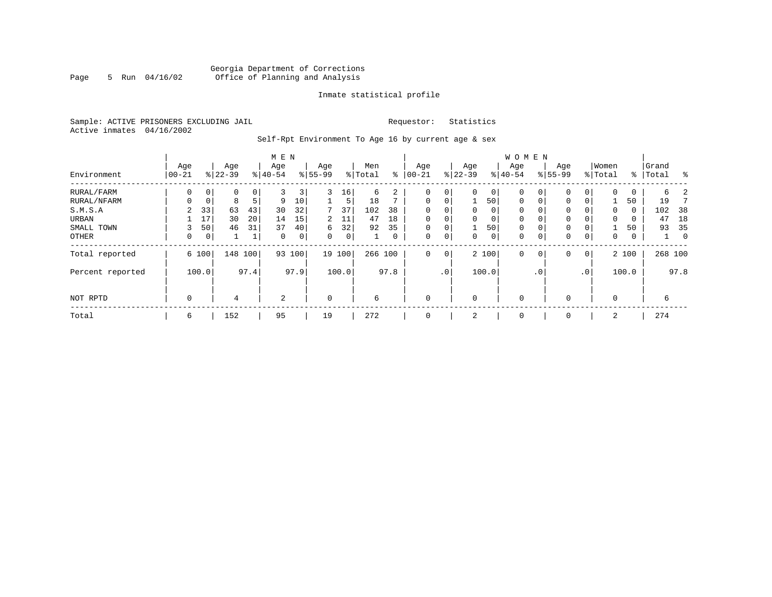# Georgia Department of Corrections Page 5 Run 04/16/02 Office of Planning and Analysis

#### Inmate statistical profile

Sample: ACTIVE PRISONERS EXCLUDING JAIL **Requestor:** Statistics Active inmates 04/16/2002

Self-Rpt Environment To Age 16 by current age & sex

|                  | M E N             |       |                  |      |                  |        |                 |       |                |      |                   |             |                  |          | <b>WOMEN</b>     |           |                    |                 |                  |       |                |             |
|------------------|-------------------|-------|------------------|------|------------------|--------|-----------------|-------|----------------|------|-------------------|-------------|------------------|----------|------------------|-----------|--------------------|-----------------|------------------|-------|----------------|-------------|
| Environment      | Age<br>$ 00 - 21$ |       | Age<br>$8 22-39$ |      | Age<br>$8 40-54$ |        | Age<br>$ 55-99$ |       | Men<br>% Total | နွ   | Age<br>$ 00 - 21$ |             | Age<br>$ 22-39 $ |          | Age<br>$8 40-54$ |           | Age<br>$8155 - 99$ |                 | Women<br>% Total | ႜၟ    | Grand<br>Total | ႜ           |
| RURAL/FARM       | 0                 | 0     | 0                | 0    | 3                | 3      | 3               | 16    | 6              | 2    | $\mathbf 0$       | 0           | $\Omega$         | 0        | 0                |           | 0                  | 0               | 0                | 0     | 6              |             |
| RURAL/NFARM      | $\Omega$          | 0     | 8                | 5    | 9                | 10     |                 | 5     | 18             | ⇁    | $\mathbf 0$       | 0           |                  | 50       | $\mathbf 0$      | $\Omega$  | $\Omega$           | 0               |                  | 50    | 19             |             |
| S.M.S.A          | 2                 | 33    | 63               | 43   | 30               | 32     | 7               | 37    | 102            | 38   | $\mathbf 0$       | 0           | 0                | 0        | 0                |           | 0                  | 0               | 0                | 0     | 102            | 38          |
| URBAN            |                   | 17    | 30               | 20   | 14               | 15     | 2               | 11    | 47             | 18   | $\mathbf 0$       | 0           | $\Omega$         | $\Omega$ | $\mathbf 0$      |           | 0                  | 0               | 0                | 0     | 47             | 18          |
| SMALL TOWN       | 3                 | 50    | 46               | 31   | 37               | 40     | 6               | 32    | 92             | 35   | $\mathbf 0$       | 0           |                  | 50       | 0                |           | 0                  | 0               |                  | 50    | 93             | 35          |
| OTHER            | 0                 | 0     |                  | 1    | $\mathbf 0$      | 0      | $\Omega$        | 0     |                | 0    | $\mathbf 0$       | 0           | 0                | 0        | 0                |           | 0                  | 0               | 0                | 0     |                | $\mathbf 0$ |
| Total reported   |                   | 6 100 | 148              | 100  |                  | 93 100 | 19              | 100   | 266 100        |      | $\mathbf 0$       | $\mathbf 0$ |                  | 2 100    | $\mathbf 0$      | 0         | 0                  | 0               |                  | 2 100 |                | 268 100     |
| Percent reported |                   | 100.0 |                  | 97.4 |                  | 97.9   |                 | 100.0 |                | 97.8 |                   | $\cdot$ 0   |                  | 100.0    |                  | $\cdot$ 0 |                    | .0 <sup>1</sup> |                  | 100.0 |                | 97.8        |
| NOT RPTD         | 0                 |       | 4                |      | 2                |        | $\mathbf 0$     |       | 6              |      | $\mathbf 0$       |             | $\Omega$         |          | $\mathbf 0$      |           | $\Omega$           |                 | 0                |       | 6              |             |
| Total            | 6                 |       | 152              |      | 95               |        | 19              |       | 272            |      | $\mathbf 0$       |             | z                |          | 0                |           | $\mathbf 0$        |                 | 2                |       | 274            |             |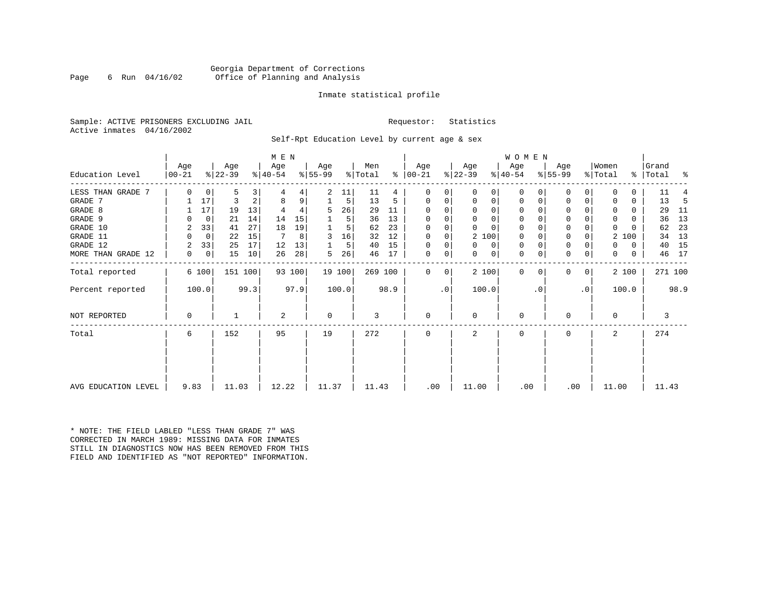#### Georgia Department of Corrections Page 6 Run 04/16/02 Office of Planning and Analysis

#### Inmate statistical profile

Sample: ACTIVE PRISONERS EXCLUDING JAIL **Requestor:** Statistics Active inmates 04/16/2002

Self-Rpt Education Level by current age & sex

|                     | M E N             |             |                  |      |                  |        |                  |        |                |      |                  |                |                  |          | WOMEN            |          |                  |                |                  |               |                |      |
|---------------------|-------------------|-------------|------------------|------|------------------|--------|------------------|--------|----------------|------|------------------|----------------|------------------|----------|------------------|----------|------------------|----------------|------------------|---------------|----------------|------|
| Education Level     | Age<br>$ 00 - 21$ |             | Age<br>$ 22-39 $ |      | Age<br>$ 40-54 $ |        | Aqe<br>$ 55-99 $ |        | Men<br>% Total | ွေ   | Age<br>$ 00-21 $ |                | Age<br>$ 22-39 $ |          | Age<br>$ 40-54 $ |          | Age<br>$8 55-99$ |                | Women<br>% Total | $\frac{1}{6}$ | Grand<br>Total | း    |
|                     |                   |             |                  |      |                  |        |                  |        |                |      |                  |                |                  |          |                  |          |                  |                |                  |               |                |      |
| LESS THAN GRADE 7   | $\Omega$          | 0           | 5                | 3    |                  |        | 2                | 11     | 11             | 4    | O                |                | $\mathbf 0$      | 0        | 0                | O        | 0                | 0              | n                | 0             | 11             |      |
| GRADE 7             |                   | 17          | 3                | 2    | 8                | 9      |                  | 5      | 13             | 5    | 0                |                | 0                | 0        | 0                | 0        | 0                | 0              | 0                | 0             | 13             | -5   |
| GRADE 8             |                   | 17          | 19               | 13   |                  |        | 5                | 26     | 29             | 11   |                  |                | $\Omega$         | 0        | 0                |          | 0                |                | $\Omega$         | 0             | 29             | 11   |
| GRADE 9             |                   | 0           | 21               | 14   | 14               | 15     |                  | 5      | 36             | 13   |                  |                | $\Omega$         | 0        | 0                |          | 0                |                | $\Omega$         | 0             | 36             | 13   |
| GRADE 10            | 2                 | 33          | 41               | 27   | 18               | 19     |                  | 5      | 62             | 23   | $\Omega$         | $\Omega$       | $\Omega$         | $\Omega$ | $\mathbf 0$      |          | $\mathbf 0$      |                | $\mathbf 0$      |               | 62             | 23   |
| GRADE 11            | <sup>0</sup>      | $\mathbf 0$ | 22               | 15   | 7                | 8      | 3                | 16     | 32             | 12   | $\Omega$         |                | 2 100            |          | 0                |          | $\Omega$         |                | 2                | 100           | 34             | 13   |
| GRADE 12            | 2                 | 33          | 25               | 17   | 12               | 13     |                  | 5      | 40             | 15   | U                | 0              | $\Omega$         | 0        | 0                |          | $\mathbf 0$      |                | $\Omega$         | 0             | 40             | 15   |
| MORE THAN GRADE 12  | 0                 | 0           | 15               | 10   | 26               | 28     | 5                | 26     | 46             | 17   | 0                | 0 <sup>1</sup> | 0                | 0        | $\mathbf{0}$     | 0        | $\mathbf 0$      | 0              | 0                | 0             | 46             | 17   |
| Total reported      |                   | 6 100       | 151 100          |      |                  | 93 100 |                  | 19 100 | 269 100        |      | $\Omega$         | 0 <sup>1</sup> | 2 100            |          | $\mathbf{0}$     | $\Omega$ | 0                | 0 <sup>1</sup> |                  | 2 100         | 271 100        |      |
| Percent reported    |                   | 100.0       |                  | 99.3 |                  | 97.9   |                  | 100.0  |                | 98.9 |                  | $\cdot$ 0      | 100.0            |          |                  | . 0      |                  | $\cdot$ 0      |                  | 100.0         |                | 98.9 |
| NOT REPORTED        | $\Omega$          |             |                  |      | 2                |        | $\mathbf 0$      |        | 3              |      | $\Omega$         |                | $\Omega$         |          | $\Omega$         |          | O                |                | $\Omega$         |               | 3              |      |
| Total               | 6                 |             | 152              |      | 95               |        | 19               |        | 272            |      |                  |                | 2                |          | $\Omega$         |          | O                |                | 2                |               | 274            |      |
|                     |                   |             |                  |      |                  |        |                  |        |                |      |                  |                |                  |          |                  |          |                  |                |                  |               |                |      |
| AVG EDUCATION LEVEL | 9.83              |             | 11.03            |      | 12.22            |        | 11.37            |        | 11.43          |      | .00              |                | 11.00            |          | .00              |          | .00              |                | 11.00            |               | 11.43          |      |

\* NOTE: THE FIELD LABLED "LESS THAN GRADE 7" WAS CORRECTED IN MARCH 1989: MISSING DATA FOR INMATES STILL IN DIAGNOSTICS NOW HAS BEEN REMOVED FROM THIS FIELD AND IDENTIFIED AS "NOT REPORTED" INFORMATION.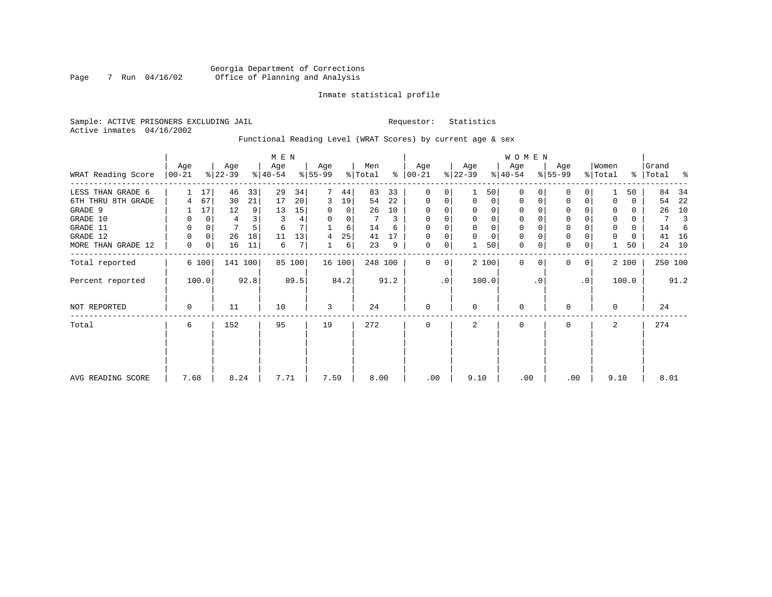#### Inmate statistical profile

Sample: ACTIVE PRISONERS EXCLUDING JAIL **Requestor:** Statistics Active inmates 04/16/2002

Functional Reading Level (WRAT Scores) by current age & sex

|                    |                 |       |                  | M E N |                  |        |                 |                |                |      |                |                |                  | <b>WOMEN</b>   |                  |           |                  |           |                  |          |                |      |
|--------------------|-----------------|-------|------------------|-------|------------------|--------|-----------------|----------------|----------------|------|----------------|----------------|------------------|----------------|------------------|-----------|------------------|-----------|------------------|----------|----------------|------|
| WRAT Reading Score | Age<br>$ 00-21$ |       | Age<br>$ 22-39 $ |       | Age<br>$ 40-54 $ |        | Age<br>$ 55-99$ |                | Men<br>% Total | ⊱    | Age<br>  00-21 |                | Age<br>$ 22-39 $ |                | Age<br>$ 40-54 $ |           | Age<br>$8 55-99$ |           | Women<br>% Total | ∻        | Grand<br>Total | ႜ    |
| LESS THAN GRADE 6  |                 | 17    | 46               | 33    | 29               | 34     |                 | 44             | 83             | 33   | 0              | 0              |                  | 50             | $\Omega$         |           | 0                | 0         |                  | 50       | 84             | 34   |
| 6TH THRU 8TH GRADE | 4               | 67    | 30               | 21    | 17               | 20     | 3               | 19             | 54             | 22   | 0              | 0              | $\mathbf 0$      | 0 <sup>1</sup> | 0                |           | 0                | 0         |                  | 0        | 54             | 22   |
| GRADE 9            |                 | 17    | 12               | 9     | 13               | 15     |                 | $\overline{0}$ | 26             | 10   | 0              |                |                  | 0              | 0                |           | 0                |           |                  | $\Omega$ | 26             | 10   |
| GRADE 10           | 0               | 0     | 4                |       | 3                | 4      | 0               | 0              |                | 3    | 0              | 0              | $\Omega$         | $\overline{0}$ | 0                |           | $\mathbf 0$      |           | 0                | 0        | 7              | 3    |
| GRADE 11           | 0               | 0     |                  |       | 6                |        |                 | 6              | 14             | 6    | $\Omega$       |                |                  | 0              |                  |           | $\mathbf 0$      |           | $\Omega$         | $\Omega$ | 14             |      |
| GRADE 12           | 0               | 0     | 26               | 18    | 11               | 13     | 4               | 25             | 41             | 17   | $\Omega$       | 0              |                  | $\mathbf 0$    | 0                |           | $\mathbf 0$      |           | $\Omega$         | 0        | 41             | 16   |
| MORE THAN GRADE 12 | 0               | 0     | 16               | 11    | 6                | 7      |                 | $6 \mid$       | 23             | 9    | 0              | 0              |                  | 50             | $\mathbf 0$      | 0         | $\mathbf 0$      | 0         |                  | 50       | 24             | 10   |
| Total reported     |                 | 6 100 | 141              | 100   |                  | 85 100 |                 | 16 100         | 248 100        |      | $\Omega$       | $\overline{0}$ |                  | 2 100          | $\mathbf 0$      |           | 0                | 0         |                  | 2 100    | 250 100        |      |
| Percent reported   |                 | 100.0 |                  | 92.8  |                  | 89.5   |                 | 84.2           |                | 91.2 |                | $\cdot$ 0      |                  | 100.0          |                  | $\cdot$ 0 |                  | $\cdot$ 0 |                  | 100.0    |                | 91.2 |
| NOT REPORTED       | 0               |       | 11               |       | 10               |        | 3               |                | 24             |      | 0              |                | $\mathbf 0$      |                | $\mathbf 0$      |           | 0                |           | $\Omega$         |          | 24             |      |
| Total              | 6               |       | 152              |       | 95               |        | 19              |                | 272            |      | 0              |                | 2                |                | 0                |           | 0                |           | 2                |          | 274            |      |
|                    |                 |       |                  |       |                  |        |                 |                |                |      |                |                |                  |                |                  |           |                  |           |                  |          |                |      |
| AVG READING SCORE  | 7.68            |       | 8.24             |       | 7.71             |        | 7.59            |                | 8.00           |      | .00            |                | 9.10             |                | .00              |           | .00              |           | 9.10             |          | 8.01           |      |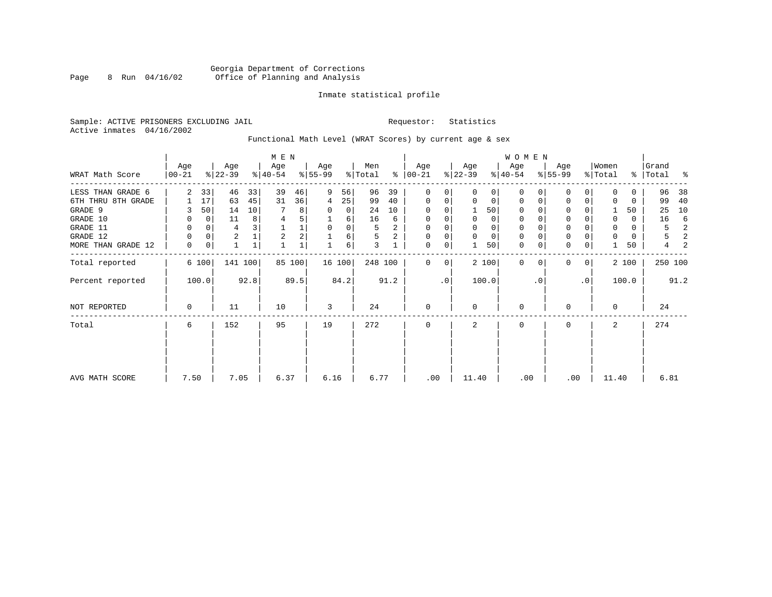#### Inmate statistical profile

Sample: ACTIVE PRISONERS EXCLUDING JAIL **Requestor:** Statistics Active inmates 04/16/2002

# Functional Math Level (WRAT Scores) by current age & sex

|                    | M E N             |                |                  |              |                  |        |                  |      |                |                |                      |             |                  |             | WOMEN            |           |                  |                |                  |       |                    |      |
|--------------------|-------------------|----------------|------------------|--------------|------------------|--------|------------------|------|----------------|----------------|----------------------|-------------|------------------|-------------|------------------|-----------|------------------|----------------|------------------|-------|--------------------|------|
| WRAT Math Score    | Age<br>$ 00 - 21$ |                | Age<br>$ 22-39 $ |              | Age<br>$8 40-54$ |        | Age<br>$ 55-99 $ |      | Men<br>% Total |                | Age<br>$8   00 - 21$ |             | Age<br>$ 22-39 $ |             | Age<br>$ 40-54 $ |           | Age<br>$8 55-99$ |                | Women<br>% Total |       | Grand<br>%   Total | ಿ    |
|                    |                   |                |                  |              |                  |        |                  |      |                |                |                      |             |                  |             |                  |           |                  |                |                  |       |                    |      |
| LESS THAN GRADE 6  | $\overline{2}$    | 33             | 46               | 33           | 39               | 46     | 9                | 56   | 96             | 39             | $\mathbf{0}$         | 0           | $\Omega$         | 0           | $\Omega$         |           | $\Omega$         |                | $\Omega$         | 0     | 96                 | 38   |
| 6TH THRU 8TH GRADE |                   | 17             | 63               | 45           | 31               | 36     | 4                | 25   | 99             | 40             | $\mathbf{0}$         | 0           | $\mathbf 0$      | 0           | $\mathbf 0$      | $\Omega$  | $\Omega$         | $\Omega$       | $\Omega$         | 0     | 99                 | 40   |
| GRADE 9            |                   | 50             | 14               | 10           |                  | 8      | 0                | 0    | 24             | 10             | 0                    |             |                  | 50          | $\Omega$         |           | 0                |                |                  | 50    | 25                 | 10   |
| GRADE 10           | 0                 | $\overline{0}$ | 11               | 8            | $\overline{4}$   | 5      |                  | 6    | 16             | 6              | 0                    | $\Omega$    | $\mathbf 0$      | 0           | 0                | $\Omega$  | $\mathbf 0$      |                | $\Omega$         | 0     | 16                 | 6    |
| GRADE 11           | 0                 | $\Omega$       | 4                |              |                  | 1      | $\mathbf 0$      | 0    | 5              | 2              | 0                    |             |                  | 0           | 0                |           | $\mathbf 0$      |                | $\mathbf 0$      | 0     | 5                  | 2    |
| GRADE 12           | $\Omega$          | $\overline{0}$ | $\overline{2}$   |              | $\overline{2}$   | 2      |                  | 6    | 5              | $\overline{a}$ | 0                    |             | $\mathbf 0$      | $\mathbf 0$ | 0                |           | $\mathbf 0$      |                |                  | 0     | 5                  | 2    |
| MORE THAN GRADE 12 | $\Omega$          | 0              | $\mathbf{1}$     | $\mathbf{1}$ |                  |        |                  | 6    | 3              |                | $\mathbf 0$          | 0           |                  | 50          | $\mathbf 0$      | 0         | $\Omega$         | 0              |                  | 50    | 4                  |      |
| Total reported     |                   | 6 100          | 141 100          |              |                  | 85 100 | 16 100           |      | 248 100        |                | $\Omega$             | $\mathbf 0$ |                  | 2 100       | $\Omega$         | $\Omega$  | $\Omega$         | $\overline{0}$ |                  | 2 100 | 250 100            |      |
| Percent reported   |                   | 100.0          |                  | 92.8         |                  | 89.5   |                  | 84.2 |                | 91.2           |                      | $\cdot$ 0   |                  | 100.0       |                  | $\cdot$ 0 |                  | $\cdot$ 0      |                  | 100.0 |                    | 91.2 |
| NOT REPORTED       | 0                 |                | 11               |              | 10               |        | 3                |      | 24             |                | $\mathbf{0}$         |             | $\Omega$         |             | $\mathbf 0$      |           | $\Omega$         |                | $\Omega$         |       | 24                 |      |
| Total              | 6                 |                | 152              |              | 95               |        | 19               |      | 272            |                | 0                    |             | 2                |             | 0                |           | 0                |                | 2                |       | 274                |      |
|                    |                   |                |                  |              |                  |        |                  |      |                |                |                      |             |                  |             |                  |           |                  |                |                  |       |                    |      |
| AVG MATH SCORE     | 7.50              |                | 7.05             |              | 6.37             |        | 6.16             |      | 6.77           |                | .00                  |             | 11.40            |             | .00              |           | .00              |                | 11.40            |       | 6.81               |      |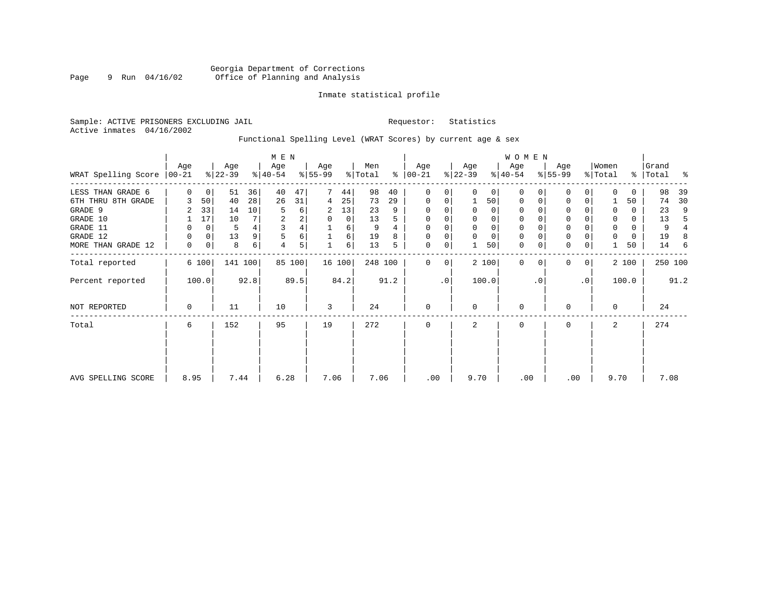#### Inmate statistical profile

Sample: ACTIVE PRISONERS EXCLUDING JAIL **Requestor:** Statistics Active inmates 04/16/2002

# Functional Spelling Level (WRAT Scores) by current age & sex

|                     | M E N       |             |           |      |           |        |           |        |         |      |               |             |             |             | <b>WOMEN</b> |          |             |                |             |       |           |      |
|---------------------|-------------|-------------|-----------|------|-----------|--------|-----------|--------|---------|------|---------------|-------------|-------------|-------------|--------------|----------|-------------|----------------|-------------|-------|-----------|------|
|                     | Age         |             | Age       |      | Age       |        | Age       |        | Men     |      | Age           |             | Age         |             | Age          |          | Age         |                | Women       |       | Grand     |      |
| WRAT Spelling Score | $ 00-21 $   |             | $ 22-39 $ |      | $ 40-54 $ |        | $8 55-99$ |        | % Total |      | $8   00 - 21$ |             | $ 22-39 $   |             | $ 40-54 $    |          | $8 55-99$   |                | % Total     |       | %   Total | ႜ    |
| LESS THAN GRADE 6   | $\Omega$    | $\mathbf 0$ | 51        | 36   | 40        | 47     |           | 44     | 98      | 40   | 0             | 0           | $\Omega$    | $\mathbf 0$ | $\Omega$     | $\Omega$ | $\Omega$    | $\Omega$       | $\Omega$    | 0     | 98        | 39   |
| 6TH THRU 8TH GRADE  | 3           | 50          | 40        | 28   | 26        | 31     | 4         | 25     | 73      | 29   | $\mathbf 0$   | $\mathbf 0$ |             | 50          | $\mathbf 0$  | $\Omega$ | 0           | $\Omega$       |             | 50    | 74        | 30   |
| GRADE 9             | 2           | 33          | 14        | 10   | 5         | 6      | 2         | 13     | 23      | 9    | $\Omega$      | 0           | $\Omega$    | $\Omega$    | $\Omega$     |          | $\Omega$    |                | $\Omega$    | 0     | 23        | 9    |
| GRADE 10            |             | 17          | 10        |      | 2         | 2      | 0         | 0      | 13      | 5    | 0             | 0           | $\Omega$    | $\mathbf 0$ | $\mathbf 0$  |          | $\mathsf 0$ |                | $\Omega$    | 0     | 13        | 5    |
| GRADE 11            | 0           | 0           | 5         |      | 3         | 4      |           | 6      | 9       |      | $\mathbf 0$   |             |             | $\mathbf 0$ | 0            |          | $\mathbf 0$ |                | 0           | 0     | 9         |      |
| GRADE 12            | 0           | 0           | 13        | 9    | 5         | 6      |           | 6      | 19      | 8    | $\mathbf 0$   | 0           | $\mathbf 0$ | $\mathbf 0$ | 0            |          | $\mathsf 0$ |                | $\mathbf 0$ | 0     | 19        | 8    |
| MORE THAN GRADE 12  | 0           | 0           | 8         | 6    | 4         | 5      |           | 6      | 13      | 5    | $\mathbf 0$   | 0           |             | 50          | $\mathbf 0$  | 0        | $\mathbf 0$ | 0              |             | 50    | 14        | -6   |
| Total reported      |             | 6 100       | 141 100   |      |           | 85 100 |           | 16 100 | 248 100 |      | 0             | 0           |             | 2 100       | $\Omega$     | $\Omega$ | $\Omega$    | 0 <sup>1</sup> |             | 2 100 | 250 100   |      |
| Percent reported    |             | 100.0       |           | 92.8 |           | 89.5   |           | 84.2   |         | 91.2 |               | $\cdot$ 0   |             | 100.0       |              | . 0      |             | $\cdot$ 0      |             | 100.0 |           | 91.2 |
| NOT REPORTED        | $\mathbf 0$ |             | 11        |      | 10        |        | 3         |        | 24      |      | $\mathbf{0}$  |             | $\Omega$    |             | $\mathbf 0$  |          | $\Omega$    |                | $\Omega$    |       | 24        |      |
| Total               | 6           |             | 152       |      | 95        |        | 19        |        | 272     |      | $\mathbf 0$   |             | 2           |             | $\mathbf 0$  |          | 0           |                | 2           |       | 274       |      |
|                     |             |             |           |      |           |        |           |        |         |      |               |             |             |             |              |          |             |                |             |       |           |      |
|                     |             |             |           |      |           |        |           |        |         |      |               |             |             |             |              |          |             |                |             |       |           |      |
| AVG SPELLING SCORE  | 8.95        |             | 7.44      |      | 6.28      |        | 7.06      |        | 7.06    |      | .00           |             | 9.70        |             | .00          |          | .00         |                | 9.70        |       | 7.08      |      |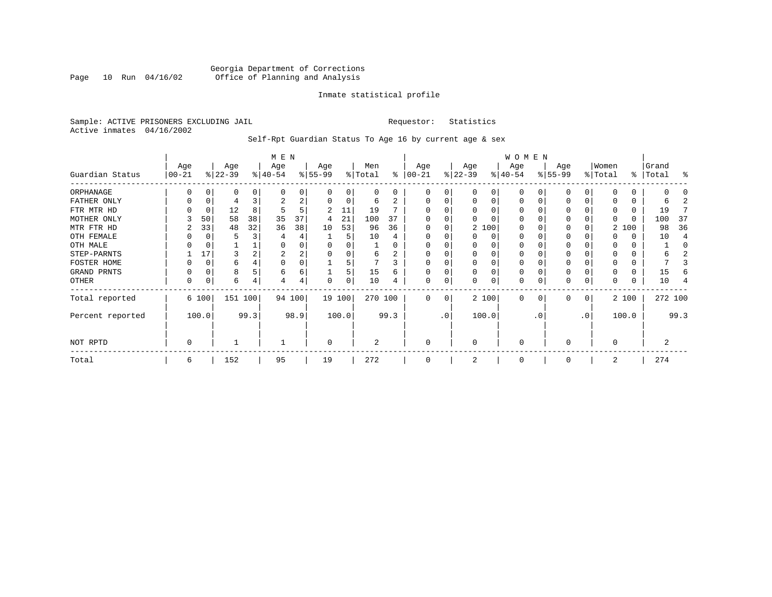#### Georgia Department of Corrections Page 10 Run 04/16/02 Office of Planning and Analysis

#### Inmate statistical profile

Sample: ACTIVE PRISONERS EXCLUDING JAIL **Requestor:** Statistics Active inmates 04/16/2002

Self-Rpt Guardian Status To Age 16 by current age & sex

|                  | M E N     |             |           |      |              |        |          |          |          |          |             |     |          |          | W O M E N |          |              |                 |          |       |           |         |
|------------------|-----------|-------------|-----------|------|--------------|--------|----------|----------|----------|----------|-------------|-----|----------|----------|-----------|----------|--------------|-----------------|----------|-------|-----------|---------|
|                  | Age       |             | Age       |      | Age          |        | Age      |          | Men      |          | Age         |     | Age      |          | Age       |          | Age          |                 | Women    |       | Grand     |         |
| Guardian Status  | $00 - 21$ |             | $ 22-39 $ |      | $ 40-54 $    |        | $ 55-99$ |          | % Total  | ႜ        | $ 00 - 21$  |     | $ 22-39$ |          | $ 40-54 $ |          | $ 55-99 $    |                 | % Total  |       | %   Total | ႜ       |
| ORPHANAGE        |           | O           | 0         | 0    | <sup>0</sup> | 0      |          | 0        | $\Omega$ | $\Omega$ | $\Omega$    | 0   |          | 0        | 0         |          |              |                 |          |       |           |         |
| FATHER ONLY      | 0         | 0           | 4         |      | 2            | 2      |          | $\Omega$ | 6        |          | 0           | 0   | O        | $\Omega$ | $\Omega$  |          | <sup>0</sup> |                 |          | 0     | h         |         |
| FTR MTR HD       |           | 0           | 12        | 8    | 5            | 5      | 2        | 11       | 19       |          |             |     |          |          | O         |          | O            |                 |          |       | 19        |         |
| MOTHER ONLY      |           | 50          | 58        | 38   | 35           | 37     | 4        | 21       | 100      | 37       |             |     |          |          | O         |          | $\Omega$     |                 |          |       | 100       | -37     |
| MTR FTR HD       | 2         | 33          | 48        | 32   | 36           | 38     | 10       | 53       | 96       | 36       | $\Omega$    | 0   |          | 2 100    | $\Omega$  |          | 0            |                 |          | 2 100 | 98        | 36      |
| OTH FEMALE       |           |             | 5         |      |              | 4      |          | 5        | 10       |          |             |     |          | 0        | 0         |          | 0            |                 |          |       | 10        |         |
| OTH MALE         |           |             |           |      | 0            | 0      |          |          |          |          |             |     |          |          | 0         |          |              |                 |          |       |           |         |
| STEP-PARNTS      |           | 17          | 3         |      | 2            | 2      |          | $\Omega$ | 6        | 2        | $\Omega$    |     |          | $\Omega$ | 0         |          | 0            |                 |          | 0     |           |         |
| FOSTER HOME      |           | C           | 6         |      | $\Omega$     | 0      |          |          |          | 3        | $\Omega$    |     |          |          | 0         |          |              |                 |          |       |           |         |
| GRAND PRNTS      | 0         | $\mathbf 0$ | 8         |      | 6            | 6      |          | 5        | 15       | 6        | $\mathbf 0$ | 0   |          | $\Omega$ | 0         |          | 0            |                 |          | 0     | 15        |         |
| OTHER            | 0         | 0           | 6         | 4    |              | 4      | $\Omega$ | 0        | 10       |          | $\mathbf 0$ | 0   |          | 0        | 0         |          | $\Omega$     | 0               |          | 0     | 10        |         |
| Total reported   |           | 6 100       | 151 100   |      |              | 94 100 |          | 19 100   | 270 100  |          | $\Omega$    | 0   |          | 2 100    | $\Omega$  | $\Omega$ | $\Omega$     | 0               |          | 2 100 |           | 272 100 |
| Percent reported |           | 100.0       |           | 99.3 |              | 98.9   |          | 100.0    |          | 99.3     |             | .0' |          | 100.0    |           | . 0      |              | .0 <sup>°</sup> |          | 100.0 |           | 99.3    |
| NOT RPTD         | 0         |             |           |      |              |        | $\Omega$ |          | 2        |          | $\mathbf 0$ |     | $\Omega$ |          | $\Omega$  |          | $\Omega$     |                 | $\Omega$ |       | 2         |         |
| Total            | 6         |             | 152       |      | 95           |        | 19       |          | 272      |          | $\Omega$    |     |          |          | 0         |          | $\Omega$     |                 | 2        |       | 274       |         |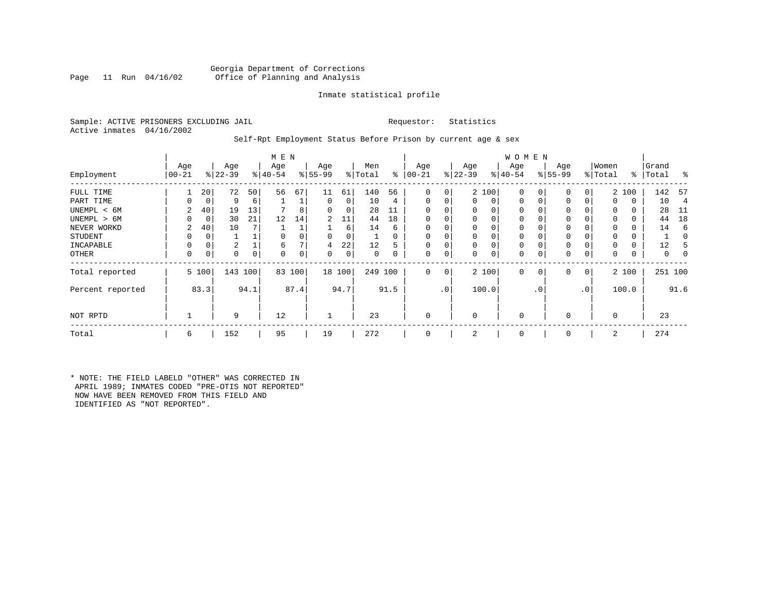#### Georgia Department of Corrections<br>Page 11 Run 04/16/02 Office of Planning and Analysis Office of Planning and Analysis

#### Inmate statistical profile

Sample: ACTIVE PRISONERS EXCLUDING JAIL **Requestor:** Statistics Active inmates 04/16/2002

#### Self-Rpt Employment Status Before Prison by current age & sex

|                  |                 |              |                  |    | M E N            |          |                 |        |                |          |                 |                |                  |             | <b>WOMEN</b>     |             |                    |              |                  |       |                    |      |
|------------------|-----------------|--------------|------------------|----|------------------|----------|-----------------|--------|----------------|----------|-----------------|----------------|------------------|-------------|------------------|-------------|--------------------|--------------|------------------|-------|--------------------|------|
| Employment       | Age<br>$ 00-21$ |              | Age<br>$ 22-39 $ |    | Age<br>$8 40-54$ |          | Age<br>$ 55-99$ |        | Men<br>% Total | ွေ       | Age<br>$ 00-21$ |                | Age<br>$ 22-39 $ |             | Age<br>$ 40-54 $ |             | Age<br>$8155 - 99$ |              | Women<br>% Total |       | Grand<br>%   Total | ႜ    |
| FULL TIME        |                 | 20           | 72               | 50 | 56               | 67       | 11              | 61     | 140            | 56       | 0               | 0              |                  | 2 100       | $\mathbf 0$      | $\Omega$    | 0                  | 0            |                  | 2 100 | 142                | -57  |
| PART TIME        | 0               | 0            | 9                | 6  |                  |          | 0               | 0      | 10             | 4        | $\Omega$        | 0              | $\mathbf{0}$     | $\mathbf 0$ | $\mathbf{0}$     | $\mathbf 0$ | 0                  | 0            | $\Omega$         | 0     | 10                 | 4    |
| UNEMPL < 6M      | 2               | 40           | 19               | 13 |                  |          | 0               | 0      | 28             |          |                 |                | 0                | 0           | 0                | $\Omega$    | 0                  |              | $\Omega$         | 0     | 28                 | -11  |
| UNEMPL > 6M      | O               | 0            | 30               | 21 | 12               | 14       | 2               | 11     | 44             | 18       | $\Omega$        |                | 0                | $\Omega$    | 0                | $\Omega$    | $\Omega$           |              | $\Omega$         | 0     | 44                 | 18   |
| NEVER WORKD      | 2               | 40           | 10               |    |                  |          |                 | 6      | 14             | 6        | $\Omega$        |                | 0                | 0           | 0                | C           | 0                  |              | $\Omega$         | 0     | 14                 | 6    |
| <b>STUDENT</b>   | 0               | 0            |                  |    | $\Omega$         |          | 0               | 0      |                | $\Omega$ | $\Omega$        | 0              | $\mathbf 0$      | 0           | 0                | $\Omega$    | 0                  |              | $\Omega$         | 0     |                    | 0    |
| INCAPABLE        | 0               | 0            | 2                |    | 6                |          | 4               | 22     | 12             |          |                 |                | 0                | 0           | 0                | C           | 0                  |              |                  | 0     | 12                 |      |
| <b>OTHER</b>     | 0               | 0            | 0                | 0  | $\Omega$         | $\Omega$ | 0               | 0      | 0              | 0        | $\Omega$        | 0              | 0                | 0           | 0                | 0           | 0                  | 0            | $\Omega$         | 0     | 0                  | 0    |
| Total reported   |                 | 5 100        | 143 100          |    | 83               | 100      |                 | 18 100 | 249 100        |          | 0               | 0 <sup>1</sup> |                  | 2 100       | $\mathbf{0}$     | $\mathbf 0$ | 0                  | $\mathbf{0}$ |                  | 2 100 | 251 100            |      |
| Percent reported |                 | 83.3<br>94.1 |                  |    |                  | 87.4     |                 | 94.7   |                | 91.5     |                 | .0'            |                  | 100.0       |                  | . 0         |                    | $\cdot$ 0    |                  | 100.0 |                    | 91.6 |
| NOT RPTD         |                 |              | 9                |    | 12               |          |                 |        | 23             |          | $\Omega$        |                | $\mathbf 0$      |             | $\mathbf 0$      |             | $\Omega$           |              | $\Omega$         |       | 23                 |      |
| Total            | 6               |              | 152              |    | 95               |          | 19              |        | 272            |          | $\Omega$        |                | 2                |             | $\mathbf 0$      |             | $\Omega$           |              | 2                |       | 274                |      |

\* NOTE: THE FIELD LABELD "OTHER" WAS CORRECTED IN APRIL 1989; INMATES CODED "PRE-OTIS NOT REPORTED" NOW HAVE BEEN REMOVED FROM THIS FIELD AND IDENTIFIED AS "NOT REPORTED".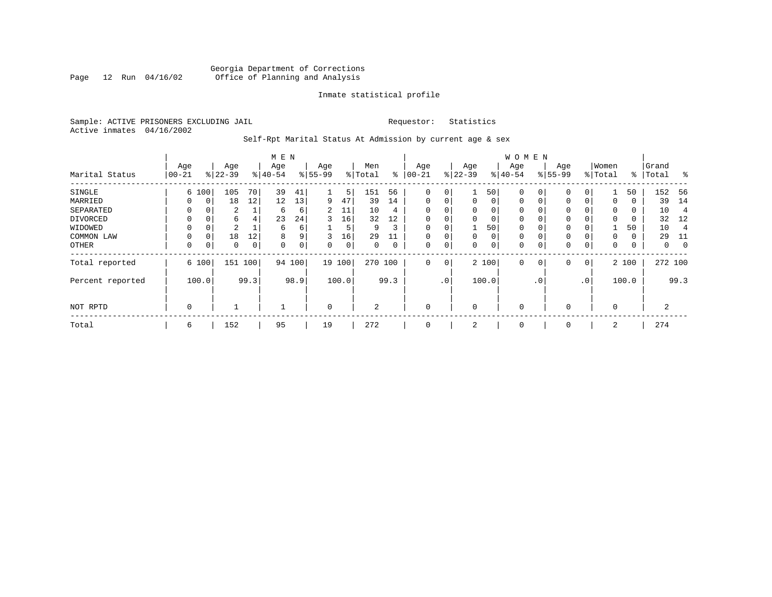#### Georgia Department of Corrections<br>Page 12 Run 04/16/02 Office of Planning and Analysis Page 12 Run 04/16/02 Office of Planning and Analysis

#### Inmate statistical profile

Sample: ACTIVE PRISONERS EXCLUDING JAIL **Requestor:** Statistics Active inmates 04/16/2002

# Self-Rpt Marital Status At Admission by current age & sex

|                  | M E N            |               |                 |     |                  |             |                  |             |                |      |                 |             |                  |               | <b>WOMEN</b>      |           |                 |           |                  |              |                |          |
|------------------|------------------|---------------|-----------------|-----|------------------|-------------|------------------|-------------|----------------|------|-----------------|-------------|------------------|---------------|-------------------|-----------|-----------------|-----------|------------------|--------------|----------------|----------|
| Marital Status   | Age<br>$00 - 21$ |               | Age<br>$ 22-39$ |     | Age<br>$ 40-54 $ |             | Age<br>$8 55-99$ |             | Men<br>% Total | နွ   | Age<br>$ 00-21$ |             | Age<br>$ 22-39 $ | $\frac{8}{3}$ | Age<br>$ 40 - 54$ |           | Age<br>$ 55-99$ |           | Women<br>% Total | ៖            | Grand<br>Total | ፠        |
| SINGLE           |                  | 6 100         | 105             | 70  | 39               | 41          |                  | 5           | 151            | 56   | 0               | $\mathbf 0$ |                  | 50            |                   | 0 I       | 0               | 0         |                  | 50           | 152            | 56       |
| MARRIED          | 0                |               | 18              | 12  | 12               | 13          | 9                | 47          | 39             | 14   | $\Omega$        | 0           | $\Omega$         | $\Omega$      | $\Omega$          | $\Omega$  | $\Omega$        | 0         | 0                | 0            | 39             | 14       |
| SEPARATED        | $\Omega$         |               | 2               |     | 6                | 6           | 2                | 11          | 10             | 4    | $\Omega$        | $\Omega$    | $\Omega$         |               | $\Omega$          |           | $\Omega$        | 0         | $\Omega$         | $\Omega$     | 10             | 4        |
| DIVORCED         | $\Omega$         | 0             | 6               | 4   | 23               | 24          | 3                | 16          | 32             | 12   | 0               | $\Omega$    | $\Omega$         | $\Omega$      | $\mathbf 0$       |           | 0               | 0         | 0                | 0            | 32             | 12       |
| WIDOWED          | $\Omega$         |               | 2               |     | 6                | 6           |                  | 5           | 9              |      | $\Omega$        | $\Omega$    |                  | 50            | $\mathbf 0$       |           | $\mathbf 0$     | 0         |                  | 50           | 10             |          |
| COMMON LAW       | 0                | 0             | 18              | 12  | 8                | 9           | 3                | 16          | 29             | 11   | 0               | 0           | $\Omega$         | $\Omega$      | $\mathbf 0$       |           | 0               | 0         | 0                | $\mathbf{0}$ | 29             | 11       |
| OTHER            | 0                |               | $\mathbf 0$     | 0   | 0                | $\mathbf 0$ | 0                | $\mathbf 0$ | 0              |      | 0               | $\mathsf 0$ | 0                | 0             | $\mathbf 0$       |           | 0               | 0         | 0                | 0            | 0              | $\Omega$ |
| Total reported   |                  | 6 100         | 151             | 100 |                  | 94 100      | 19               | 100         | 270            | 100  | $\Omega$        | $\mathbf 0$ |                  | 2 100         | $\Omega$          | $\Omega$  | $\Omega$        | 0         |                  | 2 100        | 272 100        |          |
| Percent reported |                  | 99.3<br>100.0 |                 |     |                  | 98.9        |                  | 100.0       |                | 99.3 |                 | $\cdot$ 0   |                  | 100.0         |                   | $\cdot$ 0 |                 | $\cdot$ 0 |                  | 100.0        |                | 99.3     |
| NOT RPTD         | $\mathbf 0$      |               |                 |     |                  |             | $\mathbf 0$      |             | 2              |      | $\mathbf 0$     |             | $\Omega$         |               | $\Omega$          |           | $\mathbf 0$     |           | $\Omega$         |              | 2              |          |
| Total            | 6                |               | 152             |     | 95               |             | 19               |             | 272            |      | $\mathbf 0$     |             | 2                |               | $\Omega$          |           | 0               |           | 2                |              | 274            |          |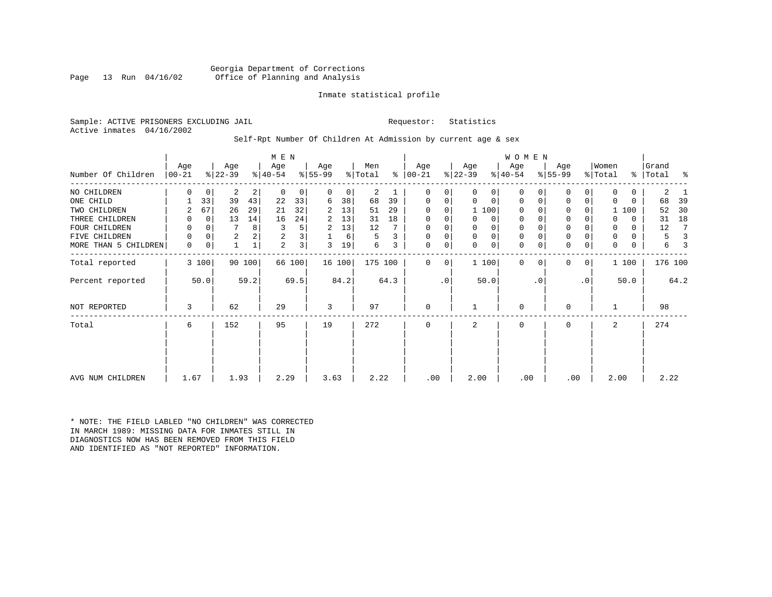Georgia Department of Corrections<br>Page 13 Run 04/16/02 Office of Planning and Analysis Office of Planning and Analysis

#### Inmate statistical profile

Sample: ACTIVE PRISONERS EXCLUDING JAIL **Requestor:** Statistics Active inmates 04/16/2002

#### Self-Rpt Number Of Children At Admission by current age & sex

|                      | M E N             |          |                 |        |                  |                         |                  |        |                |      |                 |           |                  |              | WOMEN           |           |                  |     |                  |          |                |         |
|----------------------|-------------------|----------|-----------------|--------|------------------|-------------------------|------------------|--------|----------------|------|-----------------|-----------|------------------|--------------|-----------------|-----------|------------------|-----|------------------|----------|----------------|---------|
| Number Of Children   | Age<br>$ 00 - 21$ |          | Age<br>$ 22-39$ |        | Age<br>$ 40-54 $ |                         | Age<br>$8 55-99$ |        | Men<br>% Total | %    | Age<br>$ 00-21$ |           | Age<br>$ 22-39 $ |              | Age<br>$ 40-54$ |           | Age<br>$ 55-99 $ |     | Women<br>% Total | ွေ       | Grand<br>Total | န္      |
| NO CHILDREN          | 0                 | 0        | 2               | 2      | $\mathbf 0$      | 0                       | 0                | 0      | 2              |      | 0               | 0         | 0                | 0            | $\Omega$        |           | 0                | 0   | 0                | 0        | 2              |         |
| ONE CHILD            |                   | 33       | 39              | 43     | 22               | 33                      | 6                | 38     | 68             | 39   | 0               | 0         | $\Omega$         | $\mathbf 0$  | 0               | $\Omega$  | $\mathbf 0$      | 0   | $\Omega$         | $\Omega$ | 68             | 39      |
| TWO CHILDREN         |                   | 67       | 26              | 29     | 21               | 32                      | 2                | 13     | 51             | 29   | $\Omega$        | 0         |                  | 1 100        | $\Omega$        |           | $\mathbf 0$      | 0   |                  | 1 100    | 52             | 30      |
| THREE CHILDREN       | 0                 | $\Omega$ | 13              | 14     | 16               | 24                      | 2                | 13     | 31             | 18   | $\Omega$        | 0         | $\Omega$         | 0            | 0               |           | $\mathbf 0$      | O   | O                | $\Omega$ | 31             | 18      |
| FOUR CHILDREN        | 0                 | $\Omega$ |                 | 8      | 3                | 5                       | 2                | 13     | 12             |      | $\Omega$        | 0         |                  | $\mathsf{O}$ | 0               |           | $\mathbf 0$      |     | 0                | $\Omega$ | 12             |         |
| FIVE CHILDREN        | 0                 | 0        | $\overline{2}$  | 2      | 2                | $\overline{\mathbf{3}}$ |                  | 6      | 5              | 3    | $\mathbf 0$     | 0         | $\Omega$         | $\mathbf 0$  | 0               |           | $\mathsf 0$      | 0   | 0                | $\Omega$ | 5              |         |
| MORE THAN 5 CHILDREN | 0                 | 0        |                 |        | 2                | 3                       | 3                | 19     | 6              | 3    | 0               | 0         | $\Omega$         | 0            | $\mathbf 0$     | $\Omega$  | $\mathbf 0$      | 0   | $\mathbf 0$      | 0        | 6              |         |
| Total reported       |                   | 3 100    |                 | 90 100 |                  | 66 100                  |                  | 16 100 | 175 100        |      | $\Omega$        | 0         |                  | 1 100        | $\Omega$        | $\Omega$  | $\Omega$         | 0   |                  | 1 100    |                | 176 100 |
| Percent reported     |                   | 50.0     |                 | 59.2   |                  | 69.5                    |                  | 84.2   |                | 64.3 |                 | $\cdot$ 0 |                  | 50.0         |                 | $\cdot$ 0 |                  | .0' |                  | 50.0     |                | 64.2    |
| NOT REPORTED         | 3                 |          | 62              |        | 29               |                         | 3                |        | 97             |      | $\mathbf 0$     |           |                  |              | 0               |           | $\mathbf 0$      |     |                  |          | 98             |         |
| Total                | 6                 |          | 152             |        | 95               |                         | 19               |        | 272            |      | $\Omega$        |           | 2                |              | $\mathbf 0$     |           | $\mathbf 0$      |     | 2                |          | 274            |         |
| AVG NUM CHILDREN     | 1.67              |          | 1.93            |        | 2.29             |                         | 3.63             |        | 2.22           |      | .00             |           | 2.00             |              | .00             |           | .00              |     | 2.00             |          | 2.22           |         |

\* NOTE: THE FIELD LABLED "NO CHILDREN" WAS CORRECTED IN MARCH 1989: MISSING DATA FOR INMATES STILL IN DIAGNOSTICS NOW HAS BEEN REMOVED FROM THIS FIELD AND IDENTIFIED AS "NOT REPORTED" INFORMATION.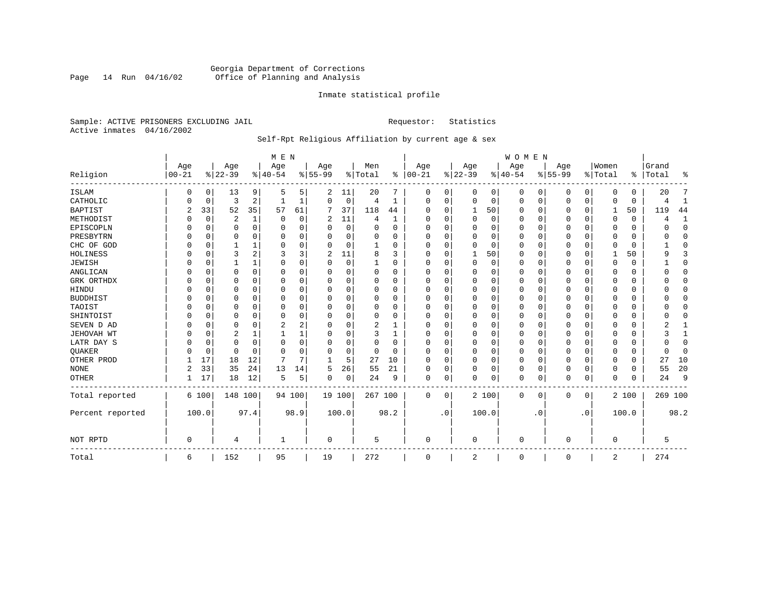# Georgia Department of Corrections<br>Page 14 Run 04/16/02 Office of Planning and Analysis Page 14 Run 04/16/02 Office of Planning and Analysis

#### Inmate statistical profile

Sample: ACTIVE PRISONERS EXCLUDING JAIL **Requestor:** Statistics Active inmates 04/16/2002

# Self-Rpt Religious Affiliation by current age & sex

|                  |            |          |           |          | M E N    |          |           |          |          |              |          |           |             |          | <b>WOMEN</b> |           |           |           |                |             |           |              |
|------------------|------------|----------|-----------|----------|----------|----------|-----------|----------|----------|--------------|----------|-----------|-------------|----------|--------------|-----------|-----------|-----------|----------------|-------------|-----------|--------------|
|                  | Age        |          | Age       |          | Age      |          | Age       |          | Men      |              | Age      |           | Age         |          | Age          |           | Age       |           | Women          |             | Grand     |              |
| Religion         | $ 00 - 21$ |          | $8 22-39$ |          | $ 40-54$ |          | $8 55-99$ |          | % Total  | ွေ           | $ 00-21$ |           | $ 22-39$    |          | $ 40-54$     |           | $8 55-99$ |           | % Total        |             | %   Total | ႜ            |
| <b>ISLAM</b>     | 0          | 0        | 13        | 9        | .5       | 5.       | 2         | 11       | 20       | 7            | 0        | 0         | 0           | 0        | 0            | 0         | 0         | 0         | $\Omega$       | O           | 20        |              |
| CATHOLIC         |            | 0        | 3         | 2        |          | 1        | O         | 0        | 4        | 1            | $\Omega$ | 0         | $\mathbf 0$ | 0        | 0            | 0         | 0         | 0         | $\Omega$       | $\mathbf 0$ |           | 1            |
| <b>BAPTIST</b>   | 2          | 33       | 52        | 35       | 57       | 61       |           | 37       | 118      | 44           | O        | $\Omega$  | 1           | 50       | <sup>0</sup> | 0         | 0         | $\Omega$  | 1              | 50          | 119       | 44           |
| METHODIST        |            | 0        | 2         | 1        | $\Omega$ | $\Omega$ | 2         | 11       | 4        | $\mathbf{1}$ | $\Omega$ | $\Omega$  | $\Omega$    | $\Omega$ | <sup>0</sup> | $\Omega$  | 0         | $\Omega$  | $\Omega$       | $\Omega$    |           | 1            |
| EPISCOPLN        |            | $\Omega$ | 0         | $\Omega$ | 0        | 0        |           | $\Omega$ | 0        | $\Omega$     | $\Omega$ | $\Omega$  | 0           | 0        |              | $\Omega$  | 0         | 0         |                | 0           |           | $\mathbf{0}$ |
| PRESBYTRN        |            | $\Omega$ | 0         | 0        | 0        | $\Omega$ |           | $\Omega$ | 0        | O            | $\Omega$ | $\Omega$  | $\Omega$    | $\Omega$ | 0            | $\Omega$  | 0         | U         | $\Omega$       | 0           |           | $\Omega$     |
| CHC OF GOD       |            | 0        |           | 1        | $\Omega$ | $\Omega$ | U         | 0        |          | O            | O        | $\Omega$  | $\Omega$    | $\Omega$ | <sup>0</sup> | $\Omega$  | U         | 0         | $\Omega$       | $\Omega$    |           | $\Omega$     |
| HOLINESS         |            | $\Omega$ | 3         | 2        | 3        | 3        | 2         | 11       | 8        | ζ            | $\Omega$ | $\Omega$  |             | 50       | <sup>0</sup> | $\Omega$  | 0         | 0         |                | 50          |           | 3            |
| <b>JEWISH</b>    |            | $\Omega$ |           | 1        | $\Omega$ | $\Omega$ | U         | 0        |          | O            | O        |           | $\Omega$    | $\Omega$ |              | $\Omega$  | 0         | $\Omega$  | O              |             |           | $\Omega$     |
| ANGLICAN         |            | 0        | 0         | $\Omega$ | $\Omega$ | U        | U         | 0        | $\Omega$ | O            | $\Omega$ |           | C           | $\Omega$ | O            | $\Omega$  | 0         | $\Omega$  | $\Omega$       | 0           |           | $\mathbf 0$  |
| GRK ORTHDX       |            | $\Omega$ | 0         | 0        | O        | 0        | U         | 0        | $\Omega$ | O            | $\Omega$ | $\Omega$  | O           | 0        | 0            | $\Omega$  | 0         | 0         | $\Omega$       | $\Omega$    |           | $\Omega$     |
| HINDU            |            | $\Omega$ | U         | 0        | O        | O        |           | 0        | $\Omega$ | 0            |          | $\Omega$  | O           | 0        | 0            | $\Omega$  | 0         | U         | O              | 0           |           | $\Omega$     |
| <b>BUDDHIST</b>  |            | $\Omega$ | U         | 0        | O        | $\Omega$ |           | O        | 0        | O            |          | $\Omega$  | O           | $\Omega$ |              | $\Omega$  | 0         | U         | O              | O           |           | $\Omega$     |
| TAOIST           |            | $\Omega$ | O         | $\Omega$ | O        | O        |           | O        | 0        | O            |          |           | $\Omega$    | $\Omega$ | O            | $\Omega$  | 0         | U         |                | U           |           | $\Omega$     |
| SHINTOIST        |            | $\Omega$ | U         | 0        | $\Omega$ | 0        | U         | U        | $\Omega$ | O            | O        | $\Omega$  | $\Omega$    | 0        | 0            | $\Omega$  | 0         | 0         | ∩              | O           |           | ∩            |
| SEVEN D AD       |            | $\Omega$ | U         | O        |          | 2        | U         | O        | 2        |              | $\Omega$ |           | $\cap$      | $\Omega$ | <sup>0</sup> | $\Omega$  | U         | $\Omega$  | $\Omega$       | O           |           |              |
| JEHOVAH WT       |            | $\Omega$ | 2         | 1        |          |          | U         | 0        | 3        |              | $\Omega$ |           | O           | 0        | 0            | $\Omega$  | 0         | 0         | $\Omega$       | U           |           |              |
| LATR DAY S       |            | 0        | 0         | 0        | 0        | $\Omega$ | U         | 0        | 0        | 0            | $\Omega$ |           | O           | $\Omega$ | 0            | 0         | 0         | U         | $\Omega$       | 0           |           | $\mathbf{0}$ |
| QUAKER           |            | 0        | 0         | $\Omega$ | $\Omega$ | $\Omega$ | U         | 0        | 0        | $\Omega$     | $\Omega$ | $\Omega$  | $\mathbf 0$ | $\Omega$ | <sup>0</sup> | 0         | 0         | $\Omega$  | $\Omega$       | 0           |           | $\mathbf{0}$ |
| OTHER PROD       |            | 17       | 18        | 12       | 7        | 7        |           | 5        | 27       | 10           | $\Omega$ | $\Omega$  | $\mathbf 0$ | 0        | $\Omega$     | $\Omega$  | 0         | $\Omega$  | $\Omega$       | 0           | 27        | 10           |
| <b>NONE</b>      | 2          | 33       | 35        | 24       | 13       | 14       | 5         | 26       | 55       | 21           | $\Omega$ | 0         | $\Omega$    | 0        | 0            | $\Omega$  | 0         | 0         | $\Omega$       | 0           | 55        | 20           |
| <b>OTHER</b>     |            | 17       | 18        | 12       | 5        | 5        | 0         | 0        | 24       | 9            | 0        | 0         | $\Omega$    | 0        | 0            | 0         | 0         | 0         | $\Omega$       | $\Omega$    | 24        | 9            |
| Total reported   |            | 6 100    | 148 100   |          |          | 94 100   | 19 100    |          | 267 100  |              | 0        | 0         |             | 2 100    | 0            | 0         | 0         | 0         |                | 2 100       | 269 100   |              |
| Percent reported |            | 100.0    |           | 97.4     |          | 98.9     |           | 100.0    |          | 98.2         |          | $\cdot$ 0 |             | 100.0    |              | $\cdot$ 0 |           | $\cdot$ 0 |                | 100.0       |           | 98.2         |
| NOT RPTD         | $\Omega$   |          | 4         |          | -1       |          | $\Omega$  |          | 5        |              | $\Omega$ |           | $\Omega$    |          | $\Omega$     |           | U         |           | $\Omega$       |             | 5         |              |
| Total            | 6          |          | 152       |          | 95       |          | 19        |          | 272      |              | 0        |           | 2           |          | 0            |           | 0         |           | $\overline{2}$ |             | 274       |              |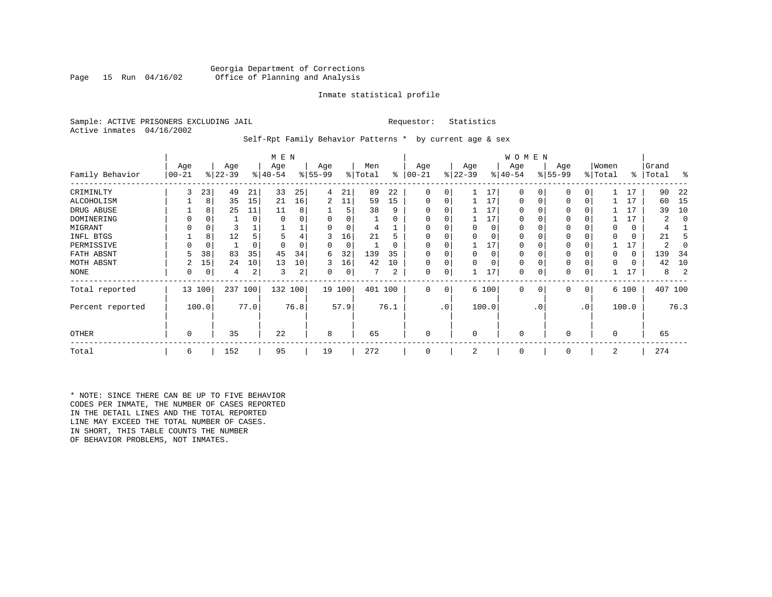#### Georgia Department of Corrections<br>Page 15 Run 04/16/02 Office of Planning and Analysis Office of Planning and Analysis

#### Inmate statistical profile

Sample: ACTIVE PRISONERS EXCLUDING JAIL **Requestor:** Statistics Active inmates 04/16/2002

Self-Rpt Family Behavior Patterns \* by current age & sex

|                  |                 |             |                  |      | M E N            |      |                 |             |                |          |                  |           |                  |          | W O M E N       |           |                 |     |                  |       |                |      |
|------------------|-----------------|-------------|------------------|------|------------------|------|-----------------|-------------|----------------|----------|------------------|-----------|------------------|----------|-----------------|-----------|-----------------|-----|------------------|-------|----------------|------|
| Family Behavior  | Age<br>$ 00-21$ |             | Age<br>$ 22-39 $ |      | Age<br>$ 40-54 $ |      | Age<br>$ 55-99$ |             | Men<br>% Total | ႜ        | Age<br>$00 - 21$ |           | Age<br>$ 22-39 $ |          | Age<br>$ 40-54$ |           | Age<br>$ 55-99$ |     | Women<br>% Total | ∻     | Grand<br>Total | ႜ    |
| CRIMINLTY        | 3               | 23          | 49               | 21   | 33               | 25   | 4               | 21          | 89             | 22       | $\Omega$         | 0         |                  | 17       | $\Omega$        | 0         | $\Omega$        | 0   |                  | 17    | 90             | 22   |
| ALCOHOLISM       |                 | 8           | 35               | 15   | 21               | 16   | 2               | 11          | 59             | 15       | 0                | 0         |                  | 17       | 0               |           | $\Omega$        | 0   |                  | 17    | 60             | -15  |
| DRUG ABUSE       |                 | 8           | 25               | 11   | 11               | 8    |                 | 5           | 38             | 9        |                  |           |                  | 17       | U               |           |                 |     |                  | 17    | 39             | 10   |
| DOMINERING       |                 |             |                  | 0    |                  |      |                 |             |                | O        |                  |           |                  | 17       | <sup>0</sup>    |           |                 |     |                  | 17    |                |      |
| MIGRANT          |                 | 0           |                  |      |                  |      |                 |             |                |          |                  |           |                  | 0        | 0               |           | 0               |     |                  | 0     |                |      |
| INFL BTGS        |                 | 8           | 12               |      |                  | 4    | 3               | 16          | 21             | h        |                  |           |                  | $\Omega$ | 0               |           | $\Omega$        |     |                  | 0     | 21             |      |
| PERMISSIVE       |                 | $\mathbf 0$ |                  | 0    |                  |      | 0               | $\mathbf 0$ |                | $\Omega$ | $\Omega$         | U         |                  | 17       | 0               |           | $\Omega$        |     |                  | 17    | 2              |      |
| FATH ABSNT       |                 | 38          | 83               | 35   | 45               | 34   | 6               | 32          | 139            | 35       |                  |           |                  | $\Omega$ | 0               |           |                 |     |                  | 0     | 139            | 34   |
| MOTH ABSNT       |                 | 15          | 24               | 10   | 13               | 10   | 3               | 16          | 42             | 10       | 0                | 0         |                  |          | 0               |           | $\Omega$        |     |                  | 0     | 42             | 10   |
| NONE             | 0               | 0           | 4                | 2    | 3                | 2    | 0               | 0           |                | 2        | 0                | 0         |                  | 17       | 0               |           | 0               |     |                  | 17    | 8              |      |
| Total reported   |                 | 13 100      | 237              | 100  | 132 100          |      |                 | 19 100      | 401 100        |          | 0                | 0         |                  | 6 100    | $\mathbf{0}$    | 0         | 0               | 0   |                  | 6 100 | 407 100        |      |
| Percent reported |                 | 100.0       |                  | 77.0 |                  | 76.8 |                 | 57.9        |                | 76.1     |                  | $\cdot$ 0 |                  | 100.0    |                 | $\cdot$ 0 |                 | .0' |                  | 100.0 |                | 76.3 |
| <b>OTHER</b>     | 0               |             | 35               |      | 22               |      | 8               |             | 65             |          | 0                |           | $\Omega$         |          | $\Omega$        |           | $\Omega$        |     | $\Omega$         |       | 65             |      |
| Total            | 6               |             | 152              |      | 95               |      | 19              |             | 272            |          | 0                |           | 2                |          | $\mathbf 0$     |           | 0               |     | 2                |       | 274            |      |

\* NOTE: SINCE THERE CAN BE UP TO FIVE BEHAVIOR CODES PER INMATE, THE NUMBER OF CASES REPORTED IN THE DETAIL LINES AND THE TOTAL REPORTED LINE MAY EXCEED THE TOTAL NUMBER OF CASES. IN SHORT, THIS TABLE COUNTS THE NUMBER OF BEHAVIOR PROBLEMS, NOT INMATES.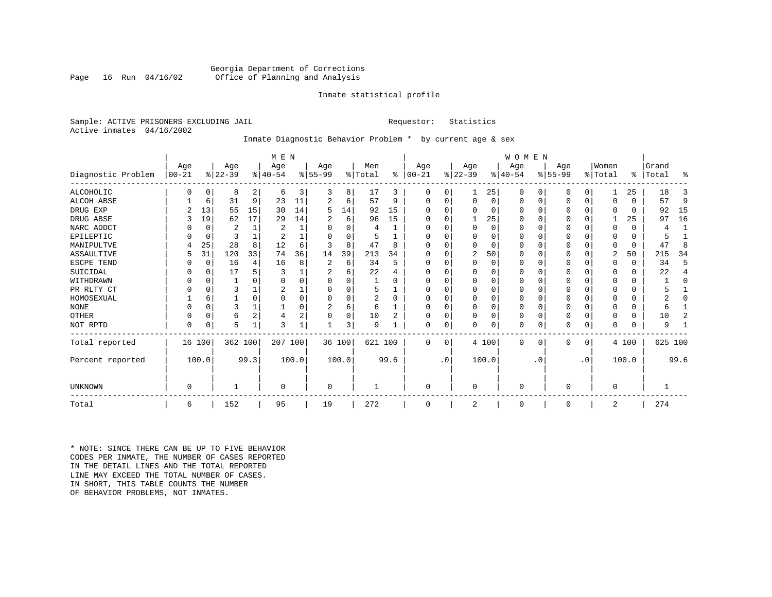#### Georgia Department of Corrections<br>Page 16 Run 04/16/02 Office of Planning and Analysis Office of Planning and Analysis

#### Inmate statistical profile

Sample: ACTIVE PRISONERS EXCLUDING JAIL **Requestor:** Statistics Active inmates 04/16/2002

# Inmate Diagnostic Behavior Problem \* by current age & sex

|                    |            |             |           |                | M E N     |          |          |        |         |                |            |           |                |       | WOMEN     |           |           |             |                |          |           |              |
|--------------------|------------|-------------|-----------|----------------|-----------|----------|----------|--------|---------|----------------|------------|-----------|----------------|-------|-----------|-----------|-----------|-------------|----------------|----------|-----------|--------------|
|                    | Age        |             | Age       |                | Age       |          | Age      |        | Men     |                | Age        |           | Age            |       | Age       |           | Age       |             | Women          |          | Grand     |              |
| Diagnostic Problem | $ 00 - 21$ |             | $ 22-39 $ |                | $ 40-54 $ |          | $ 55-99$ |        | % Total | ွေ             | $ 00 - 21$ |           | $ 22-39 $      |       | $ 40-54 $ |           | $8 55-99$ |             | % Total        |          | %   Total | ႜ            |
| ALCOHOLIC          |            | $\Omega$    | 8         | $\overline{2}$ | 6         | 3        | 3        | 8      | 17      | 3              | 0          | $\Omega$  |                | 25    | $\Omega$  | 0         | 0         | $\Omega$    |                | 25       | 18        | 3            |
| ALCOH ABSE         |            | 6           | 31        | 9              | 23        | 11       |          | 6      | 57      | 9              | $\Omega$   | $\Omega$  | $\Omega$       | 0     | $\Omega$  | 0         | 0         | 0           | $\Omega$       | $\Omega$ | 57        | 9            |
| DRUG EXP           |            | 13          | 55        | 15             | 30        | 14       | 5        | 14     | 92      | 15             |            |           | $\Omega$       | 0     | $\Omega$  | $\Omega$  | 0         | $\Omega$    | $\Omega$       | $\Omega$ | 92        | 15           |
| DRUG ABSE          |            | 19          | 62        | 17             | 29        | 14       |          | 6      | 96      | 15             | O          |           |                | 25    | O         | $\Omega$  | 0         | U           |                | 25       | 97        | 16           |
| NARC ADDCT         |            | $\Omega$    | 2         |                | 2         |          | U        | 0      | 4       |                |            |           | $\Omega$       | 0     | $\Omega$  | $\Omega$  | ი         | $\Omega$    | $\Omega$       | $\Omega$ | 4         | $\mathbf{1}$ |
| EPILEPTIC          |            | $\mathbf 0$ | 3         |                | 2         |          | U        | O      |         |                | ∩          |           | $\Omega$       | O     | $\Omega$  | $\Omega$  | 0         | $\Omega$    | ∩              | $\Omega$ |           |              |
| MANIPULTVE         |            | 25          | 28        | 8              | 12        | 6        |          | 8      | 47      | 8              |            |           | $\Omega$       | 0     | $\Omega$  | $\Omega$  | O         | O           | O              | $\Omega$ | 47        | 8            |
| ASSAULTIVE         | 5          | 31          | 120       | 33             | 74        | 36       | 14       | 39     | 213     | 34             | O          |           | 2              | 50    | 0         | $\Omega$  | 0         | 0           | 2              | 50       | 215       | 34           |
| ESCPE TEND         |            | 0           | 16        | 4              | 16        | 8        | 2        | 6      | 34      | 5              |            |           | $\Omega$       | 0     | $\Omega$  | $\Omega$  | Ω         | O           | $\Omega$       | $\Omega$ | 34        | 5            |
| SUICIDAL           |            | 0           | 17        |                |           |          |          | б      | 22      |                |            |           |                | U     |           | $\Omega$  |           | U           |                | $\Omega$ | 22        | 4            |
| WITHDRAWN          |            |             |           |                |           |          |          |        |         |                |            |           | O              | U     |           |           |           | U           |                | U        |           | O            |
| PR RLTY CT         |            |             | 3         |                |           |          |          | O      | 5       |                |            |           | ∩              | 0     | $\Omega$  | $\Omega$  |           | O           |                | $\Omega$ |           |              |
| HOMOSEXUAL         |            | 6           |           |                |           | $\Omega$ |          | O      | 2       | $\Omega$       |            |           | <sup>0</sup>   | O     | $\Omega$  | $\Omega$  | ი         | O           |                |          |           | O            |
| <b>NONE</b>        |            |             | 3         |                |           | 0        | 2        | 6      | 6       |                |            |           | <sup>0</sup>   | 0     | $\Omega$  | $\Omega$  | ი         | O           |                | U        | 6         |              |
| OTHER              |            | $\Omega$    | 6         | 2              | 4         | 2        |          | 0      | 10      | $\overline{c}$ |            |           | $\Omega$       | 0     | $\Omega$  | $\Omega$  | 0         | $\Omega$    | $\Omega$       | $\Omega$ | 10        | 2            |
| NOT RPTD           | $\Omega$   | $\Omega$    | 5         | 1              | 3         |          |          | 3      | 9       |                | $\Omega$   | 0         | $\Omega$       | 0     | $\Omega$  | 0         | N         | $\mathbf 0$ | $\Omega$       | $\Omega$ | 9         |              |
| Total reported     |            | 16 100      | 362 100   |                | 207 100   |          |          | 36 100 | 621 100 |                | $\Omega$   | $\Omega$  |                | 4 100 | $\Omega$  | $\Omega$  | $\Omega$  | 0           |                | 4 100    | 625 100   |              |
| Percent reported   |            | 100.0       |           | 99.3           |           | 100.0    |          | 100.0  |         | 99.6           |            | $\cdot$ 0 |                | 100.0 |           | $\cdot$ 0 |           | $\cdot$ 0   |                | 100.0    |           | 99.6         |
| UNKNOWN            | $\Omega$   |             |           |                | $\Omega$  |          | 0        |        |         |                | $\Omega$   |           | $\Omega$       |       | $\Omega$  |           | 0         |             | $\Omega$       |          |           |              |
|                    |            |             |           |                |           |          |          |        |         |                |            |           |                |       |           |           |           |             |                |          |           |              |
| Total              | 6          |             | 152       |                | 95        |          | 19       |        | 272     |                | $\Omega$   |           | $\overline{2}$ |       | $\Omega$  |           | $\Omega$  |             | $\overline{2}$ |          | 274       |              |

\* NOTE: SINCE THERE CAN BE UP TO FIVE BEHAVIOR CODES PER INMATE, THE NUMBER OF CASES REPORTED IN THE DETAIL LINES AND THE TOTAL REPORTED LINE MAY EXCEED THE TOTAL NUMBER OF CASES.IN SHORT, THIS TABLE COUNTS THE NUMBER OF BEHAVIOR PROBLEMS, NOT INMATES.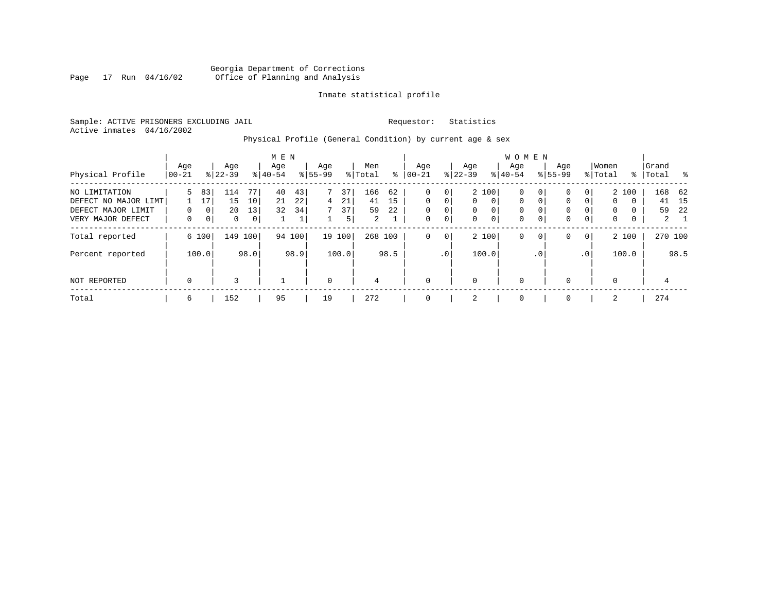#### Georgia Department of Corrections Page 17 Run 04/16/02 Office of Planning and Analysis

#### Inmate statistical profile

Sample: ACTIVE PRISONERS EXCLUDING JAIL **Requestor:** Statistics Active inmates 04/16/2002

# Physical Profile (General Condition) by current age & sex

|                      |             |       |           |                | M E N     |        |             |        |         |      |             |                 |              |             | <b>WOMEN</b> |             |             |                 |             |          |           |             |
|----------------------|-------------|-------|-----------|----------------|-----------|--------|-------------|--------|---------|------|-------------|-----------------|--------------|-------------|--------------|-------------|-------------|-----------------|-------------|----------|-----------|-------------|
|                      | Age         |       | Age       |                | Age       |        | Age         |        | Men     |      | Age         |                 | Age          |             | Age          |             | Age         |                 | Women       |          | Grand     |             |
| Physical Profile     | 00-21       |       | $8 22-39$ |                | $8 40-54$ |        | $8 55-99$   |        | % Total | ႜ    | $00 - 21$   |                 | $8$   22-39  |             | $8 40-54$    |             | $8155 - 99$ |                 | % Total     |          | %   Total | း - မွ      |
| NO LIMITATION        | 5.          | 83    | 114       | 77             | 40        | 43     | 7           | 37     | 166     | 62   | $\Omega$    | 0               |              | 2 100       | 0            | 0           | 0           | 0               |             | 2 100    |           | 168 62      |
| DEFECT NO MAJOR LIMT |             | 17    | 15        | 10             | 21        | 22     | 4           | 21     | 41      | 15   | $\Omega$    | $\Omega$        | $\mathbf{0}$ | $\mathbf 0$ | $\mathbf 0$  | $\mathbf 0$ | $\Omega$    | 0               | $\Omega$    | $\Omega$ | 41        | 15          |
| DEFECT MAJOR LIMIT   | 0           | 0     | 20        | 13             | 32        | 34     | 7           | 37     | 59      | 22   | 0           | 0               | $\mathbf{0}$ | 0           | 0            | $\Omega$    | 0           | 0               | 0           | 0        | 59        | -22         |
| VERY MAJOR DEFECT    | 0           | 0     | 0         | 0 <sup>1</sup> |           | Τ.     |             | 5      | 2       |      | 0           | 0               | $\mathbf{0}$ | 0           | $\mathbf 0$  | $\mathbf 0$ | 0           | 0               | $\mathbf 0$ | 0        |           | $2 \quad 1$ |
| Total reported       |             | 6 100 | 149       | 100            |           | 94 100 |             | 19 100 | 268 100 |      | 0           | $\mathbf{0}$    |              | 2 100       | 0            | $\mathbf 0$ | 0           | $\overline{0}$  |             | 2 100    |           | 270 100     |
| Percent reported     |             | 100.0 |           | 98.0           |           | 98.9   |             | 100.0  |         | 98.5 |             | .0 <sup>1</sup> |              | 100.0       |              | . 0         |             | .0 <sup>1</sup> |             | 100.0    |           | 98.5        |
| NOT REPORTED         | $\mathbf 0$ |       | 3         |                |           |        | $\mathbf 0$ |        | 4       |      | $\mathbf 0$ |                 | $\mathbf 0$  |             | $\mathbf 0$  |             | $\Omega$    |                 | 0           |          | 4         |             |
| Total                | 6           |       | 152       |                | 95        |        | 19          |        | 272     |      | 0           |                 | 2            |             | 0            |             | $\Omega$    |                 | 2           |          | 274       |             |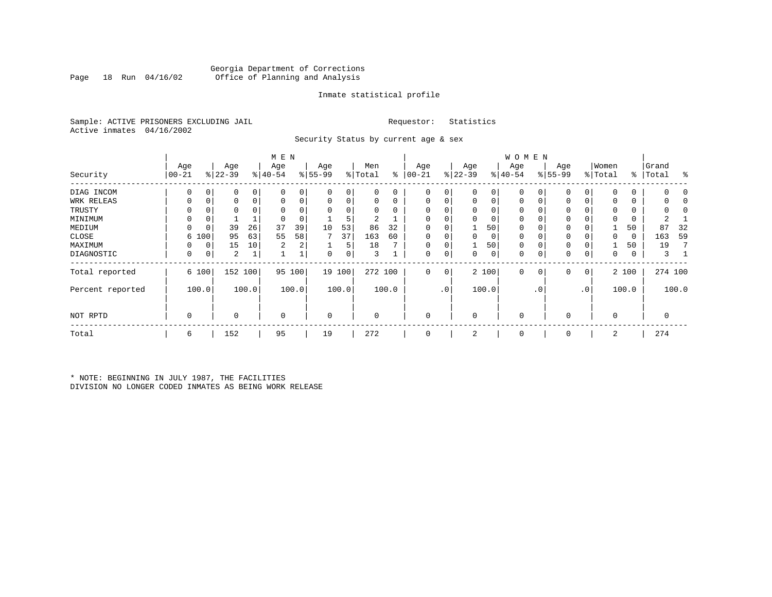#### Georgia Department of Corrections Office of Planning and Analysis

#### Inmate statistical profile

Sample: ACTIVE PRISONERS EXCLUDING JAIL **Requestor:** Statistics Active inmates 04/16/2002

Security Status by current age & sex

|                  |            |       |           |       | M E N     |          |           |        |          |         |              |             |             |       | <b>WOMEN</b> |           |           |           |             |       |           |         |
|------------------|------------|-------|-----------|-------|-----------|----------|-----------|--------|----------|---------|--------------|-------------|-------------|-------|--------------|-----------|-----------|-----------|-------------|-------|-----------|---------|
|                  | Age        |       | Age       |       | Age       |          | Age       |        | Men      |         | Age          |             | Age         |       | Age          |           | Age       |           | Women       |       | Grand     |         |
| Security         | $ 00 - 21$ |       | $ 22-39 $ |       | $8 40-54$ |          | $8 55-99$ |        | % Total  | ႜ       | $00 - 21$    |             | $ 22-39 $   |       | $ 40-54 $    |           | $8 55-99$ |           | % Total     |       | %   Total | ႜ       |
| DIAG INCOM       | 0          | 0     | 0         | 0     | $\Omega$  | $\Omega$ | $\Omega$  | 0      |          | 0       | $\Omega$     | 0           | $\Omega$    | 0     | $\Omega$     |           |           | 0         | $\Omega$    | 0     |           |         |
| WRK RELEAS       |            | 0     | 0         | 0     |           | 0        | $\Omega$  | 0      |          | 0       | 0            |             | 0           | 0     | 0            | 0         |           | 0         | 0           | 0     |           |         |
| TRUSTY           |            |       | 0         |       |           |          | $\Omega$  | 0      |          |         | <sup>0</sup> |             | $\Omega$    | 0     | $\Omega$     |           |           |           | $\Omega$    | 0     |           |         |
| MINIMUM          | 0          | 0     |           |       |           |          |           | 5      | 2        |         |              |             | $\Omega$    | 0     | $\mathbf 0$  |           | 0         |           | $\Omega$    | 0     |           |         |
| MEDIUM           | 0          | 0     | 39        | 26    | 37        | 39       | 10        | 53     | 86       | 32      | $\Omega$     |             |             | 50    | $\mathbf 0$  |           | 0         |           |             | 50    | 87        | 32      |
| CLOSE            | 6          | 100   | 95        | 63    | 55        | 58       |           | 37     | 163      | 60      |              |             | $\Omega$    | 0     | 0            |           | 0         |           | 0           | 0     | 163       | 59      |
| MAXIMUM          | 0          | 0     | 15        | 10    | 2         | 2        |           | 5      | 18       |         | $\Omega$     |             |             | 50    | $\Omega$     |           | 0         | 0         |             | 50    | 19        |         |
| DIAGNOSTIC       | 0          | 0     | 2         |       |           |          | 0         | 0      | 3        |         | $\Omega$     | 0           | 0           | 0     | 0            | 0         | 0         | 0         | 0           | 0     |           |         |
| Total reported   |            | 6 100 | 152 100   |       | 95        | 100      |           | 19 100 |          | 272 100 | 0            | $\mathbf 0$ |             | 2 100 | 0            | $\circ$   | 0         | 0         |             | 2 100 |           | 274 100 |
| Percent reported |            | 100.0 |           | 100.0 |           | 100.0    |           | 100.0  |          | 100.0   |              | $\cdot$ 0   |             | 100.0 |              | $\cdot$ 0 |           | $\cdot$ 0 |             | 100.0 |           | 100.0   |
| NOT RPTD         | 0          |       | $\Omega$  |       | $\Omega$  |          | 0         |        | $\Omega$ |         | $\Omega$     |             | $\mathbf 0$ |       | $\mathbf 0$  |           | 0         |           | $\mathbf 0$ |       |           |         |
| Total            | 6          |       | 152       |       | 95        |          | 19        |        | 272      |         | $\Omega$     |             | 2           |       | $\mathbf 0$  |           | 0         |           | 2           |       | 274       |         |

\* NOTE: BEGINNING IN JULY 1987, THE FACILITIES DIVISION NO LONGER CODED INMATES AS BEING WORK RELEASE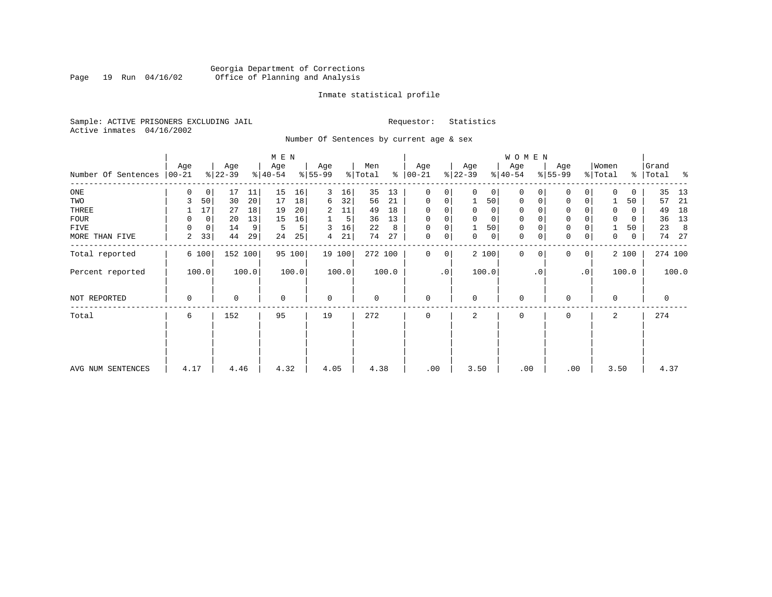#### Georgia Department of Corrections<br>Page 19 Run 04/16/02 Office of Planning and Analysis Page 19 Run 04/16/02 Office of Planning and Analysis

#### Inmate statistical profile

Sample: ACTIVE PRISONERS EXCLUDING JAIL **Requestor:** Statistics Active inmates 04/16/2002

Number Of Sentences by current age & sex

|                             |          |             |           |       | M E N     |        |             |        |         |       |               |                |                |                | WOMEN       |           |                     |           |          |             |         |       |
|-----------------------------|----------|-------------|-----------|-------|-----------|--------|-------------|--------|---------|-------|---------------|----------------|----------------|----------------|-------------|-----------|---------------------|-----------|----------|-------------|---------|-------|
|                             | Age      |             | Age       |       | Age       |        | Age         |        | Men     |       | Age           |                | Age            |                | Age         |           | Age                 |           | Women    |             | Grand   |       |
| Number Of Sentences   00-21 |          |             | $ 22-39 $ |       | $ 40-54 $ |        | $8 55-99$   |        | % Total |       | $8   00 - 21$ |                | $ 22-39 $      |                | $8 40-54$   |           | $8 55-99$           |           | % Total  | %           | Total   | ႜ     |
| $_{\rm ONE}$                | 0        | 0           | 17        | 11    | 15        | 16     | 3           | 16     | 35      | 13    | 0             | 0              | $\Omega$       | 0 <sup>1</sup> | $\mathbf 0$ |           | $\mathbf 0$         | 0         | $\Omega$ | 0           | 35      | 13    |
| TWO                         | 3        | 50          | 30        | 20    | 17        | 18     | 6           | 32     | 56      | 21    | 0             | 0              | 1              | 50             | 0           |           | $\mathbf 0$         | 0         |          | 50          | 57      | -21   |
| THREE                       |          | 17          | 27        | 18    | 19        | 20     | 2           | 11     | 49      | 18    | 0             | 0              | 0              | 0 <sup>1</sup> | 0           |           | 0                   |           | 0        | 0           | 49      | 18    |
| FOUR                        | 0        | $\mathbf 0$ | 20        | 13    | 15        | 16     |             | 5      | 36      | 13    | $\Omega$      | 0              |                | $\mathbf 0$    | 0           |           | $\mathsf{O}\xspace$ |           | $\Omega$ | $\Omega$    | 36      | 13    |
| <b>FIVE</b>                 | $\Omega$ | $\mathbf 0$ | 14        | 9     | 5         | 5      | 3           | 16     | 22      | 8     | 0             | 0              |                | 50             | 0           |           | $\mathbf 0$         |           |          | 50          | 23      | 8     |
| MORE THAN FIVE              | 2        | 33          | 44        | 29    | 24        | 25     | 4           | 21     | 74      | 27    | 0             | 0 <sup>1</sup> | $\Omega$       | 0              | 0           |           | $\mathsf{O}\xspace$ | 0         | 0        | $\mathbf 0$ | 74      | 27    |
| Total reported              |          | 6 100       | 152 100   |       |           | 95 100 |             | 19 100 | 272 100 |       | $\Omega$      | 0              |                | 2 100          | $\Omega$    |           | $\Omega$            | 0         |          | 2 100       | 274 100 |       |
| Percent reported            |          | 100.0       |           | 100.0 |           | 100.0  |             | 100.0  |         | 100.0 |               | $\cdot$ 0      |                | 100.0          |             | $\cdot$ 0 |                     | $\cdot$ 0 |          | 100.0       |         | 100.0 |
| NOT REPORTED                | 0        |             | 0         |       | $\Omega$  |        | $\mathbf 0$ |        | 0       |       | $\Omega$      |                | $\Omega$       |                | 0           |           | 0                   |           | $\Omega$ |             | 0       |       |
| Total                       | 6        |             | 152       |       | 95        |        | 19          |        | 272     |       | $\Omega$      |                | $\mathfrak{D}$ |                | 0           |           | 0                   |           | 2        |             | 274     |       |
|                             |          |             |           |       |           |        |             |        |         |       |               |                |                |                |             |           |                     |           |          |             |         |       |
| AVG NUM SENTENCES           | 4.17     |             | 4.46      |       | 4.32      |        | 4.05        |        | 4.38    |       | .00           |                | 3.50           |                | .00         |           | .00                 |           | 3.50     |             | 4.37    |       |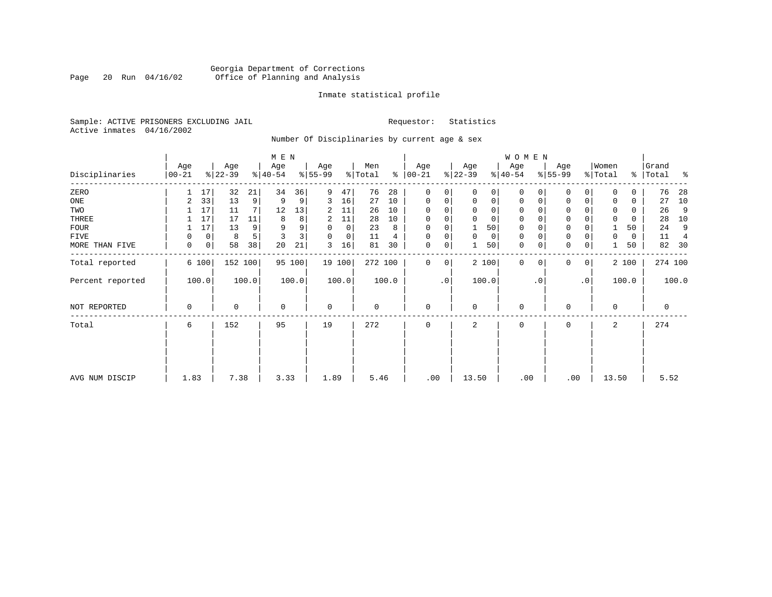# Georgia Department of Corrections<br>Page 20 Run 04/16/02 Office of Planning and Analysis Page 20 Run 04/16/02 Office of Planning and Analysis

#### Inmate statistical profile

Sample: ACTIVE PRISONERS EXCLUDING JAIL **Requestor:** Statistics Active inmates 04/16/2002

Number Of Disciplinaries by current age & sex

|                  |                   |         |                  |         | M E N            |        |                          |             |                |       |                  |             |                  |             | W O M E N        |          |                  |              |                  |       |                    |         |
|------------------|-------------------|---------|------------------|---------|------------------|--------|--------------------------|-------------|----------------|-------|------------------|-------------|------------------|-------------|------------------|----------|------------------|--------------|------------------|-------|--------------------|---------|
| Disciplinaries   | Age<br>$ 00 - 21$ |         | Age<br>$ 22-39 $ |         | Age<br>$ 40-54 $ |        | Age<br>$\frac{8}{55-99}$ |             | Men<br>% Total | ွေ    | Age<br>$00 - 21$ |             | Age<br>$ 22-39 $ |             | Age<br>$ 40-54 $ |          | Age<br>$8 55-99$ |              | Women<br>% Total |       | Grand<br>%   Total | ႜ       |
| ZERO             |                   | 17      | 32               | 21      | 34               | 36     | 9                        | 47          | 76             | 28    | $\mathbf{0}$     | $\Omega$    | $\Omega$         | 0           | $\mathbf 0$      | $\Omega$ | $\Omega$         | $\Omega$     | $\Omega$         | 0     | 76                 | 28      |
| ONE              | 2                 | 33      | 13               | 9       | 9                | 9      | 3                        | 16          | 27             | 10    | $\mathbf{0}$     | 0           | $\mathbf 0$      | $\mathbf 0$ | $\mathbf 0$      | 0        | 0                | $\mathbf 0$  |                  | 0     | 27                 | 10      |
| TWO              |                   | 17      | 11               | 7       | 12               | 13     | 2                        | 11          | 26             | 10    | 0                |             | $\mathbf 0$      | 0           | $\mathbf 0$      | $\Omega$ | $\Omega$         |              | $\mathbf 0$      | 0     | 26                 | 9       |
| THREE            |                   | 17      | 17               | 11      | 8                | 8      | 2                        | 11          | 28             | 10    | 0                |             | $\mathbf 0$      | 0           | $\mathbf 0$      |          | $\mathbf 0$      |              | $\mathbf 0$      | 0     | 28                 | 10      |
| <b>FOUR</b>      |                   | 17      | 13               | 9       | 9                | 9      | 0                        | $\mathbf 0$ | 23             | 8     | $\mathbf 0$      |             |                  | 50          | $\mathbf 0$      |          | $\mathbf 0$      |              |                  | 50    | 24                 | 9       |
| FIVE             | 0                 | 0       | 8                | 5       | 3                | 3      | 0                        | 0           | 11             | 4     | 0                | 0           | $\mathbf 0$      | 0           | 0                | $\Omega$ | 0                |              | 0                | 0     | 11                 | 4       |
| MORE THAN FIVE   | 0                 | $\circ$ | 58               | 38      | 20               | 21     | 3                        | 16          | 81             | 30    | 0                | 0           |                  | 50          | $\mathbf 0$      | 0        | $\mathbf 0$      | 0            |                  | 50    | 82                 | 30      |
| Total reported   |                   | 6 100   |                  | 152 100 |                  | 95 100 |                          | 19 100      | 272 100        |       | $\mathbf 0$      | $\mathbf 0$ |                  | 2 100       | $\mathbf 0$      | $\Omega$ | 0                | $\mathbf{0}$ |                  | 2 100 |                    | 274 100 |
| Percent reported |                   | 100.0   |                  | 100.0   |                  | 100.0  |                          | 100.0       |                | 100.0 |                  | $\cdot$ 0   |                  | 100.0       |                  | . 0      |                  | $\cdot$ 0    |                  | 100.0 |                    | 100.0   |
| NOT REPORTED     | 0                 |         | 0                |         | $\mathbf 0$      |        | $\mathbf 0$              |             | 0              |       | $\mathbf{0}$     |             | $\mathbf 0$      |             | 0                |          | 0                |              | $\Omega$         |       | $\mathbf 0$        |         |
| Total            | 6                 |         | 152              |         | 95               |        | 19                       |             | 272            |       | $\mathbf 0$      |             | 2                |             | 0                |          | 0                |              | 2                |       | 274                |         |
|                  |                   |         |                  |         |                  |        |                          |             |                |       |                  |             |                  |             |                  |          |                  |              |                  |       |                    |         |
|                  |                   |         |                  |         |                  |        |                          |             |                |       |                  |             |                  |             |                  |          |                  |              |                  |       |                    |         |
| AVG NUM DISCIP   | 1.83              |         | 7.38             |         | 3.33             |        | 1.89                     |             | 5.46           |       | .00              |             | 13.50            |             | .00              |          | .00              |              | 13.50            |       | 5.52               |         |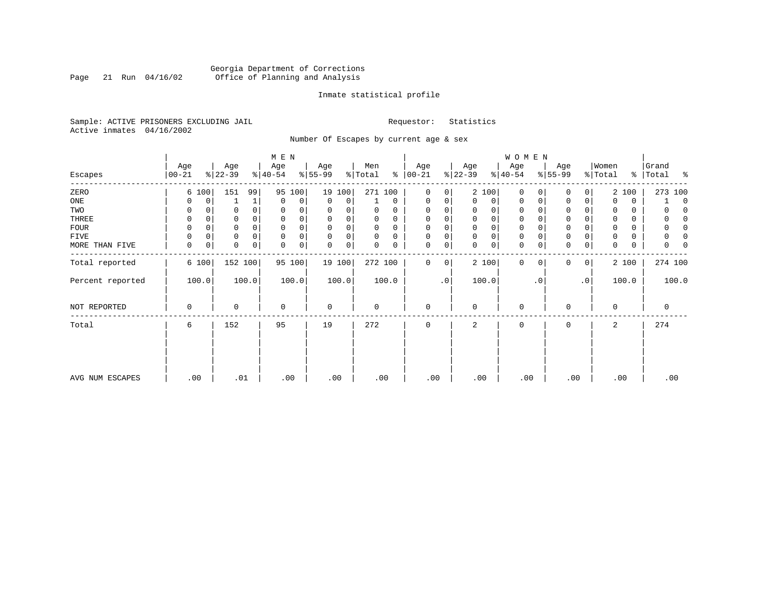# Georgia Department of Corrections<br>Page 21 Run 04/16/02 Office of Planning and Analysis Page 21 Run 04/16/02 Office of Planning and Analysis

#### Inmate statistical profile

Sample: ACTIVE PRISONERS EXCLUDING JAIL **Requestor:** Statistics Active inmates 04/16/2002

Number Of Escapes by current age & sex

|                  |                  |          |                  |          | M E N            |        |                 |        |                            |          |                   |           |                  |       | WOMEN            |             |                  |             |                  |       |                         |
|------------------|------------------|----------|------------------|----------|------------------|--------|-----------------|--------|----------------------------|----------|-------------------|-----------|------------------|-------|------------------|-------------|------------------|-------------|------------------|-------|-------------------------|
| Escapes          | Age<br>$00 - 21$ |          | Age<br>$ 22-39 $ |          | Age<br>$ 40-54 $ |        | Age<br>$ 55-99$ |        | Men<br>$\frac{1}{2}$ Total | ွေ       | Age<br>$ 00 - 21$ |           | Age<br>$ 22-39 $ |       | Age<br>$ 40-54 $ |             | Age<br>$8 55-99$ |             | Women<br>% Total |       | Grand<br>%   Total<br>ႜ |
| ZERO             |                  | 6 100    | 151              | 99       | 95               | 100    |                 | 19 100 | 271 100                    |          | $\mathbf 0$       | 0         |                  | 2 100 | 0                | $\Omega$    | 0                | 0           |                  | 2 100 | 273 100                 |
| ONE              | 0                | 0        |                  | 1        | $\mathbf 0$      | 0      | $\Omega$        | 0      |                            | $\Omega$ | 0                 | 0         | 0                | 0     | $\mathbf 0$      | 0           | $\Omega$         | 0           |                  | 0     | $\mathbf 0$             |
| TWO              | 0                |          |                  |          | 0                |        | 0               |        | 0                          | 0        | $\Omega$          |           | 0                | 0     | 0                |             | $\Omega$         |             |                  | 0     | O                       |
| THREE            | 0                |          |                  |          | $\Omega$         |        | 0               |        | 0                          | 0        | $\Omega$          |           | 0                | 0     | 0                |             | 0                |             |                  | 0     | n                       |
| <b>FOUR</b>      | $\Omega$         | $\Omega$ | 0                | $\Omega$ | $\Omega$         |        | 0               | 0      | 0                          | $\Omega$ | $\Omega$          |           | $\Omega$         | 0     | $\mathbf 0$      | $\Omega$    | 0                |             |                  | 0     | $\Omega$                |
| FIVE             |                  | 0        | 0                |          | $\mathbf 0$      |        | 0               | 0      | 0                          | 0        | 0                 | 0         | 0                | 0     | $\mathbf 0$      | 0           | 0                |             |                  | 0     |                         |
| MORE THAN FIVE   | $\mathbf 0$      | 0        | 0                | 0        | $\mathbf 0$      | 0      | $\mathbf 0$     | 0      | 0                          | 0        | 0                 | 0         | 0                | 0     | $\mathbf 0$      | 0           | $\mathbf 0$      | $\mathbf 0$ | $\Omega$         | 0     | 0                       |
| Total reported   |                  | 6 100    |                  | 152 100  |                  | 95 100 |                 | 19 100 | 272 100                    |          | 0                 | 0         |                  | 2 100 | $\mathbf{0}$     | $\mathbf 0$ | 0                | 0           |                  | 2 100 | 274 100                 |
| Percent reported |                  | 100.0    |                  | 100.0    |                  | 100.0  |                 | 100.0  |                            | 100.0    |                   | $\cdot$ 0 |                  | 100.0 |                  | . 0         |                  | $\cdot$ 0   |                  | 100.0 | 100.0                   |
| NOT REPORTED     | 0                |          | 0                |          | $\mathbf 0$      |        | $\mathbf 0$     |        | 0                          |          | $\mathbf 0$       |           | 0                |       | $\mathbf 0$      |             | 0                |             | $\Omega$         |       | 0                       |
| Total            | 6                |          | 152              |          | 95               |        | 19              |        | 272                        |          | $\mathbf 0$       |           | 2                |       | 0                |             | 0                |             | 2                |       | 274                     |
|                  |                  |          |                  |          |                  |        |                 |        |                            |          |                   |           |                  |       |                  |             |                  |             |                  |       |                         |
|                  |                  |          |                  |          |                  |        |                 |        |                            |          |                   |           |                  |       |                  |             |                  |             |                  |       |                         |
| AVG NUM ESCAPES  |                  | .00      | .01              |          | .00              |        | .00             |        | .00                        |          | .00               |           | .00              |       | .00              |             | .00              |             | .00              |       | .00                     |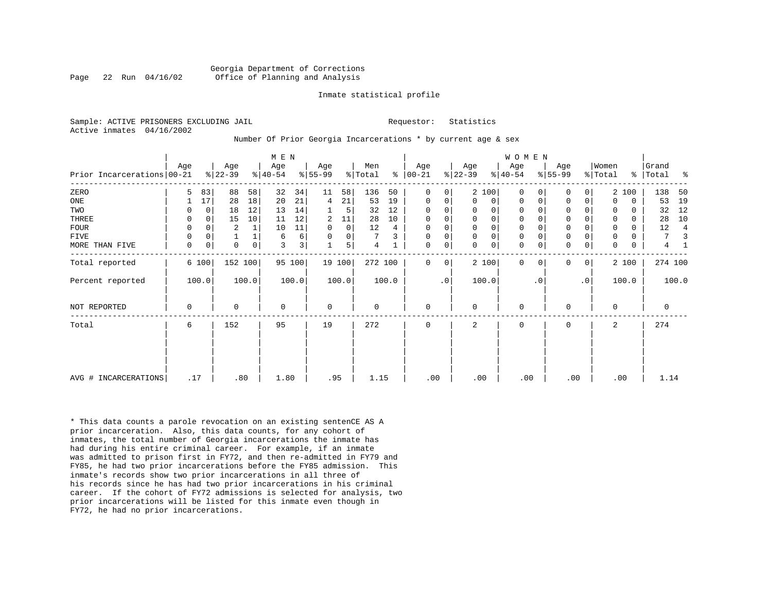#### Georgia Department of Corrections Page 22 Run 04/16/02 Office of Planning and Analysis

#### Inmate statistical profile

Sample: ACTIVE PRISONERS EXCLUDING JAIL **Requestor:** Statistics Active inmates 04/16/2002

#### Number Of Prior Georgia Incarcerations \* by current age & sex

|                              |             |             |                  |       | M E N            |        |                 |             |                |       |                      |           |                  |                | <b>WOMEN</b>     |           |                     |           |                  |          |                |       |
|------------------------------|-------------|-------------|------------------|-------|------------------|--------|-----------------|-------------|----------------|-------|----------------------|-----------|------------------|----------------|------------------|-----------|---------------------|-----------|------------------|----------|----------------|-------|
| Prior Incarcerations   00-21 | Age         |             | Age<br>$ 22-39 $ |       | Age<br>$ 40-54 $ |        | Age<br>$ 55-99$ |             | Men<br>% Total |       | Age<br>$8   00 - 21$ |           | Age<br>$ 22-39 $ |                | Age<br>$ 40-54 $ |           | Age<br>$ 55-99 $    |           | Women<br>% Total | %        | Grand<br>Total | ႜ     |
| ZERO                         | 5.          | 83          | 88               | 58    | 32               | 34     | 11              | 58          | 136            | 50    | $\Omega$             | 0         |                  | 2 100          | $\Omega$         |           | $\Omega$            | 0         |                  | 2 100    | 138            | 50    |
| ONE                          |             | 17          | 28               | 18    | 20               | 21     | 4               | 21          | 53             | 19    | $\mathbf 0$          | 0         | $\Omega$         | 0 <sup>1</sup> | $\Omega$         | 0         | 0                   | 0         | $\Omega$         | 0        | 53             | 19    |
| TWO                          | 0           | 0           | 18               | 12    | 13               | 14     |                 | 5           | 32             | 12    | 0                    | 0         |                  | $\Omega$       | $\Omega$         |           | 0                   |           | 0                | 0        | 32             | 12    |
| THREE                        | 0           | $\mathbf 0$ | 15               | 10    | 11               | 12     | 2               | 11          | 28             | 10    | $\mathbf 0$          | 0         |                  | $\Omega$       | 0                |           | $\mathbf 0$         |           |                  | $\Omega$ | 28             | 10    |
| FOUR                         | 0           | $\Omega$    | 2                |       | 10               | 11     | 0               | $\mathbf 0$ | 12             | 4     | $\Omega$             | 0         |                  | $\Omega$       | 0                |           | $\mathbf 0$         |           | $\mathbf 0$      | 0        | 12             | 4     |
| FIVE                         | $\mathbf 0$ |             |                  |       | 6                | 6      | $\Omega$        | 0           |                |       | 0                    | 0         | $\mathbf{0}$     | 0              | 0                |           | $\mathbf 0$         |           | 0                | 0        | 7              |       |
| MORE THAN FIVE               | $\mathbf 0$ | 0           | $\mathbf 0$      | 0     | 3                | 3      |                 | 5           | 4              |       | $\mathbf 0$          | 0         | $\Omega$         | $\circ$        | 0                |           | $\mathsf{O}\xspace$ | 0         | $\Omega$         | 0        | 4              |       |
| Total reported               |             | 6 100       | 152 100          |       |                  | 95 100 |                 | 19 100      | 272 100        |       | $\Omega$             | 0         |                  | 2 100          | $\Omega$         | $\Omega$  | $\mathbf{0}$        | 0         |                  | 2 100    | 274 100        |       |
| Percent reported             |             | 100.0       |                  | 100.0 |                  | 100.0  |                 | 100.0       |                | 100.0 |                      | $\cdot$ 0 |                  | 100.0          |                  | $\cdot$ 0 |                     | $\cdot$ 0 |                  | 100.0    |                | 100.0 |
| NOT REPORTED                 | $\mathbf 0$ |             | 0                |       | $\mathbf 0$      |        | $\mathbf 0$     |             | 0              |       | $\mathbf 0$          |           | $\Omega$         |                | $\mathbf 0$      |           | 0                   |           | $\Omega$         |          | 0              |       |
| Total                        | 6           |             | 152              |       | 95               |        | 19              |             | 272            |       | $\mathbf 0$          |           | 2                |                | 0                |           | 0                   |           | 2                |          | 274            |       |
|                              |             |             |                  |       |                  |        |                 |             |                |       |                      |           |                  |                |                  |           |                     |           |                  |          |                |       |
| AVG # INCARCERATIONS         | .17         |             | .80              |       | 1.80             |        | .95             |             | 1.15           |       | .00                  |           | .00              |                | .00              |           | .00                 |           | .00              |          | 1.14           |       |

\* This data counts a parole revocation on an existing sentenCE AS A prior incarceration. Also, this data counts, for any cohort of inmates, the total number of Georgia incarcerations the inmate has had during his entire criminal career. For example, if an inmate was admitted to prison first in FY72, and then re-admitted in FY79 and FY85, he had two prior incarcerations before the FY85 admission. This inmate's records show two prior incarcerations in all three of his records since he has had two prior incarcerations in his criminal career. If the cohort of FY72 admissions is selected for analysis, two prior incarcerations will be listed for this inmate even though in FY72, he had no prior incarcerations.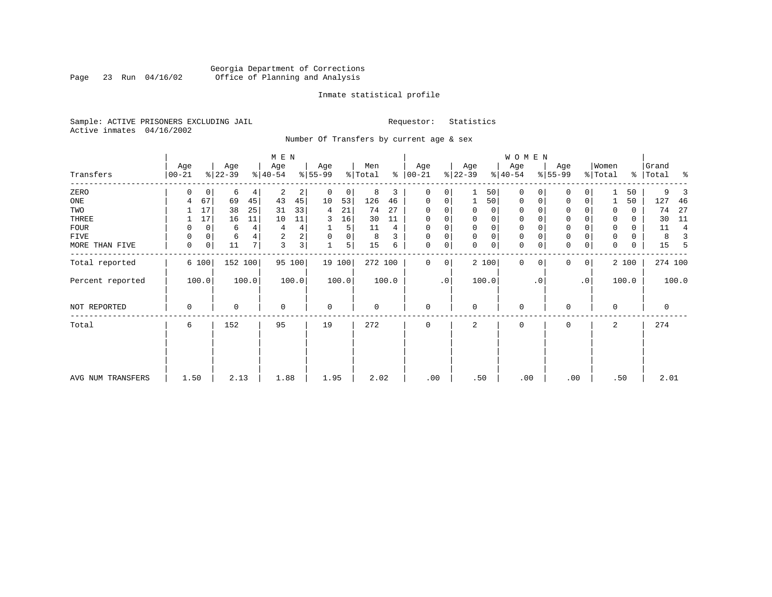# Georgia Department of Corrections<br>Page 23 Run 04/16/02 Office of Planning and Analysis Page 23 Run 04/16/02 Office of Planning and Analysis

#### Inmate statistical profile

Sample: ACTIVE PRISONERS EXCLUDING JAIL **Requestor:** Statistics Active inmates 04/16/2002

Number Of Transfers by current age & sex

|                   |                 |                  | M E N                    |                  |                     |                   |                  | <b>WOMEN</b>            |                            |                        |                      |
|-------------------|-----------------|------------------|--------------------------|------------------|---------------------|-------------------|------------------|-------------------------|----------------------------|------------------------|----------------------|
| Transfers         | Age<br>$ 00-21$ | Age<br>$ 22-39 $ | Age<br>$8 40-54$         | Age<br>$8 55-99$ | Men<br>% Total<br>⊱ | Age<br>$ 00 - 21$ | Age<br>$ 22-39 $ | Age<br>$ 40-54 $        | Age<br>$8 55-99$           | Women<br>% Total<br>ွေ | Grand<br> Total<br>ႜ |
| ZERO              | 0               | 6<br>0           | 2<br>$\overline{2}$<br>4 | $\mathbf 0$      | 8<br>3<br>0         | $\mathbf 0$<br>0  | 50               | $\mathbf 0$             | $\Omega$                   | 50                     | 9                    |
| ONE               | 4               | 67<br>45<br>69   | 43<br>45                 | 10<br>53         | 126<br>46           | 0<br>0            | 50               | $\mathbf 0$<br>0        | $\mathbf 0$<br>0           | 50                     | 127<br>46            |
| TWO               |                 | 38<br>17<br>25   | 33<br>31                 | 21<br>4          | 27<br>74            | $\Omega$          | 0<br>0           | 0                       | 0                          | 0<br>0                 | 27<br>74             |
| THREE             |                 | 17<br>16<br>11   | 10<br>11                 | 16<br>3          | 30<br>11            | 0                 | 0<br>0           | 0                       | $\mathbf 0$                | 0<br>0                 | 11<br>30             |
| <b>FOUR</b>       | 0               | 0<br>6           | 4<br>4<br>4              |                  | 5<br>11<br>4        | 0                 | 0<br>$\Omega$    | 0                       | $\Omega$                   | 0<br>0                 | 11<br>4              |
| FIVE              | 0               | 0<br>6           | $\overline{a}$<br>2      | $\mathbf 0$<br>0 | 3<br>8              | $\Omega$<br>0     | 0<br>$\mathbf 0$ | 0                       | $\mathbf 0$                | 0<br>0                 | 8<br>3               |
| MORE THAN FIVE    | 0               | 0<br>11          | 3 <sup>1</sup><br>7<br>3 | 1                | 5<br>15<br>6        | 0<br>0            | 0<br>$\Omega$    | $\mathbf 0$<br>0        | $\Omega$<br>0              | $\Omega$<br>0          | 15<br>5              |
| Total reported    | 6 100           | 152 100          | 95 100                   | 19 100           | 272 100             | $\Omega$<br>0     | 2 100            | $\mathbf 0$<br>$\Omega$ | $\Omega$<br>$\overline{0}$ | 2 100                  | 274 100              |
| Percent reported  | 100.0           | 100.0            | 100.0                    | 100.0            | 100.0               | $\cdot$ 0         | 100.0            | . 0                     | .0 <sup>1</sup>            | 100.0                  | 100.0                |
| NOT REPORTED      | $\mathbf 0$     | 0                | $\mathbf 0$              | $\mathbf 0$      | $\mathbf 0$         | $\mathbf 0$       | $\mathbf 0$      | $\mathbf 0$             | $\Omega$                   | $\mathbf 0$            | 0                    |
| Total             | 6               | 152              | 95                       | 19               | 272                 | $\mathbf 0$       | 2                | 0                       | $\Omega$                   | 2                      | 274                  |
|                   |                 |                  |                          |                  |                     |                   |                  |                         |                            |                        |                      |
| AVG NUM TRANSFERS | 1.50            | 2.13             | 1.88                     | 1.95             | 2.02                | .00               | .50              | .00                     | .00                        | .50                    | 2.01                 |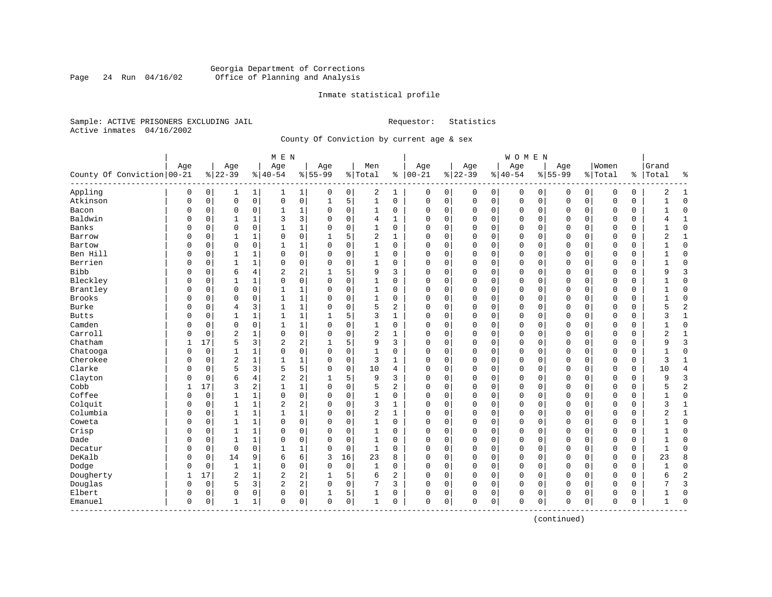#### Georgia Department of Corrections Page 24 Run 04/16/02 Office of Planning and Analysis

#### Inmate statistical profile

Sample: ACTIVE PRISONERS EXCLUDING JAIL **Requestor:** Statistics Active inmates 04/16/2002

County Of Conviction by current age & sex

|                            |             |          |                |              | M E N          |             |             |             |                |                |              |             |             |             | <b>WOMEN</b> |              |             |             |             |             |              |                |
|----------------------------|-------------|----------|----------------|--------------|----------------|-------------|-------------|-------------|----------------|----------------|--------------|-------------|-------------|-------------|--------------|--------------|-------------|-------------|-------------|-------------|--------------|----------------|
|                            | Age         |          | Age            |              | Age            |             | Age         |             | Men            |                | Age          |             | Age         |             | Age          |              | Age         |             | Women       |             | Grand        |                |
| County Of Conviction 00-21 |             |          | $8 22-39$      |              | $8 40-54$      |             | $8 55-99$   |             | %   Total      |                | $% 100 - 21$ |             | $ 22-39$    |             | $8 40-54$    |              | $8155 - 99$ |             | % Total     | ႜၟ          | Total        | ႜ              |
| Appling                    | 0           | 0        | 1              | 1            | 1              | $\mathbf 1$ | 0           | 0           | 2              | 1              | 0            | 0           | 0           | 0           | 0            | 0            | 0           | 0           | 0           | 0           | 2            | 1              |
| Atkinson                   | $\mathbf 0$ | 0        | $\mathbf 0$    | $\mathsf{O}$ | $\mathsf 0$    | 0           | $\mathbf 1$ | 5           | $\mathbf{1}$   | 0              | 0            | 0           | $\mathbf 0$ | $\mathbf 0$ | 0            | $\mathbf 0$  | $\Omega$    | $\mathbf 0$ | O           | 0           | $\mathbf{1}$ | $\mathbf 0$    |
| Bacon                      | 0           | 0        | $\mathbf 0$    | 0            | 1              | 1           | 0           | 0           | 1              | 0              | O            | 0           | $\Omega$    | 0           | 0            | $\mathbf 0$  | 0           | 0           | O           | 0           | $\mathbf{1}$ | $\mathbf 0$    |
| Baldwin                    | 0           | 0        | $\mathbf{1}$   | 1            | 3              | 3           | $\Omega$    | $\mathbf 0$ | 4              | $\mathbf{1}$   | $\Omega$     | 0           | $\Omega$    | $\mathbf 0$ | $\Omega$     | $\mathbf 0$  | $\Omega$    | $\Omega$    | $\Omega$    | 0           | 4            | $\mathbf{1}$   |
| Banks                      | O           | 0        | $\mathbf 0$    | $\mathbf 0$  | $\mathbf{1}$   | $\mathbf 1$ | $\Omega$    | $\mathbf 0$ | $\mathbf{1}$   | $\Omega$       | $\cap$       | 0           | $\Omega$    | $\Omega$    | $\Omega$     | $\sqrt{ }$   | $\Omega$    | $\Omega$    | $\cap$      | $\Omega$    |              | $\mathbf 0$    |
| Barrow                     | U           | 0        | 1              | 1            | $\Omega$       | 0           | 1           | 5           | $\overline{2}$ | $\mathbf{1}$   | 0            | 0           | $\Omega$    | $\Omega$    | 0            | $\Omega$     | $\Omega$    | $\Omega$    | $\Omega$    | 0           | 2            | 1              |
| Bartow                     | 0           | 0        | $\mathbf 0$    | $\mathbf 0$  | 1              | 1           | $\Omega$    | $\mathbf 0$ | 1              | 0              | 0            | 0           | $\Omega$    | 0           | 0            | 0            | $\Omega$    | 0           | $\Omega$    | 0           |              | $\mathbf 0$    |
| Ben Hill                   | 0           | 0        | 1              | 1            | 0              | 0           | $\Omega$    | $\mathbf 0$ | 1              | 0              | C            | 0           | $\Omega$    | 0           | 0            | 0            | $\Omega$    | 0           | 0           | 0           |              | $\mathbf 0$    |
| Berrien                    | 0           | 0        | $\mathbf{1}$   | $\mathbf{1}$ | $\Omega$       | 0           | $\Omega$    | $\mathbf 0$ | $\mathbf{1}$   | $\Omega$       | $\Omega$     | 0           | $\Omega$    | $\Omega$    | $\Omega$     | $\mathbf 0$  | $\Omega$    | $\Omega$    | $\Omega$    | 0           | $\mathbf{1}$ | $\Omega$       |
| <b>Bibb</b>                | O           | 0        | 6              | 4            | 2              | 2           |             | 5           | 9              | 3              | $\Omega$     | 0           | $\Omega$    | 0           | 0            | $\mathbf 0$  | $\Omega$    | $\Omega$    | $\Omega$    | 0           | 9            | 3              |
| Bleckley                   | O           | 0        | $\mathbf{1}$   | $\mathbf{1}$ | 0              | 0           | $\Omega$    | $\mathbf 0$ | $\mathbf{1}$   | 0              | $\Omega$     | 0           | $\Omega$    | $\mathbf 0$ | $\Omega$     | $\mathbf 0$  | $\Omega$    | $\Omega$    | $\Omega$    | $\Omega$    |              | $\mathbf 0$    |
| Brantley                   | 0           | 0        | $\mathbf 0$    | $\mathbf 0$  | $\mathbf{1}$   | 1           | $\Omega$    | $\mathbf 0$ | 1              | $\Omega$       | $\Omega$     | 0           | $\Omega$    | $\mathbf 0$ | $\Omega$     | $\mathbf 0$  | $\Omega$    | $\Omega$    | $\mathbf 0$ | 0           |              | $\mathbf 0$    |
| Brooks                     | 0           | 0        | $\mathbf 0$    | 0            | 1              | 1           | $\Omega$    | $\mathbf 0$ | 1              | 0              | O            | 0           | $\Omega$    | 0           | 0            | 0            | 0           | 0           | 0           | 0           |              | $\mathbf 0$    |
| Burke                      | 0           | 0        | $\overline{4}$ | 3            | 1              | 1           | $\Omega$    | $\mathbf 0$ | 5              | $\overline{a}$ | $\Omega$     | 0           | $\Omega$    | 0           | 0            | $\mathbf 0$  | $\Omega$    | 0           | O           | 0           | 5            | $\overline{c}$ |
| <b>Butts</b>               | 0           | 0        | $\mathbf{1}$   | 1            | 1              | 1           | 1           | 5           | 3              | 1              | $\Omega$     | 0           | $\Omega$    | 0           | 0            | $\Omega$     | $\Omega$    | 0           | $\Omega$    | 0           | 3            | $\mathbf{1}$   |
| Camden                     | O           | 0        | $\mathbf 0$    | 0            | $\mathbf{1}$   | 1           | $\Omega$    | $\mathbf 0$ | $\mathbf{1}$   | 0              | $\Omega$     | 0           | $\Omega$    | 0           | 0            | $\Omega$     | $\Omega$    | 0           | $\Omega$    | 0           |              | $\mathbf 0$    |
| Carroll                    | O           | $\Omega$ | $\overline{c}$ | 1            | $\mathbf 0$    | 0           | $\Omega$    | $\mathbf 0$ | 2              | 1              | C            | 0           | $\Omega$    | $\Omega$    | $\Omega$     | 0            | $\Omega$    | $\Omega$    | $\Omega$    | $\Omega$    | 2            | $\mathbf{1}$   |
| Chatham                    | 1           | 17       | 5              | 3            | 2              | 2           | 1           | 5           | 9              | 3              | O            | 0           | $\Omega$    | 0           | 0            | 0            | $\Omega$    | $\Omega$    | $\Omega$    | 0           | 9            | 3              |
| Chatooga                   | 0           | 0        | 1              | 1            | 0              | 0           | $\Omega$    | $\mathbf 0$ | 1              | 0              | O            | 0           | $\Omega$    | 0           | 0            | $\mathbf 0$  | 0           | 0           | 0           | 0           |              | $\mathbf 0$    |
| Cherokee                   | 0           | 0        | $\overline{2}$ | 1            | 1              | 1           | $\Omega$    | $\mathbf 0$ | 3              | $\mathbf{1}$   | $\Omega$     | 0           | $\Omega$    | 0           | 0            | $\mathbf 0$  | $\Omega$    | 0           | O           | 0           | 3            | $\mathbf{1}$   |
| Clarke                     | 0           | 0        | 5              | 3            | 5              | 5           | $\Omega$    | $\mathbf 0$ | 10             | 4              | $\Omega$     | 0           | $\Omega$    | $\mathbf 0$ | $\Omega$     | $\mathbf 0$  | $\Omega$    | $\Omega$    | $\Omega$    | $\mathbf 0$ | 10           | $\overline{4}$ |
| Clayton                    | U           | 0        | 6              | 4            | 2              | 2           |             | 5           | 9              | 3              | $\Omega$     | 0           | $\Omega$    | 0           | 0            | $\mathbf 0$  | $\Omega$    | 0           | $\Omega$    | 0           | 9            | 3              |
| Cobb                       |             | 17       | 3              | 2            | $\mathbf{1}$   | 1           | $\Omega$    | $\mathbf 0$ | 5              | 2              | O            | 0           | $\Omega$    | 0           | $\Omega$     | $\mathbf 0$  | $\Omega$    | 0           | $\Omega$    | $\Omega$    |              | $\overline{2}$ |
| Coffee                     | 0           | 0        | 1              | 1            | 0              | 0           | $\Omega$    | 0           | 1              | 0              | $\Omega$     | 0           | $\Omega$    | 0           | 0            | 0            | $\Omega$    | $\Omega$    | $\mathbf 0$ | 0           | 1            | $\mathbf 0$    |
| Colquit                    | 0           | 0        | 1              | 1            | $\overline{2}$ | 2           | $\Omega$    | $\mathbf 0$ | 3              | 1              | 0            | 0           | $\Omega$    | 0           | 0            | 0            | 0           | 0           | $\mathbf 0$ | 0           | 3            | 1              |
| Columbia                   | 0           | 0        | $\mathbf{1}$   | $\mathbf{1}$ | $\mathbf{1}$   | $\mathbf 1$ | $\Omega$    | $\mathbf 0$ | $\overline{2}$ | $\mathbf{1}$   | $\Omega$     | 0           | $\Omega$    | $\mathbf 0$ | $\Omega$     | $\mathbf 0$  | $\Omega$    | $\Omega$    | $\Omega$    | 0           | 2            | $\mathbf{1}$   |
| Coweta                     | 0           | 0        | $\mathbf{1}$   | $\mathbf{1}$ | $\mathbf 0$    | 0           | $\Omega$    | $\mathbf 0$ | $\mathbf{1}$   | $\Omega$       | $\Omega$     | 0           | $\Omega$    | $\mathbf 0$ | $\Omega$     | $\Omega$     | $\Omega$    | $\Omega$    | $\Omega$    | 0           | 1            | $\mathbf 0$    |
| Crisp                      | 0           | 0        | $\mathbf{1}$   | 1            | $\Omega$       | 0           | $\Omega$    | 0           | 1              | 0              | $\Omega$     | 0           | $\Omega$    | 0           | 0            | 0            | $\Omega$    | 0           | $\Omega$    | 0           |              | $\mathbf 0$    |
| Dade                       | 0           | 0        | $\mathbf{1}$   | 1            | $\Omega$       | 0           | $\Omega$    | $\mathbf 0$ | 1              | 0              | C            | 0           | $\Omega$    | $\Omega$    | 0            | $\Omega$     | $\Omega$    | 0           | $\Omega$    | $\Omega$    |              | $\mathbf 0$    |
| Decatur                    | 0           | 0        | $\mathbf 0$    | 0            | $\mathbf{1}$   | 1           | 0           | 0           | 1              | 0              | $\Omega$     | 0           | $\Omega$    | 0           | $\Omega$     | $\mathsf{C}$ | $\Omega$    | $\Omega$    | $\mathbf 0$ | 0           | $\mathbf{1}$ | $\Omega$       |
| DeKalb                     | 0           | 0        | 14             | 9            | 6              | 6           | 3           | 16          | 23             | 8              | $\mathbf 0$  | 0           | $\Omega$    | $\mathbf 0$ | $\Omega$     | $\mathbf 0$  | $\Omega$    | $\Omega$    | $\Omega$    | 0           | 23           | 8              |
| Dodge                      | 0           | 0        | $\mathbf{1}$   | $\mathbf{1}$ | $\Omega$       | 0           | $\Omega$    | $\mathbf 0$ | $\mathbf{1}$   | $\Omega$       | $\Omega$     | $\mathbf 0$ | $\Omega$    | $\mathbf 0$ | $\Omega$     | $\mathbf 0$  | $\Omega$    | $\mathbf 0$ | $\Omega$    | 0           |              | $\mathbf 0$    |
| Dougherty                  | 1           | 17       | $\overline{2}$ | $\mathbf{1}$ | $\sqrt{2}$     | 2           | 1           | 5           | 6              | $\mathbf{2}$   | $\Omega$     | 0           | $\Omega$    | 0           | $\Omega$     | $\mathbf 0$  | $\Omega$    | $\Omega$    | $\Omega$    | 0           | 6            | $\overline{2}$ |
| Douglas                    | 0           | 0        | 5              | 3            | 2              | 2           | 0           | 0           | 7              | 3              | $\Omega$     | 0           | $\Omega$    | 0           | 0            | 0            | $\Omega$    | 0           | $\Omega$    | 0           |              | 3              |
| Elbert                     | 0           | 0        | $\mathbf 0$    | 0            | 0              | 0           |             | 5           | 1              | 0              | 0            | 0           | $\Omega$    | 0           | 0            | 0            | 0           | 0           | $\Omega$    | 0           |              | $\mathbf 0$    |
| Emanuel<br>---------       | $\mathbf 0$ | 0        | 1              | $\mathbf 1$  | 0              | 0           | 0           | 0           | 1              | 0              | 0            | 0           | $\Omega$    | 0           | 0            | 0            | $\Omega$    | 0           | $\mathbf 0$ | 0           | 1            | $\bigcap$      |

(continued)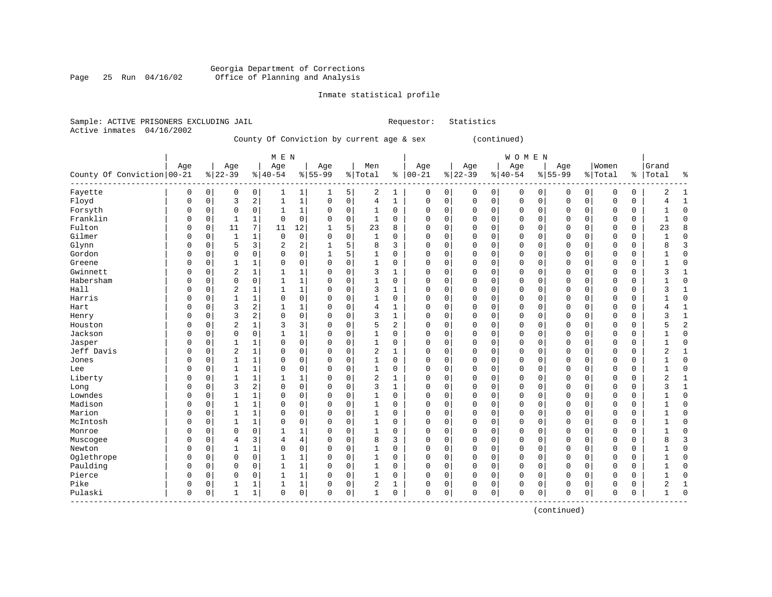#### Georgia Department of Corrections Page 25 Run 04/16/02 Office of Planning and Analysis

# Inmate statistical profile

| Sample: ACTIVE PRISONERS EXCLUDING JAIL |  |                                           |  |  | Requestor: Statistics |
|-----------------------------------------|--|-------------------------------------------|--|--|-----------------------|
| Active inmates 04/16/2002               |  |                                           |  |  |                       |
|                                         |  | County Of Conviction by current age & sex |  |  | (continued)           |
|                                         |  |                                           |  |  |                       |

|                            |     |             |                |              | M E N        |             |              |             |                |                |               |             |          |             | <b>WOMEN</b> |   |           |             |             |          |           |  |
|----------------------------|-----|-------------|----------------|--------------|--------------|-------------|--------------|-------------|----------------|----------------|---------------|-------------|----------|-------------|--------------|---|-----------|-------------|-------------|----------|-----------|--|
|                            | Age |             | Age            |              | Age          |             | Age          |             | Men            |                | Age           |             | Age      |             | Age          |   | Age       |             | Women       |          | Grand     |  |
| County Of Conviction 00-21 |     |             | $ 22-39$       |              | $8 40-54$    |             | $8 55-99$    |             | % Total        |                | $8   00 - 21$ |             | $ 22-39$ |             | $8 40-54$    |   | $8 55-99$ |             | % Total     |          | %   Total |  |
| Fayette                    | 0   | 0           | 0              | 0            | 1            | 1           | 1            | 5           | 2              | 1              | 0             | 0           | 0        | 0           | 0            | 0 | 0         | 0           | 0           | 0        | 2         |  |
| Floyd                      | 0   | $\mathsf 0$ | 3              | 2            | $\mathbf{1}$ | 1           | $\Omega$     | 0           | 4              | 1              | $\Omega$      | $\mathsf 0$ | 0        | 0           | $\mathbf 0$  | 0 | $\Omega$  | $\mathbf 0$ | $\Omega$    | 0        | 4         |  |
| Forsyth                    | O   | 0           | 0              | 0            | 1            | 1           | $\Omega$     | 0           | 1              | 0              | $\Omega$      | 0           | O        | $\Omega$    | $\mathbf 0$  | 0 | $\Omega$  | 0           | $\Omega$    | 0        | 1         |  |
| Franklin                   | O   | 0           | 1              | $\mathbf{1}$ | $\mathbf 0$  | $\mathbf 0$ | $\Omega$     | 0           | 1              | 0              | $\Omega$      | 0           | O        | $\Omega$    | $\mathbf 0$  | 0 | $\Omega$  | 0           | $\Omega$    | 0        | 1         |  |
| Fulton                     | O   | $\mathbf 0$ | 11             | 7            | 11           | 12          | 1            | 5           | 23             | 8              | $\Omega$      | $\mathbf 0$ | O        | $\Omega$    | $\Omega$     | 0 | $\Omega$  | 0           | $\Omega$    | 0        | 23        |  |
| Gilmer                     |     | $\mathbf 0$ | $\mathbf{1}$   | $\mathbf{1}$ | $\mathbf 0$  | 0           | $\Omega$     | $\mathbf 0$ | 1              | 0              | $\Omega$      | $\mathbf 0$ | O        | 0           | $\Omega$     | 0 |           | 0           | $\Omega$    | 0        |           |  |
| Glynn                      |     | 0           | 5              | 3            | 2            | 2           | $\mathbf{1}$ | 5           | 8              | 3              | $\Omega$      | 0           | O        | 0           | $\Omega$     | 0 | O         | 0           | $\Omega$    | 0        | 8         |  |
| Gordon                     | O   | 0           | 0              | $\mathbf 0$  | $\mathbf 0$  | 0           | $\mathbf{1}$ | 5           | $\mathbf{1}$   | $\Omega$       | $\Omega$      | $\mathbf 0$ | 0        | 0           | $\mathbf 0$  | 0 | $\Omega$  | $\mathbf 0$ | $\Omega$    | 0        |           |  |
| Greene                     | U   | 0           | 1              | $\mathbf{1}$ | $\Omega$     | 0           | $\Omega$     | $\mathbf 0$ | $\mathbf{1}$   | 0              | $\Omega$      | $\mathbf 0$ | $\Omega$ | 0           | $\Omega$     | 0 | $\Omega$  | $\mathbf 0$ | $\mathbf 0$ | 0        |           |  |
| Gwinnett                   | O   | 0           | 2              | $\mathbf{1}$ |              | 1           | $\Omega$     | $\mathbf 0$ | 3              |                | $\Omega$      | 0           | 0        | $\Omega$    | 0            | 0 | $\Omega$  | 0           | 0           | 0        | 3         |  |
| Habersham                  | O   | $\mathbf 0$ | 0              | 0            | $\mathbf{1}$ | 1           | $\Omega$     | $\mathbf 0$ | $\mathbf{1}$   | 0              | $\Omega$      | $\mathsf 0$ | 0        | 0           | $\Omega$     | 0 | $\Omega$  | $\mathbf 0$ | $\Omega$    | 0        |           |  |
| Hall                       | U   | 0           | $\overline{2}$ | $\mathbf{1}$ | $\mathbf{1}$ | 1           | $\Omega$     | $\mathbf 0$ | 3              |                | $\Omega$      | $\mathbf 0$ | O        | O           | $\Omega$     | 0 | $\Omega$  | $\mathbf 0$ | $\Omega$    | $\Omega$ | 3         |  |
| Harris                     | U   | $\mathbf 0$ | $\mathbf{1}$   | $\mathbf{1}$ | $\Omega$     | 0           | $\Omega$     | $\mathbf 0$ | $\mathbf{1}$   | 0              | $\Omega$      | $\mathbf 0$ | O        | $\Omega$    | $\Omega$     | 0 | $\Omega$  | $\mathbf 0$ | $\Omega$    | 0        |           |  |
| Hart                       | O   | $\mathbf 0$ | 3              | 2            | $\mathbf{1}$ | 1           |              | $\mathbf 0$ | 4              |                | 0             | $\mathbf 0$ | 0        | $\mathbf 0$ | $\mathbf 0$  | 0 | O         | $\mathbf 0$ | $\Omega$    | 0        | 4         |  |
| Henry                      |     | $\mathsf 0$ | 3              | 2            | $\mathbf 0$  | 0           |              | $\mathbf 0$ | 3              | $\mathbf{1}$   | $\Omega$      | $\mathsf 0$ | 0        | 0           | $\mathbf 0$  | 0 |           | $\mathbf 0$ | $\Omega$    | 0        |           |  |
| Houston                    |     | 0           | $\overline{2}$ | $\mathbf{1}$ | 3            | 3           |              | $\mathbf 0$ | 5              | $\overline{2}$ | $\Omega$      | $\mathbf 0$ | 0        | 0           | $\mathbf 0$  | 0 | O         | $\mathbf 0$ | $\Omega$    | 0        |           |  |
| Jackson                    | O   | 0           | 0              | $\mathbf 0$  | $\mathbf{1}$ | 1           | $\cap$       | $\mathbf 0$ | $\mathbf{1}$   | 0              | $\Omega$      | $\mathbf 0$ | $\Omega$ | 0           | $\mathbf 0$  | 0 | $\Omega$  | $\mathbf 0$ | $\mathbf 0$ | 0        |           |  |
| Jasper                     | U   | 0           | 1              | 1            | $\Omega$     | 0           | O            | 0           | 1              | 0              | $\Omega$      | 0           | $\Omega$ | 0           | 0            | 0 | $\Omega$  | 0           | $\mathbf 0$ | 0        |           |  |
| Jeff Davis                 | O   | 0           | $\overline{2}$ | $\mathbf{1}$ | 0            | 0           | O            | $\mathbf 0$ | $\overline{2}$ |                | 0             | $\mathbf 0$ | 0        | 0           | 0            | 0 | $\Omega$  | 0           | 0           | 0        | 2         |  |
| Jones                      | O   | 0           | 1              | $\mathbf{1}$ | $\Omega$     | 0           | $\Omega$     | $\mathbf 0$ | 1              | 0              | $\Omega$      | $\mathbf 0$ | 0        | 0           | $\mathbf 0$  | 0 | $\Omega$  | $\mathbf 0$ | $\Omega$    | 0        |           |  |
| Lee                        | O   | 0           | 1              | 1            | $\Omega$     | 0           | O            | $\mathbf 0$ | $\mathbf{1}$   | 0              | $\Omega$      | $\mathbf 0$ | 0        | 0           | $\mathbf 0$  | 0 | $\Omega$  | $\mathbf 0$ | $\Omega$    | 0        |           |  |
| Liberty                    | O   | $\Omega$    | 1              | $\mathbf{1}$ | 1            | 1           | 0            | 0           | $\overline{c}$ | 1              | 0             | $\mathbf 0$ | 0        | $\Omega$    | $\Omega$     | 0 | 0         | $\mathbf 0$ | $\Omega$    | $\Omega$ | 2         |  |
| Long                       | O   | 0           | 3              | 2            | $\Omega$     | 0           | 0            | $\mathbf 0$ | 3              | 1              | 0             | $\mathbf 0$ | 0        | $\Omega$    | $\Omega$     | 0 | O         | 0           | $\Omega$    | $\Omega$ | 3         |  |
| Lowndes                    |     | $\mathbf 0$ | 1              | $\mathbf{1}$ | $\Omega$     | 0           | 0            | $\mathbf 0$ | 1              | 0              | 0             | $\mathbf 0$ | 0        | 0           | $\Omega$     | 0 |           | $\mathbf 0$ | $\Omega$    | 0        |           |  |
| Madison                    |     | 0           | 1              | $\mathbf{1}$ | $\Omega$     | 0           | U            | 0           | 1              | $\Omega$       | 0             | 0           | 0        | $\Omega$    | $\Omega$     | 0 | O         | 0           | $\Omega$    | $\Omega$ |           |  |
| Marion                     | O   | 0           | 1              | $\mathbf{1}$ | $\Omega$     | 0           | O            | 0           | 1              | $\Omega$       | $\Omega$      | 0           | 0        | $\Omega$    | $\Omega$     | 0 | $\Omega$  | 0           | $\mathbf 0$ | 0        |           |  |
| McIntosh                   | O   | 0           | 1              | 1            | $\Omega$     | 0           | O            | 0           | 1              | $\Omega$       | U             | 0           | 0        | $\Omega$    | $\Omega$     | 0 | 0         | 0           | $\mathbf 0$ | 0        |           |  |
| Monroe                     | O   | 0           | 0              | 0            |              | 1           | $\Omega$     | 0           | 1              | $\Omega$       | $\Omega$      | 0           | 0        | 0           | 0            | 0 | $\Omega$  | 0           | $\Omega$    | 0        |           |  |
| Muscogee                   | O   | 0           | 4              | 3            | 4            | 4           | $\Omega$     | 0           | 8              | 3              | $\Omega$      | 0           | O        | O           | $\Omega$     | O | $\Omega$  | 0           | $\Omega$    | 0        | 8         |  |
| Newton                     | O   | $\Omega$    | 1              | 1            | $\Omega$     | 0           | $\Omega$     | $\mathbf 0$ | 1              | $\Omega$       | $\Omega$      | $\Omega$    | O        | $\Omega$    | $\Omega$     | 0 | $\Omega$  | $\mathbf 0$ | $\Omega$    | $\Omega$ |           |  |
| Oglethrope                 | O   | 0           | $\Omega$       | 0            | $\mathbf{1}$ | 1           | $\Omega$     | 0           | 1              | 0              | $\Omega$      | 0           | O        | $\Omega$    | $\Omega$     | 0 | $\Omega$  | $\mathbf 0$ | $\Omega$    | 0        |           |  |
| Paulding                   | O   | 0           | 0              | $\mathbf 0$  | $\mathbf{1}$ | 1           | O            | $\mathbf 0$ | 1              | 0              | $\Omega$      | $\mathbf 0$ | O        | 0           | $\Omega$     | 0 | O         | 0           | $\Omega$    | 0        |           |  |
| Pierce                     | O   | $\mathbf 0$ | 0              | $\mathbf 0$  | 1            | 1           | $\Omega$     | $\mathbf 0$ | $\mathbf{1}$   | $\mathbf 0$    | $\Omega$      | $\mathbf 0$ | 0        | $\mathbf 0$ | $\Omega$     | 0 | Ω         | $\mathbf 0$ | $\Omega$    | 0        |           |  |
| Pike                       | O   | $\mathbf 0$ | 1              | $\mathbf{1}$ | $\mathbf{1}$ | $\mathbf 1$ | $\Omega$     | $\mathbf 0$ | $\overline{2}$ | 1              | $\Omega$      | $\mathbf 0$ | 0        | 0           | $\mathbf 0$  | 0 | O         | $\mathbf 0$ | $\Omega$    | 0        | 2         |  |
| Pulaski                    | 0   | 0           | 1              | 1            | $\mathbf 0$  | 0           | $\Omega$     | 0           | 1              | 0              | $\Omega$      | 0           | U        | 0           | $\Omega$     | 0 | $\Omega$  | 0           | $\Omega$    | 0        | 1         |  |

(continued)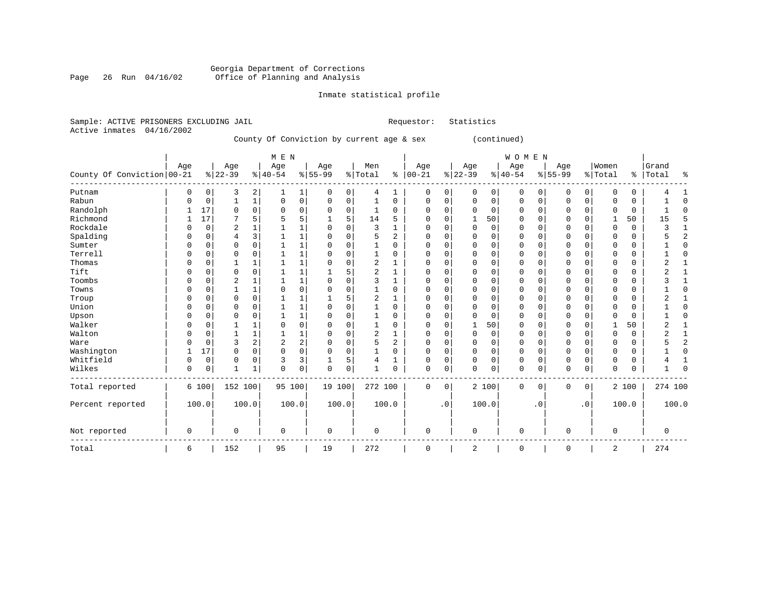#### Georgia Department of Corrections Page 26 Run 04/16/02 Office of Planning and Analysis

# Inmate statistical profile

|  |                           | Sample: ACTIVE PRISONERS EXCLUDING JAIL |                                           | Requestor: | Statistics   |  |
|--|---------------------------|-----------------------------------------|-------------------------------------------|------------|--------------|--|
|  | Active inmates 04/16/2002 |                                         |                                           |            |              |  |
|  |                           |                                         | County Of Conviction by current age & sex |            | (continued)  |  |
|  |                           |                                         | M F. N                                    |            | <b>WOMEN</b> |  |

| County Of Conviction 00-21 | Age      |             | Age<br>$8 22-39$ |              | Age<br>$ 40-54$ |              | Age<br>$8 55-99$ |          | Men<br>% Total |          | Age<br>$% 100-21$ |             | Age<br>$ 22-39$ |                | Age<br>$ 40-54$ |           | Age<br>$8 55-99$ |             | Women<br>% Total | ွေ    | Grand<br>Total | ႜ              |
|----------------------------|----------|-------------|------------------|--------------|-----------------|--------------|------------------|----------|----------------|----------|-------------------|-------------|-----------------|----------------|-----------------|-----------|------------------|-------------|------------------|-------|----------------|----------------|
| Putnam                     | $\Omega$ | 0           | 3                | 2            |                 | 1            | 0                | 0        | 4              | 1        | 0                 | 0           | 0               | 0 <sup>1</sup> | 0               | 0         | 0                | 0           | 0                | 0     |                |                |
| Rabun                      |          | 0           |                  | 1            | 0               | 0            | 0                | 0        |                | 0        | $\mathbf 0$       | $\mathbf 0$ | $\Omega$        | 0              | 0               | 0         | $\mathbf 0$      | $\mathbf 0$ | O                | 0     |                | $\mathbf 0$    |
| Randolph                   |          | 17          | 0                | $\mathbf 0$  | 0               | $\mathbf 0$  | 0                | 0        |                | $\Omega$ | 0                 | 0           | $\Omega$        | $\mathbf 0$    | 0               | $\Omega$  | $\Omega$         | $\Omega$    | O                | 0     |                | $\Omega$       |
| Richmond                   |          | 17          |                  | 5            | 5               | 5            |                  | 5        | 14             | 5        | O                 | $\Omega$    |                 | 50             | O               | U         | $\Omega$         | U           |                  | 50    | 15             | 5              |
| Rockdale                   |          | 0           | 2                | 1            |                 | 1            | 0                | O        | 3              |          | $\Omega$          | 0           | $\mathbf 0$     | $\mathbf 0$    | $\Omega$        | U         | $\mathbf 0$      | $\Omega$    | $\cap$           | 0     | 3              |                |
| Spalding                   | $\Omega$ | 0           | 4                | 3            |                 | $\mathbf{1}$ | 0                | 0        | 5              | 2        | $\Omega$          | 0           | $\Omega$        | $\Omega$       | 0               | U         | $\mathbf 0$      | $\Omega$    | O                | 0     |                | $\overline{2}$ |
| Sumter                     |          | 0           | 0                | 0            |                 | $\mathbf{1}$ | 0                | 0        |                | 0        | $\Omega$          | $\mathbf 0$ | $\Omega$        | 0              | 0               | O         | $\Omega$         | $\Omega$    | $\Omega$         | 0     |                | $\Omega$       |
| Terrell                    | $\cap$   | 0           | 0                | $\Omega$     |                 | $1\,$        | U                | $\Omega$ |                | $\Omega$ | O                 | $\Omega$    | $\Omega$        | $\Omega$       | O               | U         | $\Omega$         | $\Omega$    | C                | 0     |                | $\Omega$       |
| Thomas                     |          | 0           |                  | 1            |                 | $\mathbf 1$  | O                | O        | 2              |          | O                 | $\mathbf 0$ | $\Omega$        | $\mathbf 0$    | 0               | U         | $\Omega$         | $\Omega$    | C                | 0     | ◠<br>4         |                |
| Tift                       |          | 0           | 0                | $\Omega$     |                 | $1\,$        |                  | 5        | 2              |          | $\Omega$          | 0           | $\Omega$        | $\Omega$       | U               | O         | $\Omega$         | $\Omega$    | O                | 0     |                |                |
| Toombs                     |          | 0           | 2                | 1            |                 | $\mathbf{1}$ | 0                | O        |                |          | $\Omega$          | 0           | $\Omega$        | $\mathbf 0$    | 0               | O         | $\Omega$         | $\Omega$    | $\Omega$         | 0     |                |                |
| Towns                      | n        | 0           |                  | $\mathbf{1}$ | $\Omega$        | $\mathbf 0$  | O                | $\Omega$ |                | $\Omega$ | 0                 | $\Omega$    | $\Omega$        | $\Omega$       | 0               | U         | $\Omega$         | $\Omega$    | O                | 0     |                | ∩              |
| Troup                      | $\Omega$ | 0           | 0                | 0            |                 | 1            |                  | 5        | 2              |          | 0                 | $\mathbf 0$ | $\Omega$        | $\Omega$       | $\Omega$        | U         | $\Omega$         | $\Omega$    | O                | 0     | ◠<br>∠         |                |
| Union                      | 0        | 0           | 0                | 0            |                 | $\mathbf 1$  | 0                | $\Omega$ |                | 0        | $\Omega$          | 0           | $\Omega$        | $\Omega$       | 0               | U         | $\Omega$         | O           | C                | 0     |                | $\Omega$       |
| Upson                      | 0        | 0           | $\Omega$         | $\mathbf 0$  |                 | $\mathbf 1$  | 0                | $\Omega$ |                | $\Omega$ | $\Omega$          | $\mathbf 0$ | $\Omega$        | $\Omega$       | 0               | 0         | $\Omega$         | $\Omega$    | O                | 0     |                | $\Omega$       |
| Walker                     | $\Omega$ | 0           |                  | 1            | $\Omega$        | $\mathbf 0$  | U                | O        |                | 0        | 0                 | $\Omega$    |                 | 50             | O               | U         | $\Omega$         | $\Omega$    |                  | 50    | 2              |                |
| Walton                     |          | 0           |                  | 1            |                 | $\mathbf{1}$ | 0                | 0        | 2              |          | O                 | 0           | $\Omega$        | $\mathbf 0$    | $\Omega$        | 0         | $\Omega$         | O           | O                | 0     | 4              |                |
| Ware                       |          | 0           | 3                | 2            | $\overline{2}$  | 2            | O                | $\Omega$ | 5              | 2        | $\Omega$          | $\Omega$    | $\Omega$        | $\Omega$       | 0               | 0         | $\Omega$         | O           | O                | 0     |                | $\overline{2}$ |
| Washington                 |          | 17          | $\Omega$         | $\Omega$     | $\Omega$        | $\mathbf 0$  | 0                | $\Omega$ |                | $\Omega$ | $\Omega$          | $\Omega$    | $\Omega$        | $\Omega$       | 0               | $\Omega$  | $\Omega$         | $\Omega$    | O                | 0     |                | U              |
| Whitfield                  | $\Omega$ | $\mathbf 0$ | 0                | 0            | 3               | 3            | $\mathbf{1}$     | 5        |                |          | O                 | $\mathbf 0$ | $\Omega$        | $\Omega$       | 0               | $\Omega$  | $\mathbf 0$      | $\Omega$    | $\mathbf 0$      | 0     |                |                |
| Wilkes                     | 0        | 0           | 1                | 1            | 0               | $\mathbf 0$  | 0                | 0        |                | 0        | $\mathbf 0$       | 0           | $\Omega$        | $\mathbf 0$    | $\mathbf 0$     | 0         | $\mathbf 0$      | 0           | $\Omega$         | 0     |                |                |
| Total reported             |          | 6 100       | 152 100          |              | 95 100          |              | 19 100           |          | 272 100        |          | $\mathbf 0$       | $\mathbf 0$ |                 | 2 100          | $\mathbf 0$     | 0         | $\mathbf 0$      | $\mathbf 0$ |                  | 2 100 | 274 100        |                |
| Percent reported           |          | 100.0       | 100.0            |              |                 | 100.0        |                  | 100.0    |                | 100.0    |                   | $\cdot$ 0   |                 | 100.0          |                 | $\cdot$ 0 |                  | $\cdot$ 0   |                  | 100.0 |                | 100.0          |
| Not reported               | 0        |             | 0                |              | 0               |              | $\mathbf 0$      |          | $\mathbf 0$    |          | $\mathbf 0$       |             | 0               |                | 0               |           | $\mathbf 0$      |             | $\mathbf 0$      |       | 0              |                |
| Total                      | 6        |             | 152              |              | 95              |              | 19               |          | 272            |          | $\mathbf 0$       |             | 2               |                | $\mathbf 0$     |           | $\mathbf 0$      |             | 2                |       | 274            |                |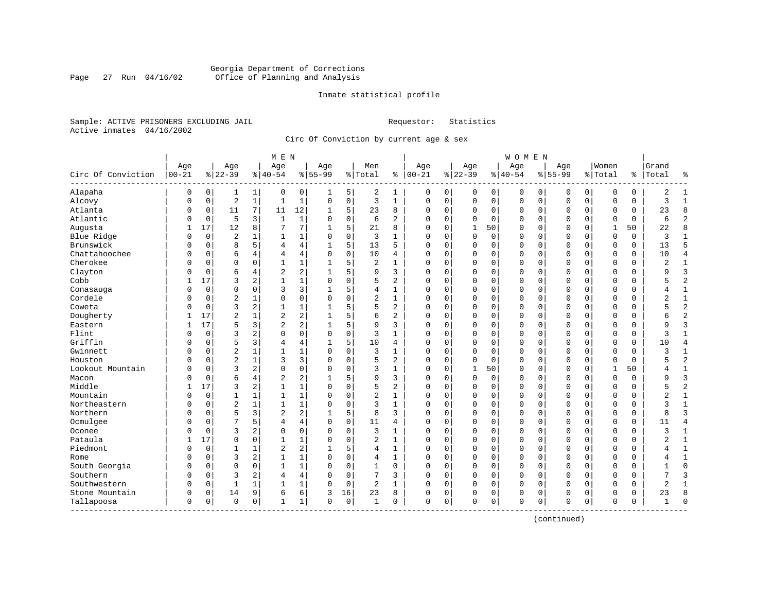#### Georgia Department of Corrections<br>Page 27 Run 04/16/02 Office of Planning and Analysis Page 27 Run 04/16/02 Office of Planning and Analysis

#### Inmate statistical profile

Sample: ACTIVE PRISONERS EXCLUDING JAIL **Requestor:** Statistics Active inmates 04/16/2002

Circ Of Conviction by current age & sex

|                           |                  |             |                 |                | M E N            |                |                  |             |                |                |                 |             |                 |             | W O M E N        |             |                    |             |                  |          |                |                |
|---------------------------|------------------|-------------|-----------------|----------------|------------------|----------------|------------------|-------------|----------------|----------------|-----------------|-------------|-----------------|-------------|------------------|-------------|--------------------|-------------|------------------|----------|----------------|----------------|
| Circ Of Conviction        | Age<br>$00 - 21$ |             | Age<br>$ 22-39$ |                | Age<br>$8 40-54$ |                | Age<br>$8 55-99$ |             | Men<br>% Total | ႜ              | Age<br>$ 00-21$ |             | Age<br>$ 22-39$ |             | Age<br>$8 40-54$ |             | Age<br>$8155 - 99$ |             | Women<br>% Total | %        | Grand<br>Total | န္             |
| Alapaha                   | $\mathbf 0$      | $\mathbf 0$ | 1               | 1              | 0                | 0              | 1                | 5           | 2              | 1              | 0               | 0           | 0               | 0           | 0                | 0           | $\Omega$           | $\mathbf 0$ | $\mathbf 0$      | 0        | 2              | $\mathbf{1}$   |
| Alcovy                    | $\Omega$         | $\mathbf 0$ | $\overline{2}$  | $\mathbf{1}$   | $\mathbf{1}$     | $\mathbf 1$    | $\Omega$         | $\mathbf 0$ | 3              | $\mathbf{1}$   | $\mathbf 0$     | $\mathbf 0$ | $\mathbf 0$     | $\mathbf 0$ | $\mathbf 0$      | $\mathbf 0$ | $\mathbf 0$        | $\mathbf 0$ | $\mathbf 0$      | 0        | 3              | $\mathbf{1}$   |
| Atlanta                   | 0                | 0           | 11              | 7              | 11               | 12             |                  | 5           | 23             | 8              | $\Omega$        | 0           | 0               | $\mathbf 0$ | 0                | 0           | 0                  | $\mathbf 0$ | 0                | 0        | 23             | 8              |
| Atlantic                  | 0                | $\mathbf 0$ | 5               | 3              | $\mathbf{1}$     | $\mathbf 1$    | $\Omega$         | $\mathbf 0$ | 6              | $\overline{a}$ | $\Omega$        | 0           | 0               | $\mathbf 0$ | 0                | 0           | $\Omega$           | 0           | $\mathbf 0$      | $\Omega$ | 6              | $\overline{2}$ |
| Augusta                   | $\mathbf{1}$     | 17          | 12              | 8              | 7                | 7              | 1                | 5           | 21             | 8              | $\Omega$        | $\Omega$    | $\mathbf 1$     | 50          | 0                | $\mathbf 0$ | $\Omega$           | $\Omega$    | 1                | 50       | 22             | $\mathsf{R}$   |
| Blue Ridge                | $\Omega$         | $\mathbf 0$ | $\overline{2}$  |                | 1                | $\mathbf{1}$   | 0                | $\mathbf 0$ | 3              | 1              | 0               | 0           | $\mathbf 0$     | $\mathbf 0$ | $\Omega$         | $\mathbf 0$ | $\Omega$           | $\mathbf 0$ | $\mathbf 0$      | 0        | 3              | $\mathbf{1}$   |
| Brunswick                 | $\Omega$         | $\mathbf 0$ | 8               | 5              | 4                | 4              | $\mathbf{1}$     | 5           | 13             | 5              | $\Omega$        | $\mathbf 0$ | $\mathbf 0$     | $\mathbf 0$ | $\Omega$         | $\mathbf 0$ | $\Omega$           | $\mathbf 0$ | $\mathbf 0$      | $\Omega$ | 13             | 5              |
| Chattahoochee             | O                | $\mathbf 0$ | 6               | 4              | 4                | 4              | $\Omega$         | $\Omega$    | 10             | 4              | $\Omega$        | $\Omega$    | 0               | 0           | $\Omega$         | $\mathbf 0$ | $\mathbf 0$        | $\mathbf 0$ | $\Omega$         | $\Omega$ | 10             | $\overline{4}$ |
| Cherokee                  | N                | $\mathbf 0$ | $\Omega$        | $\Omega$       | 1                | $\mathbf 1$    |                  | 5           | 2              | 1              | $\Omega$        | 0           | 0               | $\mathbf 0$ | 0                | 0           | $\mathbf 0$        | 0           | 0                | 0        | 2              | 1              |
| Clayton                   | O                | $\mathbf 0$ | 6               | 4              | $\overline{2}$   | $\overline{a}$ |                  | 5           | 9              | 3              | $\Omega$        | 0           | 0               | $\mathbf 0$ | 0                | $\mathbf 0$ | $\mathbf{0}$       | 0           | $\mathbf 0$      | 0        | Q              | $\overline{3}$ |
| Cobb                      | 1                | 17          | 3               | 2              | $\mathbf{1}$     | $\mathbf{1}$   | $\Omega$         | $\mathbf 0$ | 5              | $\overline{2}$ | $\Omega$        | $\Omega$    | $\Omega$        | $\mathbf 0$ | 0                | $\mathbf 0$ | $\mathbf 0$        | $\Omega$    | $\mathbf 0$      | 0        | 5              | $\overline{2}$ |
| Conasauga                 | 0                | $\mathbf 0$ | $\mathbf 0$     | $\Omega$       | 3                | 3              | 1                | 5           | 4              | $\mathbf{1}$   | $\Omega$        | $\Omega$    | $\Omega$        | $\mathbf 0$ | $\Omega$         | $\mathbf 0$ | $\mathbf 0$        | $\Omega$    | $\mathbf 0$      | 0        | 4              | $\mathbf 1$    |
| Cordele                   | N                | $\mathbf 0$ | $\overline{2}$  |                | $\Omega$         | 0              | $\Omega$         | $\mathbf 0$ | $\overline{2}$ | $\mathbf{1}$   | $\Omega$        | 0           | $\mathbf 0$     | $\mathbf 0$ | $\Omega$         | $\mathbf 0$ | $\mathbf 0$        | 0           | $\mathbf 0$      | 0        | 2              | $\mathbf{1}$   |
| Coweta                    | N                | $\mathbf 0$ | 3               | 2              | $\mathbf{1}$     | $\mathbf 1$    | 1                | 5           | 5              | $\overline{2}$ | $\Omega$        | $\Omega$    | $\mathbf 0$     | $\mathbf 0$ | $\Omega$         | $\mathbf 0$ | $\mathbf 0$        | $\Omega$    | $\Omega$         | 0        |                | $\overline{2}$ |
| Dougherty                 |                  | 17          | $\overline{2}$  |                | $\overline{2}$   | 2              |                  | 5           | 6              | 2              | $\Omega$        | 0           | 0               | $\mathbf 0$ | 0                | 0           | 0                  | 0           | 0                | 0        |                | $\overline{a}$ |
| Eastern                   | 1                | 17          | 5               | 3              | $\overline{2}$   | 2              |                  | 5           | 9              | 3              | $\Omega$        | 0           | 0               | 0           | 0                | $\mathbf 0$ | 0                  | 0           | $\mathbf 0$      | 0        | Q              | $\overline{3}$ |
| Flint                     | 0                | $\Omega$    | 3               | $\overline{a}$ | $\Omega$         | 0              | $\Omega$         | $\Omega$    | 3              | $\mathbf{1}$   | $\Omega$        | $\Omega$    | $\Omega$        | $\Omega$    | $\Omega$         | $\Omega$    | $\Omega$           | $\Omega$    | $\Omega$         | $\Omega$ | ζ              | $\mathbf{1}$   |
| Griffin                   | 0                | $\Omega$    | 5               | 3              | 4                | 4              |                  | 5           | 10             | 4              | $\Omega$        | $\Omega$    | $\Omega$        | $\mathbf 0$ | $\Omega$         | $\mathbf 0$ | $\Omega$           | $\Omega$    | $\mathbf 0$      | 0        | 10             | $\overline{4}$ |
| Gwinnett                  | N                | $\mathbf 0$ | $\overline{2}$  |                | $\mathbf{1}$     | $\mathbf{1}$   | $\Omega$         | $\mathbf 0$ | 3              | $\mathbf{1}$   | $\Omega$        | 0           | $\mathbf 0$     | $\mathbf 0$ | $\Omega$         | $\mathbf 0$ | $\mathbf{0}$       | $\mathbf 0$ | $\Omega$         | 0        | 3              | $\mathbf{1}$   |
| Houston                   | O                | $\mathbf 0$ | $\overline{2}$  | $\mathbf{1}$   | 3                | 3              | $\Omega$         | $\mathbf 0$ | 5              | $\overline{2}$ | $\Omega$        | $\mathbf 0$ | $\Omega$        | $\mathbf 0$ | $\Omega$         | $\mathbf 0$ | $\mathbf{0}$       | $\mathbf 0$ | $\mathbf 0$      | 0        |                | $\overline{2}$ |
| Lookout Mountain          | U                | $\mathbf 0$ | 3               | $\overline{2}$ | $\Omega$         | 0              | $\Omega$         | 0           | 3              | 1              | $\Omega$        | 0           | 1               | 50          | 0                | 0           | $\mathbf 0$        | 0           | $\mathbf{1}$     | 50       |                | $\mathbf{1}$   |
| Macon                     | O                | $\Omega$    | 6               | $\overline{4}$ | $\overline{2}$   | 2              |                  | 5           | 9              | 3              | $\Omega$        | $\Omega$    | $\Omega$        | $\mathbf 0$ | $\mathbf 0$      | $\mathbf 0$ | $\Omega$           | $\Omega$    | $\mathbf 0$      | $\Omega$ | Q              | $\overline{3}$ |
| Middle                    | 1                | 17          | 3               | 2              | $\mathbf{1}$     | $\mathbf{1}$   | $\Omega$         | $\Omega$    | 5              | $\overline{a}$ | $\Omega$        | $\Omega$    | $\Omega$        | $\Omega$    | $\Omega$         | $\Omega$    | $\Omega$           | $\Omega$    | $\Omega$         | $\Omega$ | 5              | $\overline{2}$ |
| Mountain                  | $\Omega$         | $\mathbf 0$ | 1               | 1              | $\mathbf{1}$     | $\mathbf{1}$   | $\Omega$         | $\mathbf 0$ | $\overline{c}$ | $\mathbf{1}$   | $\Omega$        | $\Omega$    | $\Omega$        | $\mathbf 0$ | $\Omega$         | $\mathbf 0$ | $\mathbf{0}$       | $\Omega$    | $\mathbf 0$      | 0        | 2              | $\mathbf{1}$   |
| Northeastern              | O                | $\mathbf 0$ | $\overline{2}$  | $\mathbf{1}$   | $\mathbf{1}$     | $\mathbf 1$    |                  | $\mathbf 0$ | 3              | $\mathbf{1}$   | $\Omega$        | 0           | $\mathbf 0$     | $\mathbf 0$ | $\Omega$         | $\mathbf 0$ | $\mathbf{0}$       | 0           | $\mathbf 0$      | 0        | 3              | $\mathbf{1}$   |
| Northern                  | O                | $\mathbf 0$ | 5               | 3              | $\overline{c}$   | 2              | 1                | 5           | 8              | 3              | $\Omega$        | $\mathbf 0$ | $\mathbf 0$     | $\mathbf 0$ | $\Omega$         | $\mathbf 0$ | $\mathbf{0}$       | $\mathbf 0$ | $\Omega$         | 0        | $\mathsf{R}$   | $\overline{3}$ |
| Ocmulgee                  | O                | 0           | 7               | 5              | 4                | 4              | $\Omega$         | 0           | 11             | 4              | $\Omega$        | 0           | 0               | $\mathbf 0$ | 0                | 0           | 0                  | 0           | 0                | 0        | 11             | $\overline{4}$ |
| Oconee                    | 0                | $\Omega$    | 3               | 2              | $\Omega$         | 0              | $\Omega$         | $\Omega$    | 3              | $\mathbf{1}$   | $\Omega$        | $\Omega$    | $\Omega$        | $\Omega$    | $\mathbf 0$      | $\mathbf 0$ | $\Omega$           | $\Omega$    | $\mathbf 0$      | $\Omega$ | 3              | $\mathbf{1}$   |
| Pataula                   | 1                | 17          | $\Omega$        | $\Omega$       | $\mathbf{1}$     | $\mathbf{1}$   | $\Omega$         | $\Omega$    | $\overline{2}$ | $\mathbf{1}$   | $\Omega$        | $\Omega$    | $\Omega$        | $\Omega$    | $\Omega$         | $\Omega$    | $\Omega$           | $\Omega$    | $\Omega$         | $\Omega$ | 2              | $\mathbf{1}$   |
| Piedmont                  | 0                | $\mathbf 0$ | 1               | 1              | $\overline{2}$   | $\overline{c}$ |                  | 5           | 4              | $\mathbf{1}$   | $\Omega$        | $\Omega$    | $\Omega$        | $\mathbf 0$ | $\Omega$         | $\mathbf 0$ | $\mathbf{0}$       | $\Omega$    | $\mathbf 0$      | 0        |                | $\mathbf{1}$   |
| Rome                      | 0                | $\mathbf 0$ | 3               | 2              | $\mathbf{1}$     | 1              | $\Omega$         | $\mathsf 0$ | 4              | $\mathbf{1}$   | $\Omega$        | 0           | $\mathbf 0$     | 0           | $\Omega$         | $\mathbf 0$ | $\mathbf{0}$       | $\mathbf 0$ | $\mathbf 0$      | 0        |                | $\mathbf{1}$   |
| South Georgia             | O                | $\mathbf 0$ | $\Omega$        | $\mathbf 0$    | $\mathbf{1}$     | $\mathbf 1$    | $\Omega$         | $\mathbf 0$ | $\mathbf{1}$   | $\Omega$       | $\mathbf 0$     | $\mathbf 0$ | $\mathbf 0$     | $\mathbf 0$ | 0                | 0           | $\mathbf{0}$       | $\mathbf 0$ | $\mathbf 0$      | 0        | -1             | $\Omega$       |
| Southern                  | $\Omega$         | $\mathbf 0$ | 3               | 2              | 4                | 4              | $\Omega$         | $\mathbf 0$ | 7              | 3              | $\mathbf 0$     | $\mathbf 0$ | 0               | $\mathbf 0$ | 0                | $\mathbf 0$ | $\mathbf{0}$       | $\Omega$    | $\mathbf 0$      | 0        | 7              | 3              |
| Southwestern              | $\Omega$         | $\Omega$    | 1               |                | $\mathbf{1}$     | $\mathbf 1$    | $\Omega$         | $\mathbf 0$ | $\overline{c}$ | $\mathbf{1}$   | $\Omega$        | $\mathbf 0$ | 0               | $\mathbf 0$ | $\mathbf 0$      | $\mathbf 0$ | $\mathbf{0}$       | 0           | $\Omega$         | 0        | $\overline{2}$ | $\mathbf{1}$   |
| Stone Mountain            | 0                | $\mathbf 0$ | 14              | 9              | 6                | 6              | 3                | 16          | 23             | 8              | $\Omega$        | 0           | 0               | $\mathbf 0$ | $\Omega$         | $\mathbf 0$ | $\Omega$           | 0           | $\Omega$         | 0        | 23             | $\mathsf{R}$   |
| Tallapoosa<br>----------- | $\Omega$         | 0           | $\Omega$        | $\mathsf 0$    | $\mathbf{1}$     | $\mathbf 1$    | $\Omega$         | $\mathbf 0$ | $\mathbf{1}$   | 0              | $\mathbf 0$     | 0           | $\Omega$        | 0           | $\mathbf 0$      | $\mathbf 0$ | $\mathbf{0}$       | 0           | $\mathbf 0$      | 0        |                | $\Omega$       |

(continued)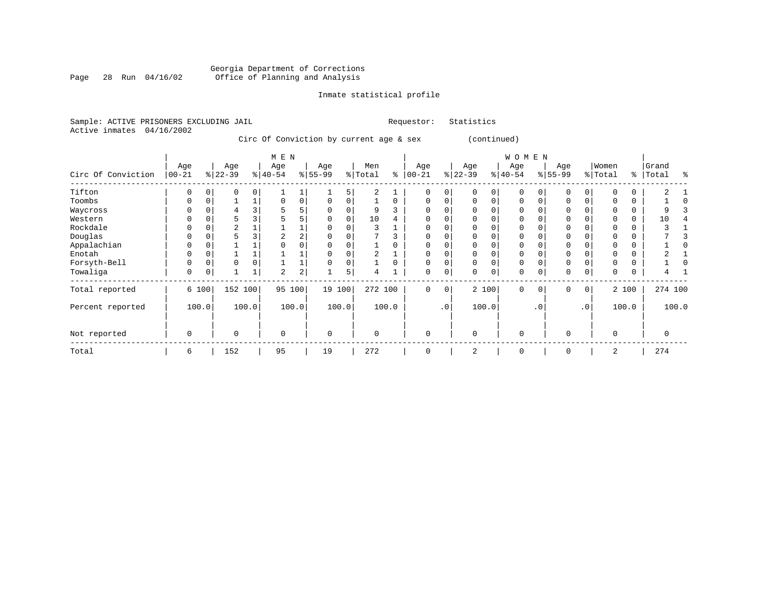#### Georgia Department of Corrections Page 28 Run 04/16/02 Office of Planning and Analysis

# Inmate statistical profile

|  | Sample: ACTIVE PRISONERS EXCLUDING JAIL |  |                                         |  |  | Requestor: Statistics |  |
|--|-----------------------------------------|--|-----------------------------------------|--|--|-----------------------|--|
|  | Active inmates 04/16/2002               |  |                                         |  |  |                       |  |
|  |                                         |  | Circ Of Conviction by current age & sex |  |  | (continued)           |  |
|  |                                         |  | M T NT                                  |  |  |                       |  |

|                    |                   |       |                  |          | M E N            |       |                  |       |                |          |                   |          |                 |          | WOMEN           |     |                 |                 |                  |       |                |       |
|--------------------|-------------------|-------|------------------|----------|------------------|-------|------------------|-------|----------------|----------|-------------------|----------|-----------------|----------|-----------------|-----|-----------------|-----------------|------------------|-------|----------------|-------|
| Circ Of Conviction | Age<br>$ 00 - 21$ |       | Age<br>$ 22-39 $ |          | Age<br>$ 40-54 $ |       | Age<br>$8 55-99$ |       | Men<br>% Total | ⊱        | Age<br>$ 00 - 21$ |          | Age<br>$ 22-39$ |          | Age<br>$ 40-54$ |     | Age<br>$ 55-99$ |                 | Women<br>% Total | ွေ    | Grand<br>Total | န္    |
| Tifton             | $\Omega$          |       | 0                | $\Omega$ |                  |       |                  | 5     | 2              |          | $\Omega$          | $\Omega$ |                 | $\Omega$ | $\Omega$        |     |                 | 0               |                  | 0     | 2              |       |
| Toombs             | O                 |       |                  |          |                  | 0     |                  |       |                | 0        |                   |          |                 | $\Omega$ | U               |     |                 |                 |                  | 0     |                |       |
| Waycross           | O                 |       |                  |          |                  |       |                  |       | 9              |          |                   |          |                 |          |                 |     |                 |                 |                  |       |                |       |
| Western            | 0                 |       | 5                |          |                  |       | U                | n     | 10             | 4        |                   |          |                 |          |                 |     |                 |                 |                  | 0     | 10             |       |
| Rockdale           |                   |       | $\overline{2}$   |          |                  |       |                  |       |                |          |                   |          |                 |          |                 |     |                 |                 |                  | 0     |                |       |
| Douglas            | O                 |       | 5                |          |                  |       |                  |       |                |          |                   |          |                 |          |                 |     |                 |                 |                  |       |                |       |
| Appalachian        | 0                 |       |                  |          |                  |       |                  |       |                |          |                   |          |                 |          |                 |     |                 |                 |                  | 0     |                |       |
| Enotah             | O                 |       |                  |          |                  |       |                  |       |                |          | $\Omega$          |          |                 |          |                 |     |                 |                 |                  | 0     |                |       |
| Forsyth-Bell       | $\Omega$          |       | $\Omega$         |          |                  |       |                  |       |                | $\Omega$ | $\Omega$          |          |                 |          | $\Omega$        |     | $\Omega$        |                 |                  | 0     |                |       |
| Towaliga           | $\mathbf 0$       |       |                  | ⊥        | 2                | 2     |                  | 5     | 4              |          | 0                 | 0        |                 | 0        | 0               |     | $\Omega$        | 0               |                  |       |                |       |
| Total reported     |                   | 6 100 | 152 100          |          | 95 100           |       | 19 100           |       | 272 100        |          | 0                 | 0        |                 | 2 100    | $\mathbf 0$     | 0   | 0               | 0 <sup>1</sup>  |                  | 2 100 | 274 100        |       |
| Percent reported   |                   | 100.0 |                  | 100.0    |                  | 100.0 |                  | 100.0 |                | 100.0    |                   | .0       |                 | 100.0    |                 | . 0 |                 | .0 <sup>1</sup> |                  | 100.0 |                | 100.0 |
| Not reported       | $\mathbf 0$       |       | $\mathbf 0$      |          | $\Omega$         |       | $\mathbf 0$      |       | $\Omega$       |          | $\Omega$          |          | $\Omega$        |          | $\mathbf 0$     |     | $\Omega$        |                 | $\Omega$         |       | $\Omega$       |       |
| Total              | 6                 |       | 152              |          | 95               |       | 19               |       | 272            |          | O                 |          | $\overline{2}$  |          | 0               |     | $\Omega$        |                 | 2                |       | 274            |       |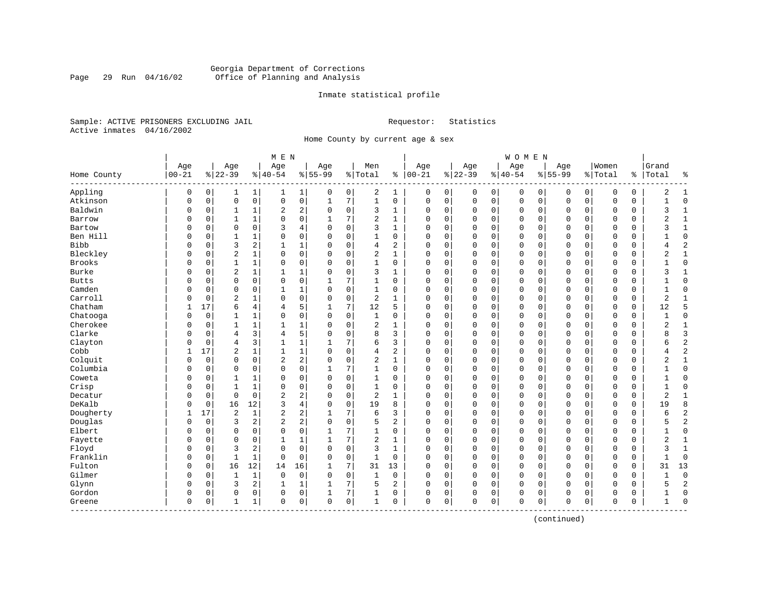#### Georgia Department of Corrections Page 29 Run 04/16/02 Office of Planning and Analysis

#### Inmate statistical profile

Sample: ACTIVE PRISONERS EXCLUDING JAIL **Requestor:** Statistics Active inmates 04/16/2002

Home County by current age & sex

| Age<br>Age<br>Women<br>Grand<br>Age<br>Age<br>Age<br>Men<br>Age<br>Age<br>Age<br>$00 - 21$<br>$8 22-39$<br>$ 40-54$<br>$8   00 - 21$<br>$8 22-39$<br>$8 55-99$<br>$8155 - 99$<br>% Total<br>$8 40-54$<br>% Total<br>Total<br>Home County<br>$\frac{8}{6}$<br>Appling<br>0<br>0<br>$\mathbf{1}$<br>0<br>2<br>$\mathbf{1}$<br>0<br>$\mathbf 0$<br>$\mathbf 0$<br>$\mathbf 0$<br>0<br>1<br>$\mathbf{1}$<br>0<br>0<br>$\mathbf 0$<br>0<br>0<br>0<br>1<br>0<br>Atkinson<br>$\mathbf 0$<br>$\mathbf 0$<br>0<br>7<br>$\mathbf{1}$<br>0<br>$\mathbf 0$<br>0<br>$\mathbf 0$<br>$\mathbf 0$<br>$\mathbf 0$<br>$\mathbf 0$<br>$\mathbf 0$<br>$\mathbf 0$<br>$\mathbf 0$<br>0<br>$\Omega$<br>0<br>$\mathbf{1}$<br>Baldwin<br>2<br>2<br>0<br>3<br>0<br>0<br>1<br>$\mathbf 0$<br>$\Omega$<br>0<br>0<br>0<br>0<br>0<br>0<br>0<br>0<br>0<br>1<br>1<br>0<br>0<br>7<br>2<br>0<br>$\Omega$<br>$\mathbf 0$<br>Barrow<br>O<br>0<br>1<br>1<br>$\Omega$<br>0<br>$\mathbf 0$<br>0<br>0<br>0<br>0<br>1<br>1<br>Bartow<br>$\mathbf 0$<br>3<br>3<br>0<br>$\Omega$<br>$\mathbf 0$<br>0<br>0<br>4<br>$\Omega$<br>$\Omega$<br>1<br>$\Omega$<br>0<br>$\mathbf 0$<br>$\Omega$<br>$\mathbf 0$<br>$\Omega$<br>0<br>O<br>Ben Hill<br>0<br>$\mathbf 0$<br>0<br>0<br>$\mathbf 0$<br>0<br>1<br>0<br>$\Omega$<br>1<br>0<br>0<br>$\mathbf 0$<br>0<br>$\mathbf 0$<br>0<br>0<br>0<br>0<br>1<br>Bibb<br>3<br>2<br>$\mathbf{1}$<br>$\mathbf 1$<br>$\mathbf 0$<br>2<br>$\mathbf 0$<br>0<br>0<br>4<br>$\Omega$<br>0<br>$\mathbf 0$<br>0<br>$\Omega$<br>$\mathbf 0$<br>$\Omega$<br>0<br>0<br>$\Omega$<br>Bleckley<br>$\overline{2}$<br>$\mathbf{1}$<br>0<br>0<br>$\mathbf 0$<br>2<br>$\mathbf{1}$<br>$\mathbf 0$<br>$\mathbf 0$<br>0<br>$\Omega$<br>0<br>$\mathbf 0$<br>0<br>$\Omega$<br>0<br>$\Omega$<br>0<br>0<br>U<br><b>Brooks</b><br>$\mathbf 0$<br>O<br>0<br>$\mathbf{1}$<br>1<br>0<br>0<br>$\Omega$<br>0<br>1<br>0<br>0<br>$\mathbf 0$<br>0<br>0<br>0<br>0<br>0<br>0<br>0<br>Burke<br>$\overline{2}$<br>1<br>$\mathbf 0$<br>$\mathbf 0$<br>0<br>0<br>$\mathbf 0$<br>O<br>0<br>1<br>$\mathbf{1}$<br>$\Omega$<br>3<br>1<br>$\Omega$<br>0<br>$\mathbf 0$<br>$\mathbf 0$<br>0<br>0<br><b>Butts</b><br>$\mathbf 0$<br>$\mathbf 0$<br>0<br>0<br>7<br>0<br>$\Omega$<br>$\mathbf 0$<br>1<br>0<br>$\Omega$<br>0<br>$\mathbf 0$<br>$\Omega$<br>$\mathbf 0$<br>$\Omega$<br>0<br>O<br>0<br>1<br>Camden<br>$\Omega$<br>1<br>$\mathbf 0$<br>0<br>0<br>$\mathbf 0$<br>$\Omega$<br>$\mathbf 0$<br>$\mathbf{1}$<br>$\Omega$<br>$\mathbf{1}$<br>$\Omega$<br>$\Omega$<br>$\Omega$<br>$\mathbf 0$<br>$\Omega$<br>$\Omega$<br>0<br>0<br>$\Omega$<br>Carroll<br>$\overline{2}$<br>0<br>$\mathbf 0$<br>$\overline{c}$<br>$\mathbf{1}$<br>$\mathbf 0$<br>0<br>$\mathbf{1}$<br>0<br>$\Omega$<br>$\Omega$<br>0<br>$\Omega$<br>0<br>$\Omega$<br>$\mathbf 0$<br>$\Omega$<br>0<br>0<br>0<br>Chatham<br>17<br>5<br>7<br>12<br>5<br>12<br>6<br>4<br>$\Omega$<br>0<br>$\mathbf{0}$<br>0<br>$\Omega$<br>$\mathbf 0$<br>$\mathbf{0}$<br>0<br>$\Omega$<br>1<br>1<br>0<br>4<br>Chatooga<br>0<br>$\mathbf 0$<br>0<br>0<br>O<br>0<br>1<br>1<br>$\Omega$<br>$\Omega$<br>1<br>0<br>0<br>0<br>$\mathbf 0$<br>0<br>0<br>0<br>0<br>0<br>Cherokee<br>1<br>0<br>1<br>$\mathbf{1}$<br>$\Omega$<br>0<br>2<br>1<br>$\Omega$<br>0<br>$\mathbf 0$<br>0<br>0<br>$\mathbf 0$<br>0<br>0<br>$\mathbf 0$<br>0<br>O<br>$\mathbf{1}$<br>Clarke<br>3<br>5<br>8<br>3<br>$\Omega$<br>$\Omega$<br>$\overline{4}$<br>$\Omega$<br>$\Omega$<br>$\Omega$<br>0<br>$\Omega$<br>$\Omega$<br>$\Omega$<br>$\Omega$<br>$\Omega$<br>$\Omega$<br>O<br>$\Omega$<br>4<br>3<br>$\overline{4}$<br>$\mathbf 1$<br>7<br>6<br>3<br>Clayton<br>$\mathbf{1}$<br>$\Omega$<br>0<br>$\mathbf{0}$<br>$\mathbf 0$<br>$\Omega$<br>$\mathbf 0$<br>$\Omega$<br>$\Omega$<br>$\Omega$<br>0<br>0<br>$\Omega$<br>1<br>Cobb<br>$\overline{2}$<br>$\mathbf{1}$<br>$\mathbf 1$<br>$\mathbf 0$<br>$\overline{c}$<br>$\mathbf 0$<br>17<br>$\mathbf{1}$<br>$\Omega$<br>4<br>$\Omega$<br>0<br>$\Omega$<br>0<br>$\Omega$<br>$\mathbf 0$<br>$\Omega$<br>0<br>0<br>1<br>$\overline{c}$<br>$\overline{\mathbf{c}}$<br>$\overline{c}$<br>Colquit<br>$\mathbf 0$<br>$\mathbf 0$<br>$\Omega$<br>$\mathbf 0$<br>$\mathbf{1}$<br>$\Omega$<br>0<br>$\mathbf{0}$<br>0<br>$\Omega$<br>$\mathbf 0$<br>$\mathbf{0}$<br>$\mathbf 0$<br>$\Omega$<br>$\Omega$<br>0<br>0<br>Columbia<br>0<br>7<br>0<br>O<br>0<br>$\mathbf 0$<br>0<br>0<br>1<br>0<br>0<br>0<br>$\mathbf 0$<br>0<br>0<br>0<br>$\mathbf 0$<br>0<br>0<br>Coweta<br>0<br>$\mathbf 0$<br>0<br>$\mathbf{1}$<br>$\Omega$<br>$\Omega$<br>$\Omega$<br>0<br>$\mathbf{0}$<br>0<br>$\Omega$<br>$\mathbf 0$<br>$\Omega$<br>$\Omega$<br>$\mathbf 0$<br>0<br>O<br>$\mathbf{1}$<br>1<br>$\Omega$<br>Crisp<br>$\mathbf{1}$<br>$\Omega$<br>$\mathbf 0$<br>$\mathbf{1}$<br>$\mathbf{1}$<br>0<br>0<br>$\Omega$<br>$\Omega$<br>$\Omega$<br>0<br>$\Omega$<br>$\Omega$<br>$\Omega$<br>$\Omega$<br>$\Omega$<br>$\Omega$<br>0<br>$\Omega$<br>$\Omega$<br>2<br>$\mathbf 0$<br>$\mathbf 0$<br>$\overline{c}$<br>$\mathbf 0$<br>$\overline{c}$<br>$\mathbf 0$<br>0<br>$\Omega$<br>0<br>$\mathbf{0}$<br>$\Omega$<br>$\mathbf 0$<br>$\Omega$<br>$\Omega$<br>$\mathbf 0$<br>0<br>Decatur<br>O<br>$\Omega$<br>1<br>DeKalb<br>12<br>3<br>$\overline{4}$<br>$\mathbf 0$<br>19<br>$\mathbf 0$<br>0<br>16<br>$\Omega$<br>8<br>$\Omega$<br>0<br>0<br>$\Omega$<br>$\mathbf 0$<br>$\Omega$<br>0<br>0<br>19<br>0<br>$\Omega$ | ៖<br>2<br>$\mathbf{1}$<br>$\Omega$<br>$\mathbf{1}$<br>ς<br>1<br>2<br>$\mathbf 1$<br>1<br>ζ<br>$\mathbf 0$<br>$\overline{c}$<br>4<br>$\overline{2}$<br>$1\,$<br>$\mathbf 0$<br>3<br>1<br>$\Omega$<br>1 |
|--------------------------------------------------------------------------------------------------------------------------------------------------------------------------------------------------------------------------------------------------------------------------------------------------------------------------------------------------------------------------------------------------------------------------------------------------------------------------------------------------------------------------------------------------------------------------------------------------------------------------------------------------------------------------------------------------------------------------------------------------------------------------------------------------------------------------------------------------------------------------------------------------------------------------------------------------------------------------------------------------------------------------------------------------------------------------------------------------------------------------------------------------------------------------------------------------------------------------------------------------------------------------------------------------------------------------------------------------------------------------------------------------------------------------------------------------------------------------------------------------------------------------------------------------------------------------------------------------------------------------------------------------------------------------------------------------------------------------------------------------------------------------------------------------------------------------------------------------------------------------------------------------------------------------------------------------------------------------------------------------------------------------------------------------------------------------------------------------------------------------------------------------------------------------------------------------------------------------------------------------------------------------------------------------------------------------------------------------------------------------------------------------------------------------------------------------------------------------------------------------------------------------------------------------------------------------------------------------------------------------------------------------------------------------------------------------------------------------------------------------------------------------------------------------------------------------------------------------------------------------------------------------------------------------------------------------------------------------------------------------------------------------------------------------------------------------------------------------------------------------------------------------------------------------------------------------------------------------------------------------------------------------------------------------------------------------------------------------------------------------------------------------------------------------------------------------------------------------------------------------------------------------------------------------------------------------------------------------------------------------------------------------------------------------------------------------------------------------------------------------------------------------------------------------------------------------------------------------------------------------------------------------------------------------------------------------------------------------------------------------------------------------------------------------------------------------------------------------------------------------------------------------------------------------------------------------------------------------------------------------------------------------------------------------------------------------------------------------------------------------------------------------------------------------------------------------------------------------------------------------------------------------------------------------------------------------------------------------------------------------------------------------------------------------------------------------------------------------------------------------------------------------------------------------------------------------------------------------------------------------------------------------------------------------------------------------------------------------------------------------------------------------------------------------------------------------------------------------------------------------------------------------------------------------------------------------------------------------------------------------------------------------------------------------------------------------------------------------------------------------------------|-------------------------------------------------------------------------------------------------------------------------------------------------------------------------------------------------------|
|                                                                                                                                                                                                                                                                                                                                                                                                                                                                                                                                                                                                                                                                                                                                                                                                                                                                                                                                                                                                                                                                                                                                                                                                                                                                                                                                                                                                                                                                                                                                                                                                                                                                                                                                                                                                                                                                                                                                                                                                                                                                                                                                                                                                                                                                                                                                                                                                                                                                                                                                                                                                                                                                                                                                                                                                                                                                                                                                                                                                                                                                                                                                                                                                                                                                                                                                                                                                                                                                                                                                                                                                                                                                                                                                                                                                                                                                                                                                                                                                                                                                                                                                                                                                                                                                                                                                                                                                                                                                                                                                                                                                                                                                                                                                                                                                                                                                                                                                                                                                                                                                                                                                                                                                                                                                                                                                                                                      |                                                                                                                                                                                                       |
|                                                                                                                                                                                                                                                                                                                                                                                                                                                                                                                                                                                                                                                                                                                                                                                                                                                                                                                                                                                                                                                                                                                                                                                                                                                                                                                                                                                                                                                                                                                                                                                                                                                                                                                                                                                                                                                                                                                                                                                                                                                                                                                                                                                                                                                                                                                                                                                                                                                                                                                                                                                                                                                                                                                                                                                                                                                                                                                                                                                                                                                                                                                                                                                                                                                                                                                                                                                                                                                                                                                                                                                                                                                                                                                                                                                                                                                                                                                                                                                                                                                                                                                                                                                                                                                                                                                                                                                                                                                                                                                                                                                                                                                                                                                                                                                                                                                                                                                                                                                                                                                                                                                                                                                                                                                                                                                                                                                      |                                                                                                                                                                                                       |
|                                                                                                                                                                                                                                                                                                                                                                                                                                                                                                                                                                                                                                                                                                                                                                                                                                                                                                                                                                                                                                                                                                                                                                                                                                                                                                                                                                                                                                                                                                                                                                                                                                                                                                                                                                                                                                                                                                                                                                                                                                                                                                                                                                                                                                                                                                                                                                                                                                                                                                                                                                                                                                                                                                                                                                                                                                                                                                                                                                                                                                                                                                                                                                                                                                                                                                                                                                                                                                                                                                                                                                                                                                                                                                                                                                                                                                                                                                                                                                                                                                                                                                                                                                                                                                                                                                                                                                                                                                                                                                                                                                                                                                                                                                                                                                                                                                                                                                                                                                                                                                                                                                                                                                                                                                                                                                                                                                                      |                                                                                                                                                                                                       |
|                                                                                                                                                                                                                                                                                                                                                                                                                                                                                                                                                                                                                                                                                                                                                                                                                                                                                                                                                                                                                                                                                                                                                                                                                                                                                                                                                                                                                                                                                                                                                                                                                                                                                                                                                                                                                                                                                                                                                                                                                                                                                                                                                                                                                                                                                                                                                                                                                                                                                                                                                                                                                                                                                                                                                                                                                                                                                                                                                                                                                                                                                                                                                                                                                                                                                                                                                                                                                                                                                                                                                                                                                                                                                                                                                                                                                                                                                                                                                                                                                                                                                                                                                                                                                                                                                                                                                                                                                                                                                                                                                                                                                                                                                                                                                                                                                                                                                                                                                                                                                                                                                                                                                                                                                                                                                                                                                                                      |                                                                                                                                                                                                       |
|                                                                                                                                                                                                                                                                                                                                                                                                                                                                                                                                                                                                                                                                                                                                                                                                                                                                                                                                                                                                                                                                                                                                                                                                                                                                                                                                                                                                                                                                                                                                                                                                                                                                                                                                                                                                                                                                                                                                                                                                                                                                                                                                                                                                                                                                                                                                                                                                                                                                                                                                                                                                                                                                                                                                                                                                                                                                                                                                                                                                                                                                                                                                                                                                                                                                                                                                                                                                                                                                                                                                                                                                                                                                                                                                                                                                                                                                                                                                                                                                                                                                                                                                                                                                                                                                                                                                                                                                                                                                                                                                                                                                                                                                                                                                                                                                                                                                                                                                                                                                                                                                                                                                                                                                                                                                                                                                                                                      |                                                                                                                                                                                                       |
|                                                                                                                                                                                                                                                                                                                                                                                                                                                                                                                                                                                                                                                                                                                                                                                                                                                                                                                                                                                                                                                                                                                                                                                                                                                                                                                                                                                                                                                                                                                                                                                                                                                                                                                                                                                                                                                                                                                                                                                                                                                                                                                                                                                                                                                                                                                                                                                                                                                                                                                                                                                                                                                                                                                                                                                                                                                                                                                                                                                                                                                                                                                                                                                                                                                                                                                                                                                                                                                                                                                                                                                                                                                                                                                                                                                                                                                                                                                                                                                                                                                                                                                                                                                                                                                                                                                                                                                                                                                                                                                                                                                                                                                                                                                                                                                                                                                                                                                                                                                                                                                                                                                                                                                                                                                                                                                                                                                      |                                                                                                                                                                                                       |
|                                                                                                                                                                                                                                                                                                                                                                                                                                                                                                                                                                                                                                                                                                                                                                                                                                                                                                                                                                                                                                                                                                                                                                                                                                                                                                                                                                                                                                                                                                                                                                                                                                                                                                                                                                                                                                                                                                                                                                                                                                                                                                                                                                                                                                                                                                                                                                                                                                                                                                                                                                                                                                                                                                                                                                                                                                                                                                                                                                                                                                                                                                                                                                                                                                                                                                                                                                                                                                                                                                                                                                                                                                                                                                                                                                                                                                                                                                                                                                                                                                                                                                                                                                                                                                                                                                                                                                                                                                                                                                                                                                                                                                                                                                                                                                                                                                                                                                                                                                                                                                                                                                                                                                                                                                                                                                                                                                                      |                                                                                                                                                                                                       |
|                                                                                                                                                                                                                                                                                                                                                                                                                                                                                                                                                                                                                                                                                                                                                                                                                                                                                                                                                                                                                                                                                                                                                                                                                                                                                                                                                                                                                                                                                                                                                                                                                                                                                                                                                                                                                                                                                                                                                                                                                                                                                                                                                                                                                                                                                                                                                                                                                                                                                                                                                                                                                                                                                                                                                                                                                                                                                                                                                                                                                                                                                                                                                                                                                                                                                                                                                                                                                                                                                                                                                                                                                                                                                                                                                                                                                                                                                                                                                                                                                                                                                                                                                                                                                                                                                                                                                                                                                                                                                                                                                                                                                                                                                                                                                                                                                                                                                                                                                                                                                                                                                                                                                                                                                                                                                                                                                                                      |                                                                                                                                                                                                       |
|                                                                                                                                                                                                                                                                                                                                                                                                                                                                                                                                                                                                                                                                                                                                                                                                                                                                                                                                                                                                                                                                                                                                                                                                                                                                                                                                                                                                                                                                                                                                                                                                                                                                                                                                                                                                                                                                                                                                                                                                                                                                                                                                                                                                                                                                                                                                                                                                                                                                                                                                                                                                                                                                                                                                                                                                                                                                                                                                                                                                                                                                                                                                                                                                                                                                                                                                                                                                                                                                                                                                                                                                                                                                                                                                                                                                                                                                                                                                                                                                                                                                                                                                                                                                                                                                                                                                                                                                                                                                                                                                                                                                                                                                                                                                                                                                                                                                                                                                                                                                                                                                                                                                                                                                                                                                                                                                                                                      |                                                                                                                                                                                                       |
|                                                                                                                                                                                                                                                                                                                                                                                                                                                                                                                                                                                                                                                                                                                                                                                                                                                                                                                                                                                                                                                                                                                                                                                                                                                                                                                                                                                                                                                                                                                                                                                                                                                                                                                                                                                                                                                                                                                                                                                                                                                                                                                                                                                                                                                                                                                                                                                                                                                                                                                                                                                                                                                                                                                                                                                                                                                                                                                                                                                                                                                                                                                                                                                                                                                                                                                                                                                                                                                                                                                                                                                                                                                                                                                                                                                                                                                                                                                                                                                                                                                                                                                                                                                                                                                                                                                                                                                                                                                                                                                                                                                                                                                                                                                                                                                                                                                                                                                                                                                                                                                                                                                                                                                                                                                                                                                                                                                      |                                                                                                                                                                                                       |
|                                                                                                                                                                                                                                                                                                                                                                                                                                                                                                                                                                                                                                                                                                                                                                                                                                                                                                                                                                                                                                                                                                                                                                                                                                                                                                                                                                                                                                                                                                                                                                                                                                                                                                                                                                                                                                                                                                                                                                                                                                                                                                                                                                                                                                                                                                                                                                                                                                                                                                                                                                                                                                                                                                                                                                                                                                                                                                                                                                                                                                                                                                                                                                                                                                                                                                                                                                                                                                                                                                                                                                                                                                                                                                                                                                                                                                                                                                                                                                                                                                                                                                                                                                                                                                                                                                                                                                                                                                                                                                                                                                                                                                                                                                                                                                                                                                                                                                                                                                                                                                                                                                                                                                                                                                                                                                                                                                                      |                                                                                                                                                                                                       |
|                                                                                                                                                                                                                                                                                                                                                                                                                                                                                                                                                                                                                                                                                                                                                                                                                                                                                                                                                                                                                                                                                                                                                                                                                                                                                                                                                                                                                                                                                                                                                                                                                                                                                                                                                                                                                                                                                                                                                                                                                                                                                                                                                                                                                                                                                                                                                                                                                                                                                                                                                                                                                                                                                                                                                                                                                                                                                                                                                                                                                                                                                                                                                                                                                                                                                                                                                                                                                                                                                                                                                                                                                                                                                                                                                                                                                                                                                                                                                                                                                                                                                                                                                                                                                                                                                                                                                                                                                                                                                                                                                                                                                                                                                                                                                                                                                                                                                                                                                                                                                                                                                                                                                                                                                                                                                                                                                                                      |                                                                                                                                                                                                       |
|                                                                                                                                                                                                                                                                                                                                                                                                                                                                                                                                                                                                                                                                                                                                                                                                                                                                                                                                                                                                                                                                                                                                                                                                                                                                                                                                                                                                                                                                                                                                                                                                                                                                                                                                                                                                                                                                                                                                                                                                                                                                                                                                                                                                                                                                                                                                                                                                                                                                                                                                                                                                                                                                                                                                                                                                                                                                                                                                                                                                                                                                                                                                                                                                                                                                                                                                                                                                                                                                                                                                                                                                                                                                                                                                                                                                                                                                                                                                                                                                                                                                                                                                                                                                                                                                                                                                                                                                                                                                                                                                                                                                                                                                                                                                                                                                                                                                                                                                                                                                                                                                                                                                                                                                                                                                                                                                                                                      | $\Omega$<br>1                                                                                                                                                                                         |
|                                                                                                                                                                                                                                                                                                                                                                                                                                                                                                                                                                                                                                                                                                                                                                                                                                                                                                                                                                                                                                                                                                                                                                                                                                                                                                                                                                                                                                                                                                                                                                                                                                                                                                                                                                                                                                                                                                                                                                                                                                                                                                                                                                                                                                                                                                                                                                                                                                                                                                                                                                                                                                                                                                                                                                                                                                                                                                                                                                                                                                                                                                                                                                                                                                                                                                                                                                                                                                                                                                                                                                                                                                                                                                                                                                                                                                                                                                                                                                                                                                                                                                                                                                                                                                                                                                                                                                                                                                                                                                                                                                                                                                                                                                                                                                                                                                                                                                                                                                                                                                                                                                                                                                                                                                                                                                                                                                                      | $\overline{2}$<br>$\mathbf{1}$                                                                                                                                                                        |
|                                                                                                                                                                                                                                                                                                                                                                                                                                                                                                                                                                                                                                                                                                                                                                                                                                                                                                                                                                                                                                                                                                                                                                                                                                                                                                                                                                                                                                                                                                                                                                                                                                                                                                                                                                                                                                                                                                                                                                                                                                                                                                                                                                                                                                                                                                                                                                                                                                                                                                                                                                                                                                                                                                                                                                                                                                                                                                                                                                                                                                                                                                                                                                                                                                                                                                                                                                                                                                                                                                                                                                                                                                                                                                                                                                                                                                                                                                                                                                                                                                                                                                                                                                                                                                                                                                                                                                                                                                                                                                                                                                                                                                                                                                                                                                                                                                                                                                                                                                                                                                                                                                                                                                                                                                                                                                                                                                                      | 5                                                                                                                                                                                                     |
|                                                                                                                                                                                                                                                                                                                                                                                                                                                                                                                                                                                                                                                                                                                                                                                                                                                                                                                                                                                                                                                                                                                                                                                                                                                                                                                                                                                                                                                                                                                                                                                                                                                                                                                                                                                                                                                                                                                                                                                                                                                                                                                                                                                                                                                                                                                                                                                                                                                                                                                                                                                                                                                                                                                                                                                                                                                                                                                                                                                                                                                                                                                                                                                                                                                                                                                                                                                                                                                                                                                                                                                                                                                                                                                                                                                                                                                                                                                                                                                                                                                                                                                                                                                                                                                                                                                                                                                                                                                                                                                                                                                                                                                                                                                                                                                                                                                                                                                                                                                                                                                                                                                                                                                                                                                                                                                                                                                      | $\mathbf{0}$                                                                                                                                                                                          |
|                                                                                                                                                                                                                                                                                                                                                                                                                                                                                                                                                                                                                                                                                                                                                                                                                                                                                                                                                                                                                                                                                                                                                                                                                                                                                                                                                                                                                                                                                                                                                                                                                                                                                                                                                                                                                                                                                                                                                                                                                                                                                                                                                                                                                                                                                                                                                                                                                                                                                                                                                                                                                                                                                                                                                                                                                                                                                                                                                                                                                                                                                                                                                                                                                                                                                                                                                                                                                                                                                                                                                                                                                                                                                                                                                                                                                                                                                                                                                                                                                                                                                                                                                                                                                                                                                                                                                                                                                                                                                                                                                                                                                                                                                                                                                                                                                                                                                                                                                                                                                                                                                                                                                                                                                                                                                                                                                                                      | $\overline{2}$<br>1                                                                                                                                                                                   |
|                                                                                                                                                                                                                                                                                                                                                                                                                                                                                                                                                                                                                                                                                                                                                                                                                                                                                                                                                                                                                                                                                                                                                                                                                                                                                                                                                                                                                                                                                                                                                                                                                                                                                                                                                                                                                                                                                                                                                                                                                                                                                                                                                                                                                                                                                                                                                                                                                                                                                                                                                                                                                                                                                                                                                                                                                                                                                                                                                                                                                                                                                                                                                                                                                                                                                                                                                                                                                                                                                                                                                                                                                                                                                                                                                                                                                                                                                                                                                                                                                                                                                                                                                                                                                                                                                                                                                                                                                                                                                                                                                                                                                                                                                                                                                                                                                                                                                                                                                                                                                                                                                                                                                                                                                                                                                                                                                                                      | $\overline{3}$<br>R                                                                                                                                                                                   |
|                                                                                                                                                                                                                                                                                                                                                                                                                                                                                                                                                                                                                                                                                                                                                                                                                                                                                                                                                                                                                                                                                                                                                                                                                                                                                                                                                                                                                                                                                                                                                                                                                                                                                                                                                                                                                                                                                                                                                                                                                                                                                                                                                                                                                                                                                                                                                                                                                                                                                                                                                                                                                                                                                                                                                                                                                                                                                                                                                                                                                                                                                                                                                                                                                                                                                                                                                                                                                                                                                                                                                                                                                                                                                                                                                                                                                                                                                                                                                                                                                                                                                                                                                                                                                                                                                                                                                                                                                                                                                                                                                                                                                                                                                                                                                                                                                                                                                                                                                                                                                                                                                                                                                                                                                                                                                                                                                                                      | $\overline{2}$<br>6                                                                                                                                                                                   |
|                                                                                                                                                                                                                                                                                                                                                                                                                                                                                                                                                                                                                                                                                                                                                                                                                                                                                                                                                                                                                                                                                                                                                                                                                                                                                                                                                                                                                                                                                                                                                                                                                                                                                                                                                                                                                                                                                                                                                                                                                                                                                                                                                                                                                                                                                                                                                                                                                                                                                                                                                                                                                                                                                                                                                                                                                                                                                                                                                                                                                                                                                                                                                                                                                                                                                                                                                                                                                                                                                                                                                                                                                                                                                                                                                                                                                                                                                                                                                                                                                                                                                                                                                                                                                                                                                                                                                                                                                                                                                                                                                                                                                                                                                                                                                                                                                                                                                                                                                                                                                                                                                                                                                                                                                                                                                                                                                                                      | $\overline{2}$<br>4                                                                                                                                                                                   |
|                                                                                                                                                                                                                                                                                                                                                                                                                                                                                                                                                                                                                                                                                                                                                                                                                                                                                                                                                                                                                                                                                                                                                                                                                                                                                                                                                                                                                                                                                                                                                                                                                                                                                                                                                                                                                                                                                                                                                                                                                                                                                                                                                                                                                                                                                                                                                                                                                                                                                                                                                                                                                                                                                                                                                                                                                                                                                                                                                                                                                                                                                                                                                                                                                                                                                                                                                                                                                                                                                                                                                                                                                                                                                                                                                                                                                                                                                                                                                                                                                                                                                                                                                                                                                                                                                                                                                                                                                                                                                                                                                                                                                                                                                                                                                                                                                                                                                                                                                                                                                                                                                                                                                                                                                                                                                                                                                                                      | $\overline{c}$<br>$\mathbf 1$                                                                                                                                                                         |
|                                                                                                                                                                                                                                                                                                                                                                                                                                                                                                                                                                                                                                                                                                                                                                                                                                                                                                                                                                                                                                                                                                                                                                                                                                                                                                                                                                                                                                                                                                                                                                                                                                                                                                                                                                                                                                                                                                                                                                                                                                                                                                                                                                                                                                                                                                                                                                                                                                                                                                                                                                                                                                                                                                                                                                                                                                                                                                                                                                                                                                                                                                                                                                                                                                                                                                                                                                                                                                                                                                                                                                                                                                                                                                                                                                                                                                                                                                                                                                                                                                                                                                                                                                                                                                                                                                                                                                                                                                                                                                                                                                                                                                                                                                                                                                                                                                                                                                                                                                                                                                                                                                                                                                                                                                                                                                                                                                                      | $\mathbf{0}$                                                                                                                                                                                          |
|                                                                                                                                                                                                                                                                                                                                                                                                                                                                                                                                                                                                                                                                                                                                                                                                                                                                                                                                                                                                                                                                                                                                                                                                                                                                                                                                                                                                                                                                                                                                                                                                                                                                                                                                                                                                                                                                                                                                                                                                                                                                                                                                                                                                                                                                                                                                                                                                                                                                                                                                                                                                                                                                                                                                                                                                                                                                                                                                                                                                                                                                                                                                                                                                                                                                                                                                                                                                                                                                                                                                                                                                                                                                                                                                                                                                                                                                                                                                                                                                                                                                                                                                                                                                                                                                                                                                                                                                                                                                                                                                                                                                                                                                                                                                                                                                                                                                                                                                                                                                                                                                                                                                                                                                                                                                                                                                                                                      | $\Omega$                                                                                                                                                                                              |
|                                                                                                                                                                                                                                                                                                                                                                                                                                                                                                                                                                                                                                                                                                                                                                                                                                                                                                                                                                                                                                                                                                                                                                                                                                                                                                                                                                                                                                                                                                                                                                                                                                                                                                                                                                                                                                                                                                                                                                                                                                                                                                                                                                                                                                                                                                                                                                                                                                                                                                                                                                                                                                                                                                                                                                                                                                                                                                                                                                                                                                                                                                                                                                                                                                                                                                                                                                                                                                                                                                                                                                                                                                                                                                                                                                                                                                                                                                                                                                                                                                                                                                                                                                                                                                                                                                                                                                                                                                                                                                                                                                                                                                                                                                                                                                                                                                                                                                                                                                                                                                                                                                                                                                                                                                                                                                                                                                                      | $\Omega$<br>$\mathbf{1}$                                                                                                                                                                              |
|                                                                                                                                                                                                                                                                                                                                                                                                                                                                                                                                                                                                                                                                                                                                                                                                                                                                                                                                                                                                                                                                                                                                                                                                                                                                                                                                                                                                                                                                                                                                                                                                                                                                                                                                                                                                                                                                                                                                                                                                                                                                                                                                                                                                                                                                                                                                                                                                                                                                                                                                                                                                                                                                                                                                                                                                                                                                                                                                                                                                                                                                                                                                                                                                                                                                                                                                                                                                                                                                                                                                                                                                                                                                                                                                                                                                                                                                                                                                                                                                                                                                                                                                                                                                                                                                                                                                                                                                                                                                                                                                                                                                                                                                                                                                                                                                                                                                                                                                                                                                                                                                                                                                                                                                                                                                                                                                                                                      | $\overline{2}$<br>$\mathbf{1}$                                                                                                                                                                        |
|                                                                                                                                                                                                                                                                                                                                                                                                                                                                                                                                                                                                                                                                                                                                                                                                                                                                                                                                                                                                                                                                                                                                                                                                                                                                                                                                                                                                                                                                                                                                                                                                                                                                                                                                                                                                                                                                                                                                                                                                                                                                                                                                                                                                                                                                                                                                                                                                                                                                                                                                                                                                                                                                                                                                                                                                                                                                                                                                                                                                                                                                                                                                                                                                                                                                                                                                                                                                                                                                                                                                                                                                                                                                                                                                                                                                                                                                                                                                                                                                                                                                                                                                                                                                                                                                                                                                                                                                                                                                                                                                                                                                                                                                                                                                                                                                                                                                                                                                                                                                                                                                                                                                                                                                                                                                                                                                                                                      | 8                                                                                                                                                                                                     |
| $\overline{2}$<br>$\overline{c}$<br>2<br>Dougherty<br>17<br>$\mathbf{1}$<br>7<br>6<br>3<br>$\Omega$<br>0<br>$\mathbf{0}$<br>0<br>$\Omega$<br>$\mathbf 0$<br>$\mathbf 0$<br>1<br>1<br>0<br>0<br>0                                                                                                                                                                                                                                                                                                                                                                                                                                                                                                                                                                                                                                                                                                                                                                                                                                                                                                                                                                                                                                                                                                                                                                                                                                                                                                                                                                                                                                                                                                                                                                                                                                                                                                                                                                                                                                                                                                                                                                                                                                                                                                                                                                                                                                                                                                                                                                                                                                                                                                                                                                                                                                                                                                                                                                                                                                                                                                                                                                                                                                                                                                                                                                                                                                                                                                                                                                                                                                                                                                                                                                                                                                                                                                                                                                                                                                                                                                                                                                                                                                                                                                                                                                                                                                                                                                                                                                                                                                                                                                                                                                                                                                                                                                                                                                                                                                                                                                                                                                                                                                                                                                                                                                                     | $\overline{2}$<br>6                                                                                                                                                                                   |
| Douglas<br>2<br>2<br>3<br>2<br>0<br>5<br>0<br>0<br>$\mathbf 0$<br>2<br>0<br>0<br>$\mathbf 0$<br>0<br>0<br>0<br>0<br>$\mathbf 0$<br>0<br>0                                                                                                                                                                                                                                                                                                                                                                                                                                                                                                                                                                                                                                                                                                                                                                                                                                                                                                                                                                                                                                                                                                                                                                                                                                                                                                                                                                                                                                                                                                                                                                                                                                                                                                                                                                                                                                                                                                                                                                                                                                                                                                                                                                                                                                                                                                                                                                                                                                                                                                                                                                                                                                                                                                                                                                                                                                                                                                                                                                                                                                                                                                                                                                                                                                                                                                                                                                                                                                                                                                                                                                                                                                                                                                                                                                                                                                                                                                                                                                                                                                                                                                                                                                                                                                                                                                                                                                                                                                                                                                                                                                                                                                                                                                                                                                                                                                                                                                                                                                                                                                                                                                                                                                                                                                            | $\overline{2}$<br>5                                                                                                                                                                                   |
| Elbert<br>0<br>7<br>$\mathbf 0$<br>$\mathbf 0$<br>0<br>$\mathbf{1}$<br>$\Omega$<br>0<br>0<br>$\Omega$<br>$\mathbf 0$<br>$\Omega$<br>$\Omega$<br>$\Omega$<br>0<br>O<br>0<br>$\mathbf{1}$<br>$\Omega$<br>$\mathbf 0$                                                                                                                                                                                                                                                                                                                                                                                                                                                                                                                                                                                                                                                                                                                                                                                                                                                                                                                                                                                                                                                                                                                                                                                                                                                                                                                                                                                                                                                                                                                                                                                                                                                                                                                                                                                                                                                                                                                                                                                                                                                                                                                                                                                                                                                                                                                                                                                                                                                                                                                                                                                                                                                                                                                                                                                                                                                                                                                                                                                                                                                                                                                                                                                                                                                                                                                                                                                                                                                                                                                                                                                                                                                                                                                                                                                                                                                                                                                                                                                                                                                                                                                                                                                                                                                                                                                                                                                                                                                                                                                                                                                                                                                                                                                                                                                                                                                                                                                                                                                                                                                                                                                                                                   | $\Omega$                                                                                                                                                                                              |
| Fayette<br>7<br>$\overline{2}$<br>$\Omega$<br>$\Omega$<br>$\mathbf{1}$<br>1<br>$\Omega$<br>0<br>$\Omega$<br>$\Omega$<br>$\Omega$<br>$\Omega$<br>$\Omega$<br>$\Omega$<br>$\Omega$<br>$\Omega$<br>O<br>$\Omega$<br>1<br>1                                                                                                                                                                                                                                                                                                                                                                                                                                                                                                                                                                                                                                                                                                                                                                                                                                                                                                                                                                                                                                                                                                                                                                                                                                                                                                                                                                                                                                                                                                                                                                                                                                                                                                                                                                                                                                                                                                                                                                                                                                                                                                                                                                                                                                                                                                                                                                                                                                                                                                                                                                                                                                                                                                                                                                                                                                                                                                                                                                                                                                                                                                                                                                                                                                                                                                                                                                                                                                                                                                                                                                                                                                                                                                                                                                                                                                                                                                                                                                                                                                                                                                                                                                                                                                                                                                                                                                                                                                                                                                                                                                                                                                                                                                                                                                                                                                                                                                                                                                                                                                                                                                                                                              | $\overline{2}$<br>$\mathbf 1$                                                                                                                                                                         |
| $\overline{3}$<br>2<br>3<br>Floyd<br>$\Omega$<br>0<br>$\mathbf 0$<br>$\mathbf 0$<br>$\mathbf{1}$<br>0<br>$\mathbf{0}$<br>$\mathbf 0$<br>$\Omega$<br>$\mathbf 0$<br>$\Omega$<br>$\Omega$<br>$\Omega$<br>O<br>0<br>$\Omega$<br>0                                                                                                                                                                                                                                                                                                                                                                                                                                                                                                                                                                                                                                                                                                                                                                                                                                                                                                                                                                                                                                                                                                                                                                                                                                                                                                                                                                                                                                                                                                                                                                                                                                                                                                                                                                                                                                                                                                                                                                                                                                                                                                                                                                                                                                                                                                                                                                                                                                                                                                                                                                                                                                                                                                                                                                                                                                                                                                                                                                                                                                                                                                                                                                                                                                                                                                                                                                                                                                                                                                                                                                                                                                                                                                                                                                                                                                                                                                                                                                                                                                                                                                                                                                                                                                                                                                                                                                                                                                                                                                                                                                                                                                                                                                                                                                                                                                                                                                                                                                                                                                                                                                                                                       | 3<br>$\mathbf{1}$                                                                                                                                                                                     |
| Franklin<br>$\mathbf{1}$<br>0<br>$\mathbf{1}$<br>0<br>$\mathbf{1}$<br>0<br>0<br>$\Omega$<br>0<br>$\Omega$<br>0<br>$\Omega$<br>0<br>0<br>$\mathbf 0$<br>0<br>0<br>$\mathbf 0$<br>0<br>0                                                                                                                                                                                                                                                                                                                                                                                                                                                                                                                                                                                                                                                                                                                                                                                                                                                                                                                                                                                                                                                                                                                                                                                                                                                                                                                                                                                                                                                                                                                                                                                                                                                                                                                                                                                                                                                                                                                                                                                                                                                                                                                                                                                                                                                                                                                                                                                                                                                                                                                                                                                                                                                                                                                                                                                                                                                                                                                                                                                                                                                                                                                                                                                                                                                                                                                                                                                                                                                                                                                                                                                                                                                                                                                                                                                                                                                                                                                                                                                                                                                                                                                                                                                                                                                                                                                                                                                                                                                                                                                                                                                                                                                                                                                                                                                                                                                                                                                                                                                                                                                                                                                                                                                               | $\Omega$                                                                                                                                                                                              |
| 16<br>12<br>7<br>Fulton<br>16<br>31<br>13<br>$\mathbf{0}$<br>0<br>$\mathbf{0}$<br>$\mathbf 0$<br>$\Omega$<br>$\mathbf{0}$<br>$\mathbf 0$<br>$\mathbf 0$<br>0<br>0<br>14<br>1<br>0<br>0<br>31                                                                                                                                                                                                                                                                                                                                                                                                                                                                                                                                                                                                                                                                                                                                                                                                                                                                                                                                                                                                                                                                                                                                                                                                                                                                                                                                                                                                                                                                                                                                                                                                                                                                                                                                                                                                                                                                                                                                                                                                                                                                                                                                                                                                                                                                                                                                                                                                                                                                                                                                                                                                                                                                                                                                                                                                                                                                                                                                                                                                                                                                                                                                                                                                                                                                                                                                                                                                                                                                                                                                                                                                                                                                                                                                                                                                                                                                                                                                                                                                                                                                                                                                                                                                                                                                                                                                                                                                                                                                                                                                                                                                                                                                                                                                                                                                                                                                                                                                                                                                                                                                                                                                                                                         | 13                                                                                                                                                                                                    |
| Gilmer<br>$\mathbf{1}$<br>$\mathbf 0$<br>0<br>$\Omega$<br>$\mathbf 0$<br>$\mathbf{1}$<br>0<br>$\mathbf{0}$<br>0<br>$\mathbf 0$<br>$\Omega$<br>$\mathbf 0$<br>$\mathbf{0}$<br>$\Omega$<br>$\mathbf 0$<br>0<br>0<br>$\mathbf{1}$<br>$\mathbf 0$<br>0                                                                                                                                                                                                                                                                                                                                                                                                                                                                                                                                                                                                                                                                                                                                                                                                                                                                                                                                                                                                                                                                                                                                                                                                                                                                                                                                                                                                                                                                                                                                                                                                                                                                                                                                                                                                                                                                                                                                                                                                                                                                                                                                                                                                                                                                                                                                                                                                                                                                                                                                                                                                                                                                                                                                                                                                                                                                                                                                                                                                                                                                                                                                                                                                                                                                                                                                                                                                                                                                                                                                                                                                                                                                                                                                                                                                                                                                                                                                                                                                                                                                                                                                                                                                                                                                                                                                                                                                                                                                                                                                                                                                                                                                                                                                                                                                                                                                                                                                                                                                                                                                                                                                   | $\mathbf{0}$                                                                                                                                                                                          |
| $\overline{3}$<br>2<br>7<br>$\overline{2}$<br>$\mathbf 0$<br>Glynn<br>0<br>1<br>5<br>$\mathbf{0}$<br>0<br>$\Omega$<br>$\Omega$<br>$\mathbf 0$<br>0<br>O<br>$\mathbf{1}$<br>$\mathbf{1}$<br>$\mathbf 0$<br>$\mathbf 0$<br>0                                                                                                                                                                                                                                                                                                                                                                                                                                                                                                                                                                                                                                                                                                                                                                                                                                                                                                                                                                                                                                                                                                                                                                                                                                                                                                                                                                                                                                                                                                                                                                                                                                                                                                                                                                                                                                                                                                                                                                                                                                                                                                                                                                                                                                                                                                                                                                                                                                                                                                                                                                                                                                                                                                                                                                                                                                                                                                                                                                                                                                                                                                                                                                                                                                                                                                                                                                                                                                                                                                                                                                                                                                                                                                                                                                                                                                                                                                                                                                                                                                                                                                                                                                                                                                                                                                                                                                                                                                                                                                                                                                                                                                                                                                                                                                                                                                                                                                                                                                                                                                                                                                                                                           | $\overline{2}$<br>5                                                                                                                                                                                   |
| Gordon<br>7<br>$\mathbf 0$<br>0<br>$\Omega$<br>0<br>0<br>0<br>1<br>1<br>0<br>0<br>0<br>$\Omega$<br>$\Omega$<br>0<br>$\Omega$<br>0<br>$\mathbf 0$<br>0<br>0                                                                                                                                                                                                                                                                                                                                                                                                                                                                                                                                                                                                                                                                                                                                                                                                                                                                                                                                                                                                                                                                                                                                                                                                                                                                                                                                                                                                                                                                                                                                                                                                                                                                                                                                                                                                                                                                                                                                                                                                                                                                                                                                                                                                                                                                                                                                                                                                                                                                                                                                                                                                                                                                                                                                                                                                                                                                                                                                                                                                                                                                                                                                                                                                                                                                                                                                                                                                                                                                                                                                                                                                                                                                                                                                                                                                                                                                                                                                                                                                                                                                                                                                                                                                                                                                                                                                                                                                                                                                                                                                                                                                                                                                                                                                                                                                                                                                                                                                                                                                                                                                                                                                                                                                                           | $\Omega$<br>1                                                                                                                                                                                         |
| 0<br>0<br>0<br>$\mathbf 0$<br>0<br>$\mathbf{0}$<br>0<br>$\mathbf 0$<br>$\Omega$<br>$\mathbf 0$<br>$\Omega$<br>$\mathbf 0$<br>$\mathbf 0$<br>Greene<br>0<br>1<br>1<br>0<br>$\Omega$<br>0<br>1                                                                                                                                                                                                                                                                                                                                                                                                                                                                                                                                                                                                                                                                                                                                                                                                                                                                                                                                                                                                                                                                                                                                                                                                                                                                                                                                                                                                                                                                                                                                                                                                                                                                                                                                                                                                                                                                                                                                                                                                                                                                                                                                                                                                                                                                                                                                                                                                                                                                                                                                                                                                                                                                                                                                                                                                                                                                                                                                                                                                                                                                                                                                                                                                                                                                                                                                                                                                                                                                                                                                                                                                                                                                                                                                                                                                                                                                                                                                                                                                                                                                                                                                                                                                                                                                                                                                                                                                                                                                                                                                                                                                                                                                                                                                                                                                                                                                                                                                                                                                                                                                                                                                                                                         | $\Omega$<br>1                                                                                                                                                                                         |

(continued)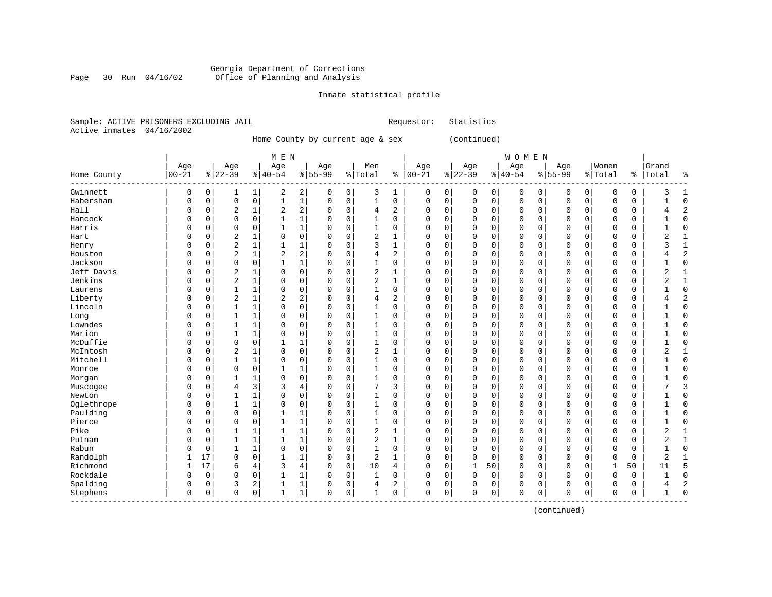#### Georgia Department of Corrections Page 30 Run 04/16/02 Office of Planning and Analysis

#### Inmate statistical profile

|  | Sample: ACTIVE PRISONERS EXCLUDING JAIL | Requestor: Statistics |  |
|--|-----------------------------------------|-----------------------|--|
|  | Active inmates 04/16/2002               |                       |  |

------------------------------------------------------------------------------------------------------------------------------------

Home County by current age & sex (continued)

| M E N | W O M E N | Age | Age | Age | Age | Men | Age | Age | Age | Age |Women |Grand Home County |00-21 %|22-39 %|40-54 %|55-99 %|Total % |00-21 %|22-39 %|40-54 %|55-99 %|Total % |Total % ------------------------------------------------------------------------------------------------------------------------------------Gwinnett | 0 0| 1 1| 2 2| 0 0| 3 1 | 0 0| 0 0| 0 0| 0 0| 0 0 | 3 1 Habersham | 0 0| 0 0| 1 1| 0 0| 1 0 | 0 0| 0 0| 0 0| 0 0| 0 0 | 1 0 Hall | 0 0| 2 1| 2 2| 0 0| 4 2 | 0 0| 0 0| 0 0| 0 0| 0 0 | 4 2 Hancock | 0 0| 0 0| 1 1| 0 0| 1 0 | 0 0| 0 0| 0 0| 0 0| 0 0 | 1 0 Harris | 0 0| 0 0| 1 1| 0 0| 1 0 | 0 0| 0 0| 0 0| 0 0| 0 0 | 1 0 Hart | 0 0| 2 1| 0 0| 0 0| 2 1 | 0 0| 0 0| 0 0| 0 0| 0 0 | 2 1 Henry | 0 0| 2 1| 1 1| 0 0| 3 1 | 0 0| 0 0| 0 0| 0 0| 0 0 | 3 1 Houston | 0 0| 2 1| 2 2| 0 0| 4 2 | 0 0| 0 0| 0 0| 0 0| 0 0 | 4 2 Jackson | 0 0| 0 0| 1 1| 0 0| 1 0 | 0 0| 0 0| 0 0| 0 0| 0 0 | 1 0 Jeff Davis | 0 0| 2 1| 0 0| 0 0| 2 1 | 0 0| 0 0| 0 0| 0 0| 0 0 | 2 1 Jenkins | 0 0| 2 1| 0 0| 0 0| 2 1 | 0 0| 0 0| 0 0| 0 0| 0 0 | 2 1 Laurens | 0 0| 1 1| 0 0| 0 0| 1 0 | 0 0| 0 0| 0 0| 0 0| 0 0 | 1 0 Liberty | 0 0| 2 1| 2 2| 0 0| 4 2 | 0 0| 0 0| 0 0| 0 0| 0 0 | 4 2 Lincoln | 0 0| 1 1| 0 0| 0 0| 1 0 | 0 0| 0 0| 0 0| 0 0| 0 0 | 1 0 Long | 0 0| 1 1| 0 0| 0 0| 1 0 | 0 0| 0 0| 0 0| 0 0| 0 0 | 1 0 Lowndes | 0 0| 1 1| 0 0| 0 0| 1 0 | 0 0| 0 0| 0 0| 0 0| 0 0 | 1 0 Marion | 0 0| 1 1| 0 0| 0 0| 1 0 | 0 0| 0 0| 0 0| 0 0| 0 0 | 1 0 McDuffie | 0 0| 0 0| 1 1| 0 0| 1 0 | 0 0| 0 0| 0 0| 0 0| 0 0 | 1 0 McIntosh | 0 0| 2 1| 0 0| 0 0| 2 1 | 0 0| 0 0| 0 0| 0 0| 0 0 | 2 1 Mitchell | 0 0| 1 1| 0 0| 0 0| 1 0 | 0 0| 0 0| 0 0| 0 0| 0 0 | 1 0 Monroe | 0 0| 0 0| 1 1| 0 0| 1 0 | 0 0| 0 0| 0 0| 0 0| 0 0 | 1 0 Morgan | 0 0| 1 1| 0 0| 0 0| 1 0 | 0 0| 0 0| 0 0| 0 0| 0 0 | 1 0 Muscogee | 0 0| 4 3| 3 4| 0 0| 7 3 | 0 0| 0 0| 0 0| 0 0| 0 0 | 7 3 Newton | 0 0| 1 1| 0 0| 0 0| 1 0 | 0 0| 0 0| 0 0| 0 0| 0 0 | 1 0 Oglethrope | 0 0| 1 1| 0 0| 0 0| 1 0 | 0 0| 0 0| 0 0| 0 0| 0 0 | 1 0 Paulding | 0 0| 0 0| 1 1| 0 0| 1 0 | 0 0| 0 0| 0 0| 0 0| 0 0 | 1 0 Pierce | 0 0| 0 0| 1 1| 0 0| 1 0 | 0 0| 0 0| 0 0| 0 0| 0 0 | 1 0 Pike | 0 0| 1 1| 1 1| 0 0| 2 1 | 0 0| 0 0| 0 0| 0 0| 0 0 | 2 1 Putnam | 0 0| 1 1| 1 1| 0 0| 2 1 | 0 0| 0 0| 0 0| 0 0| 0 0 | 2 1 Rabun | 0 0| 1 1| 0 0| 0 0| 1 0 | 0 0| 0 0| 0 0| 0 0| 0 0 | 1 0 Randolph | 1 17| 0 0| 1 1| 0 0| 2 1 | 0 0| 0 0| 0 0| 0 0| 0 0 | 2 1 Richmond | 1 17| 6 4| 3 4| 0 0| 10 4 | 0 0| 1 50| 0 0| 0 0| 1 50 | 11 5 Rockdale | 0 0| 0 0| 1 1| 0 0| 1 0 | 0 0| 0 0| 0 0| 0 0| 0 0 | 1 0 Spalding | 0 0| 3 2| 1 1| 0 0| 4 2 | 0 0| 0 0| 0 0| 0 0| 0 0 | 4 2

Stephens | 0 0| 0 0| 1 1| 0 0| 1 0 | 0 0| 0 0| 0 0| 0 0| 0 0 | 1 0

(continued)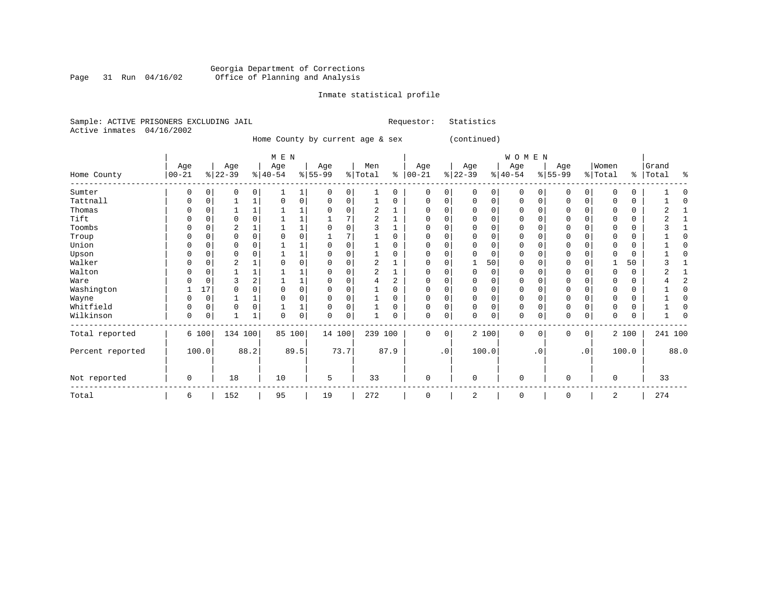#### Georgia Department of Corrections Page 31 Run 04/16/02 Office of Planning and Analysis

#### Inmate statistical profile

|                           | Sample: ACTIVE PRISONERS EXCLUDING JAIL | Requestor: Statistics |  |
|---------------------------|-----------------------------------------|-----------------------|--|
| Active inmates 04/16/2002 |                                         |                       |  |

Home County by current age & sex (continued)

| M E N | W O M E N | Age | Age | Age | Age | Men | Age | Age | Age | Age |Women |Grand Home County |00-21 %|22-39 %|40-54 %|55-99 %|Total % |00-21 %|22-39 %|40-54 %|55-99 %|Total % |Total % ------------------------------------------------------------------------------------------------------------------------------------Sumter | 0 0| 0 0| 1 1| 0 0| 1 0 | 0 0| 0 0| 0 0| 0 0| 0 0 | 1 0 Tattnall | 0 0| 1 1| 0 0| 0 0| 1 0 | 0 0| 0 0| 0 0| 0 0| 0 0 | 1 0 Thomas | 0 0| 1 1| 1 1| 0 0| 2 1 | 0 0| 0 0| 0 0| 0 0| 0 0 | 2 1 Tift | 0 0| 0 0| 1 1| 1 7| 2 1 | 0 0| 0 0| 0 0| 0 0| 0 0 | 2 1 Toombs | 0 0| 2 1| 1 1| 0 0| 3 1 | 0 0| 0 0| 0 0| 0 0| 0 0 | 3 1 Troup | 0 0| 0 0| 0 0| 1 7| 1 0 | 0 0| 0 0| 0 0| 0 0| 0 0 | 1 0 Union | 0 0| 0 0| 1 1| 0 0| 1 0 | 0 0| 0 0| 0 0| 0 0| 0 0 | 1 0 Upson | 0 0| 0 0| 1 1| 0 0| 1 0 | 0 0| 0 0| 0 0| 0 0| 0 0 | 1 0 Walker | 0 0| 2 1| 0 0| 0 0| 2 1 | 0 0| 1 50| 0 0| 0 0| 1 50 | 3 1 Walton | 0 0| 1 1| 1 1| 0 0| 2 1 | 0 0| 0 0| 0 0| 0 0| 0 0 | 2 1 Ware | 0 0| 3 2| 1 1| 0 0| 4 2 | 0 0| 0 0| 0 0| 0 0| 0 0 | 4 2 Washington | 1 17| 0 0| 0 0| 0 0| 1 0 | 0 0| 0 0| 0 0| 0 0| 0 0 | 1 0 Wayne | 0 0| 1 1| 0 0| 0 0| 1 0 | 0 0| 0 0| 0 0| 0 0| 0 0 | 1 0 Whitfield | 0 0| 0 0| 1 1| 0 0| 1 0 | 0 0| 0 0| 0 0| 0 0| 0 0 | 1 0 Wilkinson | 0 0| 1 1| 0 0| 0 0| 1 0 | 0 0| 0 0| 0 0| 0 0| 0 0 | 1 0 ------------------------------------------------------------------------------------------------------------------------------------Total reported | 6 100| 134 100| 85 100| 14 100| 239 100 | 0 0| 2 100| 0 0| 0 0| 2 100 | 241 100 | | | | | | | | | | | Percent reported | 100.0| 88.2| 89.5| 73.7| 87.9 | .0| 100.0| .0| .0| 100.0 | 88.0 | | | | | | | | | | | | | | | | | | | | | | Not reported | 0 | 18 | 10 | 5 | 33 | 0 | 0 | 0 | 0 | 0 | 33 ------------------------------------------------------------------------------------------------------------------------------------Total | 6 | 152 | 95 | 19 | 272 | 0 | 2 | 0 | 0 | 2 | 274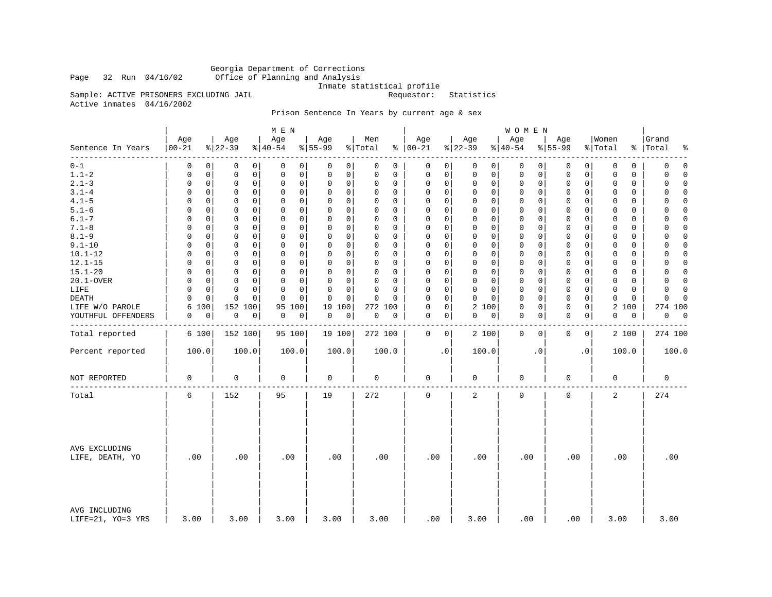Georgia Department of Corrections Office of Planning and Analysis

Inmate statistical profile<br>Requestor: Statistics

Sample: ACTIVE PRISONERS EXCLUDING JAIL Active inmates 04/16/2002

# Prison Sentence In Years by current age & sex

|                                    |                   |                              | M E N                      |                         |                          |                            |                            | WOMEN                      |                            |                            |                      |
|------------------------------------|-------------------|------------------------------|----------------------------|-------------------------|--------------------------|----------------------------|----------------------------|----------------------------|----------------------------|----------------------------|----------------------|
| Sentence In Years<br>--------      | Age<br>$ 00 - 21$ | Age<br>$8 22-39$             | Age<br>$ 40-54$            | Age<br>$8155 - 99$      | Men<br>% Total           | Age<br>$% 100-21$          | Age<br>$ 22-39$            | Age<br>$ 40-54$            | Age<br>$8155 - 99$         | Women<br>% Total<br>နွ     | Grand<br>Total<br>٩, |
| $0 - 1$                            | 0                 | $\Omega$<br>0<br>0           | 0<br>0                     | 0<br>0                  | $\Omega$<br>0            | 0<br>0                     | 0<br>0                     | 0<br>0                     | 0<br>0                     | 0<br>0                     | $\mathbf 0$<br>0     |
| $1.1 - 2$                          | 0                 | $\mathbf 0$<br>0<br>0        | $\mathbf 0$<br>0           | 0<br>0                  | 0<br>0                   | 0<br>0                     | $\mathbf 0$<br>0           | 0<br>0                     | 0<br>0                     | $\mathbf 0$<br>0           | 0<br>$\Omega$        |
| $2.1 - 3$                          | 0                 | $\mathbf 0$<br>0<br>0        | $\mathbf 0$<br>0           | 0<br>0                  | 0<br>0                   | $\mathbf 0$<br>0           | $\mathbf 0$<br>0           | 0<br>0                     | $\mathbf 0$<br>0           | 0<br>$\mathbf 0$           | $\Omega$<br>0        |
| $3.1 - 4$                          | $\Omega$          | $\Omega$<br>0<br>0           | $\Omega$<br>$\Omega$       | 0<br>0                  | $\Omega$<br>$\Omega$     | $\mathbf 0$<br>0           | $\mathbf 0$<br>$\mathbf 0$ | 0<br>0                     | $\mathbf 0$<br>0           | $\Omega$<br>0              | $\Omega$<br>$\Omega$ |
| $4.1 - 5$                          | $\Omega$          | $\mathbf 0$<br>0<br>0        | $\mathbf 0$<br>$\mathbf 0$ | $\mathbf 0$<br>0        | $\Omega$<br>0            | 0<br>0                     | $\mathbf 0$<br>$\mathbf 0$ | $\mathbf 0$<br>0           | $\mathbf 0$<br>0           | $\mathbf 0$<br>0           | $\Omega$<br>0        |
| $5.1 - 6$                          | $\Omega$          | $\Omega$<br>0<br>$\Omega$    | $\Omega$<br>0              | 0<br>0                  | $\Omega$<br>$\Omega$     | $\mathbf 0$<br>$\Omega$    | $\mathbf 0$<br>0           | 0<br>0                     | $\mathbf 0$<br>0           | 0<br>$\Omega$              | 0<br>$\Omega$        |
| $6.1 - 7$                          | $\Omega$          | $\mathbf 0$<br>$\Omega$<br>0 | $\mathbf 0$<br>$\Omega$    | $\Omega$<br>$\mathbf 0$ | $\Omega$<br>0            | $\mathbf 0$<br>$\mathbf 0$ | $\mathbf 0$<br>$\Omega$    | $\mathbf 0$<br>$\mathbf 0$ | $\mathbf 0$<br>$\mathbf 0$ | $\mathbf 0$<br>$\mathbf 0$ | $\Omega$<br>$\Omega$ |
| $7.1 - 8$                          | $\Omega$          | $\Omega$<br>0<br>0           | 0<br>0                     | 0<br>0                  | $\Omega$<br>$\Omega$     | $\mathbf 0$<br>$\Omega$    | $\mathbf 0$<br>$\mathbf 0$ | 0<br>0                     | $\mathbf 0$<br>0           | $\Omega$<br>$\Omega$       | 0<br>$\Omega$        |
| $8.1 - 9$                          | 0                 | $\mathbf 0$<br>0<br>0        | $\mathbf 0$<br>0           | $\Omega$<br>0           | 0<br>0                   | $\mathbf 0$<br>0           | $\mathbf 0$<br>0           | 0<br>0                     | $\mathbf 0$<br>0           | $\mathbf 0$<br>$\mathbf 0$ | $\Omega$<br>0        |
| $9.1 - 10$                         | $\Omega$          | 0<br>0<br>0                  | $\mathbf 0$<br>$\Omega$    | 0<br>$\mathbf 0$        | $\Omega$<br>0            | $\mathbf 0$<br>0           | $\mathbf 0$<br>$\mathbf 0$ | $\mathbf 0$<br>0           | $\mathbf 0$<br>0           | $\mathbf 0$<br>0           | $\Omega$<br>$\Omega$ |
| $10.1 - 12$                        | 0                 | 0<br>0<br>0                  | 0<br>0                     | 0<br>0                  | $\Omega$<br>$\Omega$     | 0<br>0                     | $\mathbf 0$<br>$\mathbf 0$ | 0<br>0                     | $\mathbf 0$<br>0           | 0<br>0                     | 0<br>$\Omega$        |
| $12.1 - 15$                        | $\Omega$          | 0<br>0<br>0                  | $\mathbf 0$<br>0           | 0<br>0                  | $\Omega$<br>0            | $\mathbf 0$<br>0           | $\mathbf 0$<br>$\mathbf 0$ | 0<br>0                     | $\mathbf 0$<br>0           | 0<br>0                     | $\mathbf 0$<br>0     |
| $15.1 - 20$                        | $\Omega$          | $\Omega$<br>0<br>0           | $\Omega$<br>$\Omega$       | 0<br>$\mathbf 0$        | $\Omega$<br>$\Omega$     | $\mathbf 0$<br>0           | $\mathbf 0$<br>$\mathbf 0$ | $\mathbf 0$<br>0           | 0<br>0                     | $\mathbf 0$<br>0           | $\Omega$<br>$\Omega$ |
| 20.1-OVER                          | 0                 | 0<br>0<br>0                  | $\mathbf 0$<br>0           | 0<br>0                  | 0<br>0                   | 0<br>0                     | $\mathbf 0$<br>$\mathbf 0$ | 0<br>0                     | 0<br>0                     | $\mathbf 0$<br>0           | 0<br>$\Omega$        |
| LIFE                               | $\Omega$          | 0<br>0<br>0                  | $\Omega$<br>0              | 0<br>$\mathbf 0$        | $\Omega$<br>$\Omega$     | 0<br>$\Omega$              | $\mathbf 0$<br>0           | 0<br>0                     | $\mathbf 0$<br>0           | 0<br>0                     | $\Omega$<br>$\Omega$ |
| DEATH                              | $\Omega$          | $\mathbf 0$<br>$\Omega$<br>0 | $\mathbf 0$<br>$\Omega$    | $\mathbf 0$<br>0        | $\Omega$<br>$\Omega$     | $\Omega$<br>$\mathbf 0$    | $\mathbf 0$<br>$\Omega$    | $\mathbf 0$<br>0           | $\mathbf 0$<br>$\mathbf 0$ | $\mathbf 0$<br>$\mathbf 0$ | $\Omega$<br>$\Omega$ |
| LIFE W/O PAROLE                    | 100<br>6          | 152 100                      | 95<br>100                  | 19<br>100               | 272 100                  | 0<br>0                     | 2 100                      | 0<br>0                     | 0<br>0                     | 2<br>100                   | 274 100              |
| YOUTHFUL OFFENDERS                 | 0                 | 0<br>$\mathbf 0$<br>0        | 0<br>0                     | 0<br>0                  | $\mathsf{O}\xspace$<br>0 | $\mathbf 0$<br>0           | 0<br>0                     | 0<br>0                     | $\mathbf 0$<br>0           | 0<br>0                     | $\overline{0}$<br>0  |
|                                    |                   |                              |                            |                         |                          |                            |                            |                            |                            |                            |                      |
| Total reported                     | 6 100             | 152 100                      | 95 100                     | 19 100                  | 272 100                  | 0<br>0                     | 2 100                      | $\mathbf 0$<br>0           | 0<br>0                     | 2 100                      | 274 100              |
| Percent reported                   | 100.0             | 100.0                        | 100.0                      | 100.0                   | 100.0                    | $\cdot$ 0                  | 100.0                      | $\cdot$ 0                  | . 0                        | 100.0                      | 100.0                |
| NOT REPORTED                       | $\mathbf 0$       | 0                            | 0                          | $\mathbf 0$             | $\mathbf 0$              | 0                          | $\mathbf 0$                | 0                          | $\mathbf 0$                | $\mathbf 0$                | $\mathbf 0$          |
| Total                              | 6                 | 152                          | 95                         | 19                      | 272                      | 0                          | 2                          | 0                          | $\mathsf{O}\xspace$        | 2                          | 274                  |
| AVG EXCLUDING<br>LIFE, DEATH, YO   | .00               | .00                          | .00                        | .00                     | .00                      | .00                        | .00                        | .00                        | .00                        | .00                        | .00                  |
| AVG INCLUDING<br>LIFE=21, YO=3 YRS | 3.00              | 3.00                         | 3.00                       | 3.00                    | 3.00                     | .00                        | 3.00                       | .00                        | .00                        | 3.00                       | 3.00                 |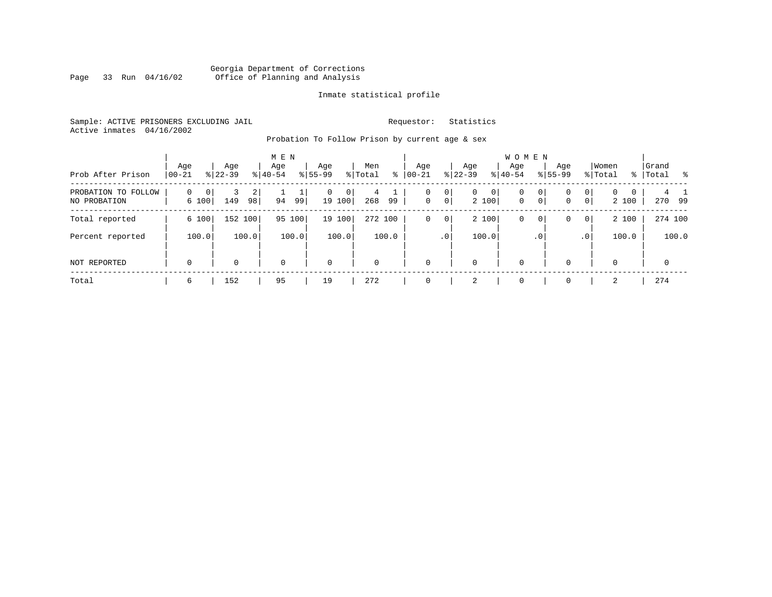#### Georgia Department of Corrections Page 33 Run 04/16/02 Office of Planning and Analysis

#### Inmate statistical profile

Sample: ACTIVE PRISONERS EXCLUDING JAIL **Requestor:** Statistics Active inmates 04/16/2002

Probation To Follow Prison by current age & sex

| Prob After Prison                      | Age<br>$ 00-21$        | Age<br>$ 22-39 $ | M E N<br>Age<br>$8 40-54$ | Age<br>$8 55-99$   | Men<br>% Total<br>∻ | Age<br>$ 00 - 21 $          | Aqe<br>$ 22-39 $                                 | <b>WOMEN</b><br>Aqe<br>$ 40-54$ | Age<br>$8155 - 99$                                    | Women<br>% Total                                         | Grand<br>%  Total<br>- 옹 |
|----------------------------------------|------------------------|------------------|---------------------------|--------------------|---------------------|-----------------------------|--------------------------------------------------|---------------------------------|-------------------------------------------------------|----------------------------------------------------------|--------------------------|
| PROBATION TO<br>FOLLOW<br>NO PROBATION | $\Omega$<br>0<br>6 100 | 2<br>149<br>98   | 94<br>99                  | 0<br> 0 <br>19 100 | 4<br>268<br>99      | $\circ$<br>0<br>$\mathbf 0$ | 0 <sup>1</sup><br>$\overline{0}$<br> 0 <br>2 100 | 0<br>$\mathbf 0$                | 0 <sup>1</sup><br>0<br>0 <sup>1</sup><br>$\mathbf{0}$ | $\mathbf{0}$<br>0<br>$\Omega$<br>0 <sup>1</sup><br>2 100 | 270 99                   |
| Total reported                         | 6 100                  | 152 100          | 95<br>100                 | 19 100             | 272 100             | 0 <br>0                     | 2 100                                            | 0                               | 0 <sup>1</sup><br>0                                   | 2 100<br> 0                                              | 274 100                  |
| Percent reported                       | 100.0                  | 100.0            | 100.0                     | 100.0              | 100.0               | .0 <sup>1</sup>             | 100.0                                            |                                 | .0 <sup>1</sup>                                       | 100.0<br>.0'                                             | 100.0                    |
| NOT REPORTED                           | 0                      | $\Omega$         | $\mathbf 0$               | $\mathbf 0$        | $\Omega$            | $\Omega$                    | $\Omega$                                         | $\mathbf 0$                     | 0                                                     | 0                                                        | $\Omega$                 |
| Total                                  | 6                      | 152              | 95                        | 19                 | 272                 |                             | 2                                                | $\Omega$                        | 0                                                     | 2                                                        | 274                      |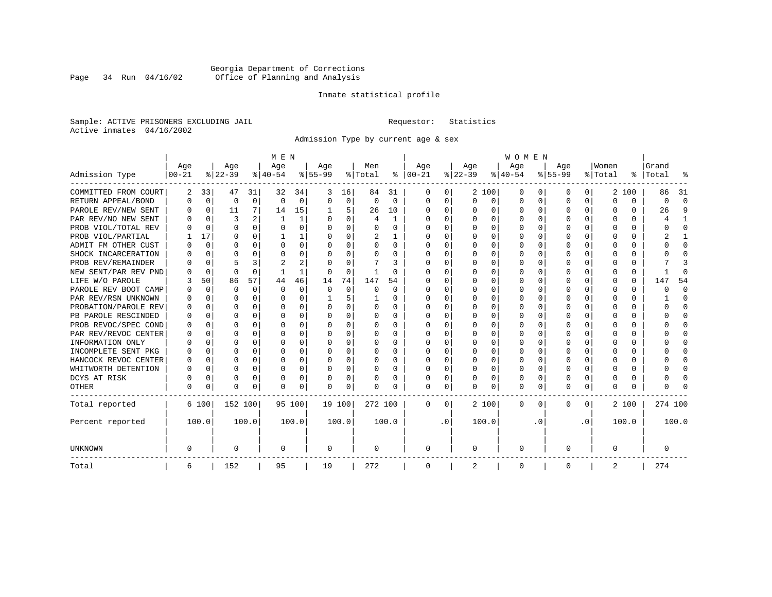# Georgia Department of Corrections<br>Page 34 Run 04/16/02 Office of Planning and Analysis Page 34 Run 04/16/02 Office of Planning and Analysis

#### Inmate statistical profile

Sample: ACTIVE PRISONERS EXCLUDING JAIL **Requestor:** Statistics Active inmates 04/16/2002

Admission Type by current age & sex

|                      |           |             |          |          | M E N    |          |           |          |         |          |              |              |          |              | <b>WOMEN</b> |          |           |              |         |          |         |              |
|----------------------|-----------|-------------|----------|----------|----------|----------|-----------|----------|---------|----------|--------------|--------------|----------|--------------|--------------|----------|-----------|--------------|---------|----------|---------|--------------|
|                      | Age       |             | Age      |          | Age      |          | Aqe       |          | Men     |          | Age          |              | Age      |              | Age          |          | Aqe       |              | Women   |          | Grand   |              |
| Admission Type       | $00 - 21$ |             | $ 22-39$ |          | $ 40-54$ |          | $8 55-99$ |          | % Total | နွ       | $ 00 - 21$   |              | $ 22-39$ |              | $ 40-54$     |          | $8 55-99$ |              | % Total | ွေ       | Total   |              |
| COMMITTED FROM COURT | 2         | 33          | 47       | 31       | 32       | 34       | 3         | 16       | 84      | 31       | 0            | 0            |          | 2 100        | 0            | U        | 0         | 0            | 2       | 100      | 86      | -31          |
| RETURN APPEAL/BOND   | O         | $\mathbf 0$ | 0        | 0        | $\Omega$ | 0        | O         | 0        | 0       | $\Omega$ | 0            | 0            | $\Omega$ | 0            | 0            | $\Omega$ | $\Omega$  | $\Omega$     | O       | 0        | U       | ∩            |
| PAROLE REV/NEW SENT  |           | $\Omega$    | 11       | 7        | 14       | 15       |           | 5        | 26      | 10       | <sup>0</sup> | $\Omega$     | ∩        | O            | $\Omega$     | $\Omega$ | ∩         | $\Omega$     | U       | U        | 26      | Q            |
| PAR REV/NO NEW SENT  |           | $\Omega$    |          |          |          | 1        | ∩         | $\Omega$ | 4       | 1        | <sup>0</sup> | $\Omega$     | ∩        | $\Omega$     | U            | $\cap$   | ∩         | <sup>n</sup> |         | O        |         |              |
| PROB VIOL/TOTAL REV  |           | $\Omega$    | $\Omega$ | 0        | $\Omega$ | $\Omega$ | O         | $\Omega$ | U       | U        | O            | $\Omega$     | U        | $\Omega$     | U            | n        | ∩         | U            | U       | O        |         | Λ            |
| PROB VIOL/PARTIAL    |           | 17          | U        | 0        |          |          |           | $\Omega$ | 2       |          | O            | 0            | U        | O            | U            | n        | $\Omega$  |              |         | U        |         |              |
| ADMIT FM OTHER CUST  |           | $\Omega$    | U        | 0        | $\Omega$ | $\Omega$ | O         | $\Omega$ | U       | 0        | <sup>0</sup> | $\Omega$     | U        | <sup>0</sup> | U            | n        | $\Omega$  | U            |         | U        |         | <sup>0</sup> |
| SHOCK INCARCERATION  |           | $\Omega$    | U        | U        | $\Omega$ | 0        | U         | 0        | U       | U        | <sup>0</sup> | 0            | U        | O            | U            | $\Omega$ | ∩         | 0            |         | 0        |         | ∩            |
| PROB REV/REMAINDER   |           | $\Omega$    | 5        | 3        | 2        | 2        |           | $\Omega$ |         | 3        | <sup>0</sup> | $\Omega$     | ∩        | O            | U            | $\Omega$ | ∩         | $\Omega$     |         | 0        |         |              |
| NEW SENT/PAR REV PND |           | $\Omega$    | $\Omega$ | $\Omega$ |          | 1        | O         | $\Omega$ |         | U        | <sup>0</sup> | $\Omega$     | U        | $\Omega$     | U            | $\Omega$ | $\Omega$  | 0            |         | $\Omega$ |         | ſ            |
| LIFE W/O PAROLE      |           | 50          | 86       | 57       | 44       | 46       | 14        | 74       | 147     | 54       |              | $\Omega$     |          | $\Omega$     | Ω            | n        | $\Omega$  | U            |         | $\Omega$ | 14      | 54           |
| PAROLE REV BOOT CAMP |           | $\Omega$    | 0        | $\Omega$ | $\Omega$ | $\Omega$ | O         | $\Omega$ | 0       | 0        | 0            | $\Omega$     |          | $\Omega$     | Ω            | $\Omega$ |           |              |         | $\Omega$ |         | <sup>0</sup> |
| PAR REV/RSN UNKNOWN  |           | $\Omega$    | U        | $\Omega$ | $\Omega$ | $\Omega$ |           | 5        |         | U        | 0            | $\Omega$     |          | $\Omega$     | Ω            | $\Omega$ | O         |              | O       | 0        |         | <sup>0</sup> |
| PROBATION/PAROLE REV |           | $\Omega$    | U        | 0        | $\Omega$ | $\Omega$ | U         | $\Omega$ | 0       | 0        | O            | $\Omega$     | ∩        | $\Omega$     | U            | $\Omega$ | ∩         | U            | n       | 0        |         | n            |
| PB PAROLE RESCINDED  |           | $\Omega$    | U        | 0        | $\Omega$ | $\Omega$ | U         | $\Omega$ | 0       | 0        | O            | $\Omega$     | U        | $\Omega$     | U            | n        | ∩         | 0            | n       | U        |         | n            |
| PROB REVOC/SPEC COND |           | $\Omega$    | U        | U.       | ∩        | U        | U         | U        | 0       | U        | <sup>0</sup> | <sup>n</sup> | U        | U            | U            | $\cap$   | ∩         | U            |         | 0        |         |              |
| PAR REV/REVOC CENTER |           | 0           | U        | 0        | $\Omega$ | O        | U         | O        | U       | U        | O            | 0            |          | U            | U            | $\Omega$ | ∩         | <sup>n</sup> |         | 0        |         |              |
| INFORMATION ONLY     |           | $\mathbf 0$ | U        | U        | $\Omega$ | $\Omega$ |           | $\Omega$ | 0       | U        |              | O            |          | O            | Ω            | n        | $\Omega$  | U            |         | 0        |         | n            |
| INCOMPLETE SENT PKG  |           | 0           |          | 0        | $\Omega$ | $\Omega$ | U         | $\Omega$ | 0       | U        | <sup>0</sup> | 0            |          | O            | 0            | $\Omega$ | $\Omega$  |              |         | 0        |         | ∩            |
| HANCOCK REVOC CENTER | O         | 0           | U        | 0        | $\Omega$ | $\Omega$ | U         | $\Omega$ | 0       | U        | 0            | $\Omega$     | U        | $\Omega$     | 0            | O        | $\Omega$  | 0            | O       | 0        |         | ∩            |
| WHITWORTH DETENTION  | U         | $\Omega$    | U        | $\Omega$ | $\Omega$ | $\Omega$ | U         | $\Omega$ | 0       | 0        | <sup>0</sup> | $\Omega$     | $\Omega$ | $\Omega$     | 0            | $\Omega$ | ∩         | $\Omega$     | U       | 0        |         | ∩            |
| DCYS AT RISK         | U         | $\Omega$    | U        | $\Omega$ | $\Omega$ | 0        | U         | 0        | U       | U        | <sup>0</sup> | $\Omega$     | U        | 0            | U            | $\Omega$ | $\Omega$  | $\Omega$     |         | 0        |         | ſ            |
| <b>OTHER</b>         | U         | 0           | U        | 0        | $\Omega$ | 0        | O         | 0        | N       | U        | $\Omega$     | 0            | U        | 0            | 0            | $\Omega$ | $\Omega$  | 0            | O       | U        |         |              |
| Total reported       |           | 6 100       | 152 100  |          |          | 95 100   | 19 100    |          | 272 100 |          | 0            | 0            |          | 2 100        | 0            | $\Omega$ | $\Omega$  | $\Omega$     |         | 2 100    | 274 100 |              |
| Percent reported     |           | 100.0       |          | 100.0    |          | 100.0    |           | 100.0    |         | 100.0    |              | $\cdot$ 0    |          | 100.0        |              | . 0      |           | $\cdot$ 0    |         | 100.0    |         | 100.0        |
| UNKNOWN              | 0         |             | 0        |          | 0        |          | 0         |          | 0       |          | 0            |              | 0        |              | 0            |          | $\Omega$  |              | O       |          | 0       |              |
| Total                | 6         |             | 152      |          | 95       |          | 19        |          | 272     |          | 0            |              | 2        |              | 0            |          | $\Omega$  |              | 2       |          | 274     |              |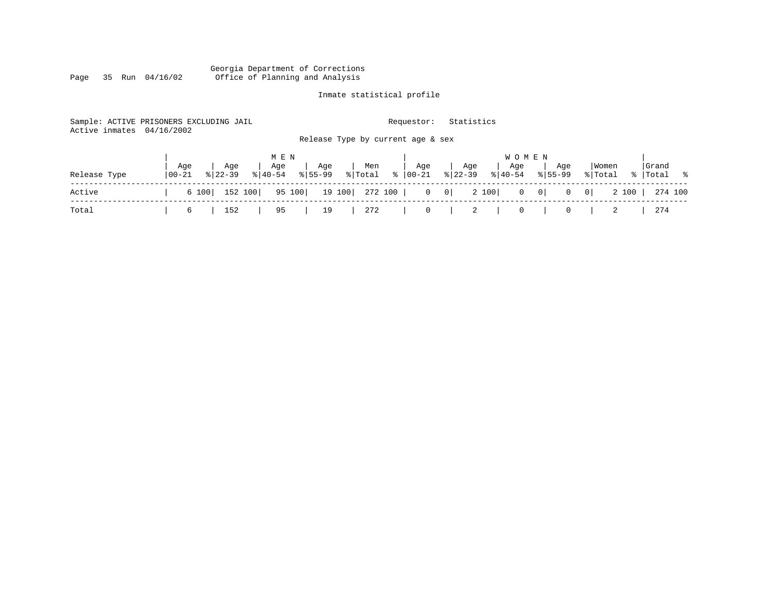#### Georgia Department of Corrections Page 35 Run 04/16/02 Office of Planning and Analysis

# Inmate statistical profile

| Active inmates | Sample: ACTIVE PRISONERS EXCLUDING JAIL<br>04/16/2002 | Requestor:                                                | Statistics                                  |                                                            |                    |
|----------------|-------------------------------------------------------|-----------------------------------------------------------|---------------------------------------------|------------------------------------------------------------|--------------------|
|                |                                                       | Release Type by current age & sex                         |                                             |                                                            |                    |
|                | M E N<br>Aqe<br>Age<br>Age                            | Age<br>Age<br>Men                                         | <b>WOMEN</b><br>Age<br>Age                  | Women<br>Age                                               | Grand              |
| Release Type   | $8 40-54$<br>  00-21<br>$8122 - 39$                   | $\frac{1}{2}$ Total $\frac{1}{2}$<br>00-21<br>$8155 - 99$ | $ 22-39 $<br>$\frac{1}{6}$   40-54          | $8155 - 99$<br>% Total                                     | %   Total %        |
| Active         | 152 100<br>6 100                                      | 19 100   272 100  <br>95 100<br>$\overline{0}$            | 2 100<br>$\begin{array}{c c} 0 \end{array}$ | $0 \qquad 0$<br>$\overline{\phantom{0}}$<br>$\overline{0}$ | 2 100  <br>274 100 |
| Total          | 152<br>95<br>6                                        | 272<br>$\mathbf 0$<br>19                                  | $\overline{2}$<br>$\circ$                   | 0                                                          | 274                |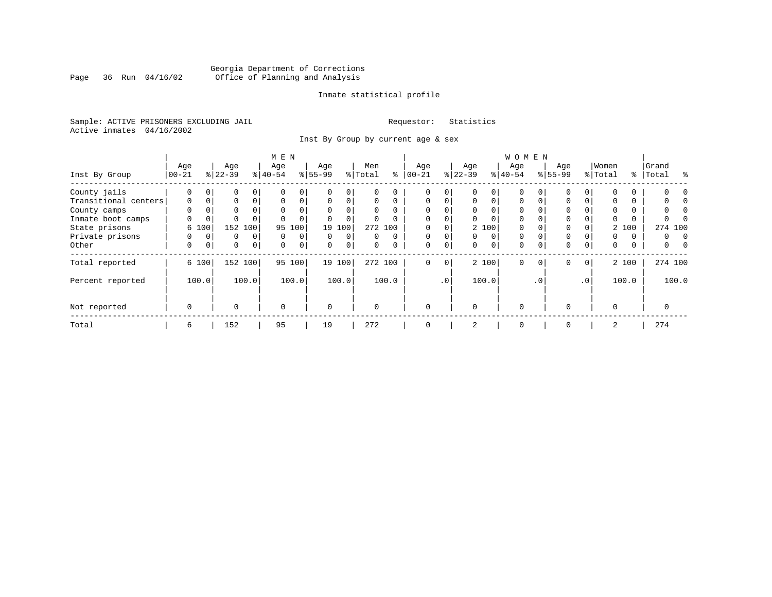# Georgia Department of Corrections<br>Page 36 Run 04/16/02 Office of Planning and Analysis Page 36 Run 04/16/02 Office of Planning and Analysis

#### Inmate statistical profile

Sample: ACTIVE PRISONERS EXCLUDING JAIL **Requestor:** Statistics Active inmates 04/16/2002

Inst By Group by current age & sex

|                      | M E N       |             |             |                |             |             |           |             |          |          |             |             | WOMEN       |             |             |          |             |                 |          |       |           |          |
|----------------------|-------------|-------------|-------------|----------------|-------------|-------------|-----------|-------------|----------|----------|-------------|-------------|-------------|-------------|-------------|----------|-------------|-----------------|----------|-------|-----------|----------|
|                      | Age         |             | Age         |                | Age         |             | Age       |             | Men      |          | Age         |             | Age         |             | Age         |          | Age         |                 | Women    |       | Grand     |          |
| Inst By Group        | $100 - 21$  |             | $8 22-39$   |                | $8 40-54$   |             | $8 55-99$ |             | % Total  | ႜ        | $ 00-21 $   |             | $ 22-39$    |             | $8 40-54$   |          | $8155 - 99$ |                 | % Total  |       | %   Total | ွေ       |
| County jails         | 0           | 0           | 0           | 0              |             | 0           |           | 0           | 0        |          | 0           | $\Omega$    |             | 0           | $\Omega$    |          | 0           |                 |          |       |           |          |
| Transitional centers | $\mathbf 0$ | $\mathbf 0$ | 0           | $\mathbf 0$    | $\Omega$    | 0           | $\Omega$  | $\Omega$    | $\Omega$ | $\Omega$ | $\mathbf 0$ | $\Omega$    | $\mathbf 0$ | $\Omega$    | $\Omega$    | $\Omega$ | $\Omega$    | $\Omega$        | $\Omega$ |       |           |          |
| County camps         | $\Omega$    |             | 0           |                | $\Omega$    | 0           | $\Omega$  |             | $\Omega$ | $\Omega$ | $\Omega$    |             | $\Omega$    |             | $\Omega$    |          | $\Omega$    |                 | $\Omega$ |       |           |          |
| Inmate boot camps    | 0           | 0           | $\Omega$    |                |             | $\Omega$    |           | $\Omega$    | $\Omega$ |          |             | 0           |             |             | $\Omega$    |          |             |                 | U        |       |           |          |
| State prisons        |             | 6 100       | 152 100     |                | 95          | 100         | 19        | 100         |          | 272 100  |             |             |             | 2 100       | $\Omega$    |          | $\Omega$    |                 |          | 2 100 |           | 274 100  |
| Private prisons      | 0           | 0           | 0           | $\Omega$       | $\Omega$    | 0           | $\Omega$  | $\Omega$    | 0        | $\Omega$ | $\mathbf 0$ | $\Omega$    | $\Omega$    | $\mathbf 0$ | $\Omega$    | $\Omega$ | $\Omega$    |                 | 0        | 0     | 0         | $\Omega$ |
| Other                | 0           | 0           | $\mathbf 0$ | $\overline{0}$ | 0           | $\mathbf 0$ | $\Omega$  | $\mathbf 0$ | $\Omega$ |          | $\mathbf 0$ | $\mathbf 0$ | $\Omega$    | $\mathbf 0$ | $\mathbf 0$ | $\Omega$ | $\Omega$    | 0               | 0        | 0     | 0         |          |
| Total reported       |             | 6 100       | 152 100     |                |             | 95 100      |           | 19 100      |          | 272 100  | $\mathbf 0$ | 0           |             | 2 100       | $\Omega$    | $\Omega$ | $\mathbf 0$ | 0 <sup>1</sup>  |          | 2 100 |           | 274 100  |
| Percent reported     |             | 100.0       |             | 100.0          |             | 100.0       |           | 100.0       |          | 100.0    |             | $\cdot$ 0   |             | 100.0       |             | . 0      |             | .0 <sup>1</sup> |          | 100.0 |           | 100.0    |
| Not reported         | $\mathbf 0$ |             | $\Omega$    |                | $\mathbf 0$ |             | $\Omega$  |             | $\Omega$ |          | $\Omega$    |             | $\Omega$    |             | $\Omega$    |          | $\Omega$    |                 | $\Omega$ |       | $\Omega$  |          |
| Total                | 6           |             | 152         |                | 95          |             | 19        |             | 272      |          | 0           |             | 2           |             | 0           |          | 0           |                 | 2        |       | 274       |          |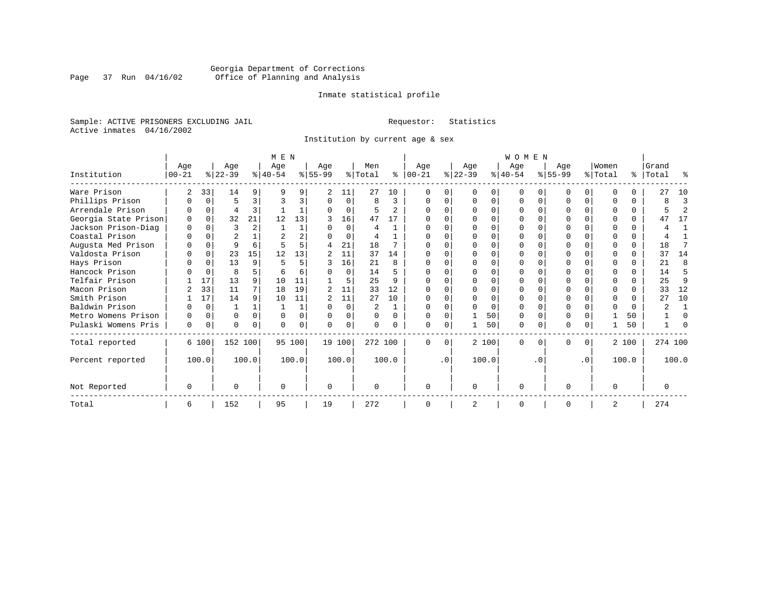# Georgia Department of Corrections<br>Page 37 Run 04/16/02 Office of Planning and Analysis Page 37 Run 04/16/02 Office of Planning and Analysis

#### Inmate statistical profile

Sample: ACTIVE PRISONERS EXCLUDING JAIL **Requestor:** Statistics Active inmates 04/16/2002

Institution by current age & sex

|                      | M E N     |          |           |                |          |          |                |          |          |                |              |           | <b>WOMEN</b>   |          |           |              |           |           |                |          |           |         |                |
|----------------------|-----------|----------|-----------|----------------|----------|----------|----------------|----------|----------|----------------|--------------|-----------|----------------|----------|-----------|--------------|-----------|-----------|----------------|----------|-----------|---------|----------------|
|                      | Age       |          | Age       |                | Age      |          | Age            |          | Men      |                | Age          |           | Age            |          | Age       |              | Age       |           | Women          |          | Grand     |         |                |
| Institution          | $00 - 21$ |          | $ 22-39 $ |                | $ 40-54$ |          | $8 55-99$      |          | % Total  | ႜ              | $ 00-21 $    |           | $ 22-39 $      |          | $ 40-54 $ |              | $ 55-99 $ |           | % Total        |          | %   Total |         | ႜ              |
| Ware Prison          | 2         | 33       | 14        | 9              |          |          | 2              | 11       | 27       | 10             |              |           |                |          |           |              |           | 0         |                |          |           | 27      | 10             |
| Phillips Prison      |           | 0        | 5         | 3              | २        |          |                | 0        | 8        | 3              | U            |           | $\Omega$       | O        | 0         | 0            |           | 0         | ∩              | $\Omega$ |           | 8       | 3              |
| Arrendale Prison     |           | $\Omega$ | 4         | 3              |          |          |                | 0        |          | $\mathfrak{D}$ | $\cap$       |           | $\Omega$       | O        | $\Omega$  |              |           | $\Omega$  |                | $\Omega$ |           |         | $\overline{2}$ |
| Georgia State Prison | $\Omega$  | $\Omega$ | 32        | 21             | 12       | 13       | 3              | 16       | 47       | 17             |              |           | ∩              | O        | $\Omega$  |              |           | $\Omega$  |                | $\Omega$ |           | 47      | 17             |
| Jackson Prison-Diag  | $\Omega$  | $\Omega$ | 3         | $\overline{a}$ |          |          |                | $\Omega$ |          |                |              |           | $\Omega$       | O        | $\Omega$  |              |           | $\Omega$  |                | $\Omega$ |           |         | 1              |
| Coastal Prison       |           | $\Omega$ | 2         |                |          |          |                | $\Omega$ |          |                |              |           | $\Omega$       | U        | $\Omega$  | $\Omega$     |           | $\Omega$  | ∩              | $\Omega$ |           |         |                |
| Augusta Med Prison   |           | $\Omega$ | 9         | 6              |          |          | 4              | 21       | 18       |                |              |           | $\Omega$       | O        | $\Omega$  |              |           | O         | ∩              | $\Omega$ |           | 18      | 7              |
| Valdosta Prison      |           | $\Omega$ | 23        | 15             | 12       | 13       | $\mathbf{2}$   | 11       | 37       | 14             | U            |           | $\Omega$       | O        | $\Omega$  | <sup>0</sup> | U         | $\Omega$  | ∩              | $\Omega$ |           | 37      | 14             |
| Hays Prison          |           | $\Omega$ | 13        | 9              | 5        |          |                | 16       | 21       | $\mathsf{R}$   |              |           | $\Omega$       | $\Omega$ | $\Omega$  | $\Omega$     |           | $\Omega$  | ∩              | $\Omega$ |           | 21      | 8              |
| Hancock Prison       |           | $\Omega$ | 8         | 5              |          |          |                | $\Omega$ | 14       |                |              |           | $\Omega$       | $\cap$   | $\Omega$  | $\Omega$     |           | $\Omega$  |                | $\Omega$ |           | 14      | 5              |
| Telfair Prison       |           | 17       | 13        | 9              | 10       | 11       |                | 5        | 25       |                |              |           | $\Omega$       | O        |           |              |           | O         |                |          |           | 25      | 9              |
| Macon Prison         |           | 33       | 11        | 7              | 18       | 19       | $\overline{a}$ | 11       | 33       | 12             | U            |           | $\Omega$       | $\Omega$ | $\Omega$  | U            |           | $\Omega$  | ∩              | $\Omega$ |           | 33      | 12             |
| Smith Prison         |           | 17       | 14        | 9              | 10       | 11       | $\overline{a}$ | 11       | 27       | 10             |              |           | $\Omega$       | $\Omega$ | $\Omega$  | $\Omega$     |           | O         | $\Omega$       | $\Omega$ |           | 27      | 10             |
| Baldwin Prison       |           | $\Omega$ |           |                |          |          |                | $\Omega$ | 2        |                | ∩            |           | ∩              | O        | $\Omega$  | $\Omega$     |           | U         | $\Omega$       | $\Omega$ |           | ◠       |                |
| Metro Womens Prison  |           | 0        | $\Omega$  | $\Omega$       | $\Omega$ | $\Omega$ |                | $\Omega$ | $\Omega$ | U              | U            |           |                | 50       | $\Omega$  | $\Omega$     |           | $\Omega$  |                | 50       |           |         | $\Omega$       |
| Pulaski Womens Pris  | 0         | 0        | U         | $\Omega$       | ∩        | 0        | <sup>n</sup>   | 0        |          |                | U            | 0         |                | 50       | $\Omega$  | 0            | N         | 0         |                | 50       |           |         | U              |
| Total reported       |           | 6 100    | 152 100   |                |          | 95 100   |                | 19 100   | 272 100  |                | $\Omega$     | $\Omega$  |                | 2 100    | $\Omega$  | 0            | 0         | $\Omega$  |                | 2 100    |           | 274 100 |                |
| Percent reported     |           | 100.0    |           | 100.0          |          | 100.0    |                | 100.0    |          | 100.0          |              | $\cdot$ 0 |                | 100.0    |           | . 0          |           | $\cdot$ 0 |                | 100.0    |           | 100.0   |                |
| Not Reported         | $\Omega$  |          | U         |                | ∩        |          | 0              |          |          |                | <sup>0</sup> |           | $\mathbf 0$    |          | 0         |              | U         |           | $\Omega$       |          |           | O       |                |
| Total                | 6         |          | 152       |                | 95       |          | 19             |          | 272      |                | $\Omega$     |           | $\overline{2}$ |          | $\Omega$  |              | O         |           | $\overline{2}$ |          | 274       |         |                |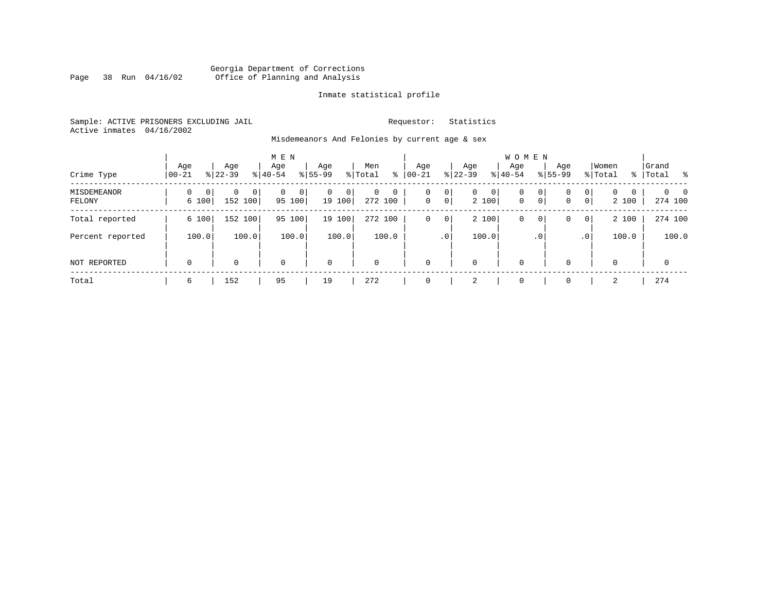#### Georgia Department of Corrections Page 38 Run 04/16/02 Office of Planning and Analysis

#### Inmate statistical profile

Sample: ACTIVE PRISONERS EXCLUDING JAIL **Requestor:** Statistics Active inmates 04/16/2002

Misdemeanors And Felonies by current age & sex

| Crime Type                   | Age<br>$00 - 21$                  | Age<br>$8122 - 39$         | M E N<br>Age<br>$8 40-54$ | Age<br>$8155 - 99$          | Men<br>⊱<br>% Total                | Age<br>$00 - 21$                        | Age<br>$ 22-39 $           | <b>WOMEN</b><br>Aqe<br>$8 40-54$ | Age<br>$8155 - 99$ | Women<br>% Total                                                   | Grand<br>% Total %                    |
|------------------------------|-----------------------------------|----------------------------|---------------------------|-----------------------------|------------------------------------|-----------------------------------------|----------------------------|----------------------------------|--------------------|--------------------------------------------------------------------|---------------------------------------|
| <b>MISDEMEANOR</b><br>FELONY | $\Omega$<br>$\mathbf{0}$<br>6 100 | $\Omega$<br> 0 <br>152 100 | $\Omega$<br>0<br>95 100   | $\mathbf{0}$<br>0<br>19 100 | $\Omega$<br>$\mathbf 0$<br>272 100 | 0<br>0<br>$\overline{0}$<br>$\mathbf 0$ | 0<br>$\mathbf{0}$<br>2 100 | $\mathbf 0$<br>$\mathbf{0}$      | 0<br>0<br> 0 <br>0 | $\mathbf{0}$<br>$\Omega$<br>$\mathbf 0$<br>$\overline{0}$<br>2 100 | $\Omega$<br>$\overline{0}$<br>274 100 |
| Total reported               | 6 100                             | 152 100                    | 95 100                    | 19 100                      | 272 100                            | $\mathbf 0$<br>0                        | 2 100                      | 0                                | 0<br>0             | 2 100<br>$\overline{0}$                                            | 274 100                               |
| Percent reported             | 100.0                             | 100.0                      | 100.0                     | 100.0                       | 100.0                              | .0 <sup>1</sup>                         | 100.0                      |                                  | $\cdot$ 0          | 100.0<br>.0 <sup>1</sup>                                           | 100.0                                 |
| NOT REPORTED                 | $\mathbf 0$                       | 0                          | $\mathbf 0$               | $\mathbf 0$                 | $\mathbf 0$                        | $\mathbf 0$                             | 0                          | $\mathbf 0$                      | $\Omega$           | $\Omega$                                                           | $\mathbf 0$                           |
| Total                        | 6                                 | 152                        | 95                        | 19                          | 272                                | $\Omega$                                | 2                          | $\mathbf 0$                      | $\Omega$           | 2                                                                  | 274                                   |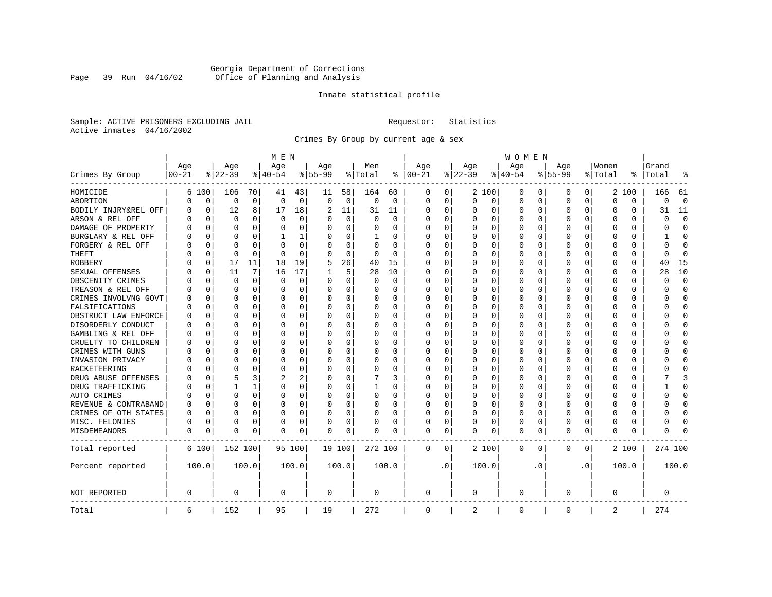# Georgia Department of Corrections<br>Page 39 Run 04/16/02 Office of Planning and Analysis Page 39 Run 04/16/02 Office of Planning and Analysis

#### Inmate statistical profile

Sample: ACTIVE PRISONERS EXCLUDING JAIL **Requestor:** Statistics Active inmates 04/16/2002

Crimes By Group by current age & sex

|                      | M E N      |             |          |              |             |          |           |             |          |          |             |           |             |          | W O M E N   |          |           |           |             |          |              |             |
|----------------------|------------|-------------|----------|--------------|-------------|----------|-----------|-------------|----------|----------|-------------|-----------|-------------|----------|-------------|----------|-----------|-----------|-------------|----------|--------------|-------------|
|                      | Age        |             | Age      |              | Age         |          | Age       |             | Men      |          | Age         |           | Age         |          | Age         |          | Age       |           | Women       |          | Grand        |             |
| Crimes By Group      | $ 00 - 21$ |             | $ 22-39$ |              | $ 40-54$    |          | $8 55-99$ |             | % Total  | ႜ        | $ 00-21$    |           | $ 22-39$    |          | $ 40-54$    |          | $8 55-99$ |           | % Total     | ႜ        | Total        | 읏           |
| HOMICIDE             | 6          | 100         | 106      | 70           | 41          | 43       | 11        | 58          | 164      | 60       | 0           | 0         |             | 2 100    | 0           | 0        | $\Omega$  | 0         |             | 2 100    | 166          | - 61        |
| ABORTION             | U          | 0           | 0        | $\mathbf 0$  | $\mathbf 0$ | 0        | $\Omega$  | $\mathbf 0$ | 0        | 0        | 0           | 0         | 0           | 0        | 0           | 0        | $\Omega$  | 0         | $\Omega$    | 0        | $\Omega$     | $\mathbf 0$ |
| BODILY INJRY&REL OFF | 0          | $\mathbf 0$ | 12       | 8            | 17          | 18       | 2         | 11          | 31       | 11       | 0           | 0         | 0           | 0        | 0           | 0        | $\Omega$  | 0         | O           | 0        | 31           | 11          |
| ARSON & REL OFF      | O          | $\Omega$    | $\Omega$ | 0            | $\Omega$    | 0        |           | $\Omega$    | $\Omega$ | $\Omega$ | $\Omega$    | $\Omega$  | 0           | 0        | $\Omega$    | $\Omega$ | $\Omega$  | $\Omega$  | C           | 0        | $\Omega$     | $\Omega$    |
| DAMAGE OF PROPERTY   | U          | $\Omega$    | $\Omega$ | 0            | $\Omega$    | 0        | O         | $\Omega$    | 0        | 0        | $\Omega$    | 0         | $\Omega$    | 0        | $\Omega$    | $\Omega$ | $\Omega$  | $\Omega$  | C           | 0        | $\Omega$     | $\Omega$    |
| BURGLARY & REL OFF   |            | $\Omega$    | $\Omega$ | $\Omega$     | 1           | 1        |           | $\Omega$    | 1        | 0        | $\Omega$    | $\Omega$  | 0           | $\Omega$ | 0           | $\Omega$ | $\Omega$  | $\Omega$  | O           | $\Omega$ |              | $\Omega$    |
| FORGERY & REL OFF    |            | $\Omega$    | $\Omega$ | $\Omega$     | $\Omega$    | 0        |           | $\Omega$    | 0        | O        | O           | $\Omega$  | 0           | $\Omega$ | 0           | $\Omega$ | $\Omega$  | $\Omega$  | C           | 0        | 0            | $\bigcap$   |
| THEFT                |            | 0           | $\Omega$ | $\Omega$     | $\cap$      | $\Omega$ |           | 0           | 0        | $\Omega$ | $\Omega$    | 0         | U           | O        | U           | 0        | $\Omega$  | $\Omega$  | O           | 0        | <sup>0</sup> | $\Omega$    |
| <b>ROBBERY</b>       | U          | 0           | 17       | 11           | 18          | 19       |           | 26          | 40       | 15       | $\Omega$    | 0         | 0           | O        | 0           | 0        | $\Omega$  | $\Omega$  | C           | 0        | 40           | 15          |
| SEXUAL OFFENSES      | U          | $\Omega$    | 11       | 7            | 16          | 17       |           | 5           | 28       | 10       | $\Omega$    | 0         | U           | O        | $\Omega$    | $\Omega$ | $\Omega$  | $\Omega$  | C           | U        | 28           | 10          |
| OBSCENITY CRIMES     |            | $\Omega$    | $\Omega$ | 0            | 0           | 0        | $\Omega$  | 0           | 0        | $\Omega$ | $\Omega$    | 0         | U           | O        | 0           | $\Omega$ | $\Omega$  | $\Omega$  | C           | 0        | <sup>0</sup> | $\mathbf 0$ |
| TREASON & REL OFF    |            | 0           | $\Omega$ | 0            | 0           | 0        | $\Omega$  | 0           | 0        | 0        | $\Omega$    | 0         | 0           | 0        | 0           | 0        | $\Omega$  | 0         | O           | 0        | O            | $\mathbf 0$ |
| CRIMES INVOLVNG GOVT |            | $\Omega$    | $\Omega$ | $\Omega$     | 0           | 0        |           | 0           | 0        | $\Omega$ | $\Omega$    | $\Omega$  | $\Omega$    | $\Omega$ | 0           | $\Omega$ | $\Omega$  | $\Omega$  | $\Omega$    | 0        | U            | $\Omega$    |
| FALSIFICATIONS       | O          | $\Omega$    | $\Omega$ | $\Omega$     | $\Omega$    | 0        | ∩         | 0           | 0        | 0        | $\Omega$    | 0         | 0           | $\Omega$ | 0           | 0        | $\Omega$  | $\Omega$  | O           | 0        | U            | $\mathbf 0$ |
| OBSTRUCT LAW ENFORCE | U          | $\Omega$    | $\Omega$ | 0            | 0           | 0        |           | 0           | 0        | 0        | $\Omega$    | 0         | 0           | $\Omega$ | 0           | 0        | $\Omega$  | 0         | C           | 0        |              | $\mathbf 0$ |
| DISORDERLY CONDUCT   | O          | $\Omega$    | $\Omega$ | <sup>0</sup> | $\Omega$    | 0        |           | $\Omega$    | 0        | O        | $\Omega$    | $\Omega$  | U           | $\Omega$ | $\Omega$    | $\Omega$ | $\Omega$  | $\Omega$  | C           | 0        |              | $\cap$      |
| GAMBLING & REL OFF   | U          | $\Omega$    | O        | 0            | $\Omega$    | 0        | $\Omega$  | $\Omega$    | 0        | 0        | $\Omega$    | $\Omega$  | O           | 0        | U           | O        | O         | $\Omega$  | O           | 0        |              | $\Omega$    |
| CRUELTY TO CHILDREN  | 0          | 0           | $\Omega$ | $\Omega$     | $\Omega$    | 0        |           | $\mathbf 0$ | 0        | 0        | $\Omega$    | $\Omega$  | 0           | 0        | 0           | 0        | $\Omega$  | $\Omega$  | C           | 0        |              | $\Omega$    |
| CRIMES WITH GUNS     | Ω          | $\Omega$    | $\Omega$ | 0            | $\Omega$    | 0        |           | $\Omega$    | 0        | O        | $\Omega$    | $\Omega$  | U           | O        | U           | $\Omega$ | $\Omega$  | $\Omega$  | C           | $\Omega$ |              | $\Omega$    |
| INVASION PRIVACY     | U          | 0           | ∩        | <sup>0</sup> | $\Omega$    | 0        |           | 0           | 0        | 0        | $\Omega$    | $\Omega$  | $\Omega$    | O        | 0           | 0        | $\Omega$  | $\Omega$  | O           | 0        |              | $\Omega$    |
| RACKETEERING         |            | $\Omega$    | ∩        | 0            | n           | 0        |           | 0           | 0        | O        | $\Omega$    | 0         | O           | O        | 0           | $\Omega$ | $\Omega$  | $\Omega$  | O           | 0        |              | $\cap$      |
| DRUG ABUSE OFFENSES  | n          | $\Omega$    | 5        | 3            | 2           | 2        |           | $\Omega$    |          | 3        | $\Omega$    | $\Omega$  | $\Omega$    | $\Omega$ | 0           | $\Omega$ | $\Omega$  | $\Omega$  | $\Omega$    | 0        |              | 3           |
| DRUG TRAFFICKING     | Ω          | $\Omega$    |          | 1            | $\Omega$    | 0        | $\Omega$  | 0           | 1        | 0        | $\Omega$    | $\Omega$  | 0           | 0        | 0           | $\Omega$ | $\Omega$  | $\Omega$  | O           | 0        |              | $\Omega$    |
| AUTO CRIMES          |            | $\Omega$    | $\Omega$ | 0            | $\Omega$    | 0        |           | 0           | $\Omega$ | 0        | 0           | 0         | 0           | 0        | 0           | 0        | $\Omega$  | 0         | O           | 0        |              | $\mathbf 0$ |
| REVENUE & CONTRABAND | 0          | $\Omega$    | $\Omega$ | $\Omega$     | 0           | 0        | $\Omega$  | 0           | 0        | $\Omega$ | $\Omega$    | 0         | 0           | 0        | 0           | $\Omega$ | $\Omega$  | 0         | O           | 0        | U            | $\Omega$    |
| CRIMES OF OTH STATES | 0          | $\Omega$    | $\Omega$ | $\Omega$     | $\Omega$    | 0        | $\Omega$  | $\Omega$    | 0        | 0        | $\Omega$    | $\Omega$  | $\Omega$    | $\Omega$ | 0           | $\Omega$ | $\Omega$  | $\Omega$  | $\Omega$    | 0        | U            | $\Omega$    |
| MISC. FELONIES       | 0          | $\Omega$    | $\Omega$ | 0            | 0           | 0        |           | 0           | 0        | 0        | $\Omega$    | 0         | 0           | $\Omega$ | 0           | $\Omega$ | $\Omega$  | $\Omega$  | O           | 0        |              | $\bigcap$   |
| MISDEMEANORS         | 0          | 0           | $\Omega$ | 0            | $\Omega$    | 0        | $\Omega$  | 0           | 0        | O        | 0           | 0         | U           | 0        | $\Omega$    | 0        | $\Omega$  | 0         | C           | 0        | Λ            |             |
| Total reported       |            | 6 100       | 152 100  |              |             | 95 100   |           | 19 100      | 272 100  |          | 0           | 0         |             | 2 100    | $\mathbf 0$ | 0        | 0         | 0         |             | 2 100    | 274 100      |             |
| Percent reported     |            | 100.0       |          | 100.0        |             | 100.0    |           | 100.0       |          | 100.0    |             | $\cdot$ 0 |             | 100.0    |             | . 0      |           | $\cdot$ 0 |             | 100.0    |              | 100.0       |
| NOT REPORTED         | 0          |             | 0        |              | 0           |          | 0         |             | 0        |          | 0           |           | $\mathbf 0$ |          | $\mathbf 0$ |          | 0         |           | $\mathbf 0$ |          | 0            |             |
| Total                | 6          |             | 152      |              | 95          |          | 19        |             | 272      |          | $\mathbf 0$ |           | 2           |          | $\mathbf 0$ |          | 0         |           | 2           |          | 274          |             |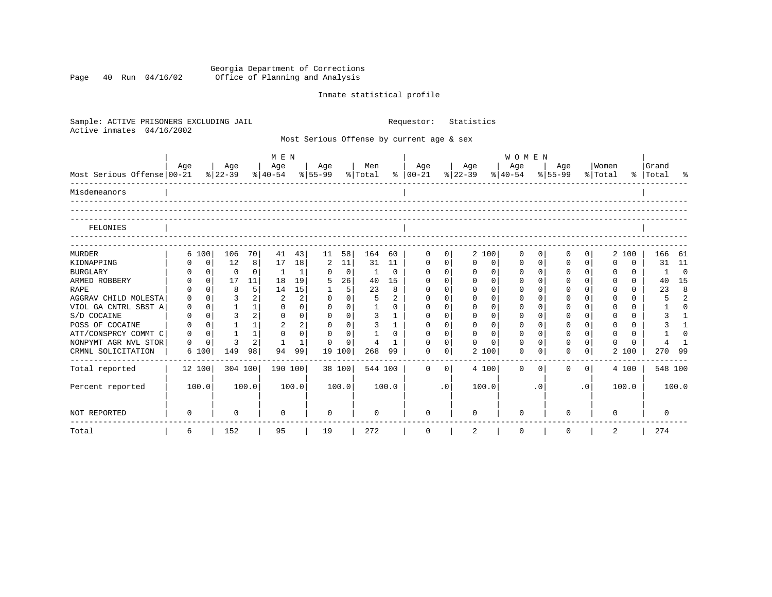Georgia Department of Corrections Page 40 Run 04/16/02 Office of Planning and Analysis

# Inmate statistical profile

| Sample: ACTIVE PRISONERS EXCLUDING JAIL<br>Active inmates<br>04/16/2002 |                      |                | Requestor:                 |                | Statistics                                |                |                |             |           |                                                                             |              |             |             |                |                         |                    |                |
|-------------------------------------------------------------------------|----------------------|----------------|----------------------------|----------------|-------------------------------------------|----------------|----------------|-------------|-----------|-----------------------------------------------------------------------------|--------------|-------------|-------------|----------------|-------------------------|--------------------|----------------|
|                                                                         |                      |                |                            |                | Most Serious Offense by current age & sex |                |                |             |           |                                                                             |              |             |             |                |                         |                    |                |
|                                                                         |                      |                | M E N                      |                |                                           |                |                |             |           |                                                                             | W O M E N    |             |             |                |                         |                    |                |
| Most Serious Offense 00-21                                              | Age                  | Age<br>% 22-39 | Age                        |                | Age                                       | Men            |                | Age         |           | Age<br>$ 40-54 \t  55-99 \t  Total \t  00-21 \t  22-39 \t  40-54 \t  55-99$ | Age          |             | Age         |                | Women<br>% Total        | Grand<br>%   Total |                |
| Misdemeanors                                                            |                      |                |                            |                |                                           |                |                |             |           |                                                                             |              |             |             |                |                         |                    |                |
| FELONIES                                                                |                      |                |                            |                |                                           |                |                |             |           |                                                                             |              |             |             |                |                         |                    |                |
| <b>MURDER</b>                                                           | 6 100                | 106            | 70<br>41                   | 43             | 11                                        | 164            | 60             | $\mathbf 0$ | 0         | 2 100                                                                       | 0            | $\mathbf 0$ | 0           | $\overline{0}$ | 2 100                   | 166 61             |                |
| KIDNAPPING                                                              | $\mathbf 0$<br>0     | 12             | 8<br>17                    | 18             | 58<br>11<br>2                             | 31             | 11             | $\mathbf 0$ | $\Omega$  | $\mathbf 0$<br>$\mathbf 0$                                                  | 0            | $\mathbf 0$ | $\mathbf 0$ | $\Omega$       | $\Omega$<br>$\Omega$    | 31<br>11           |                |
| <b>BURGLARY</b>                                                         | $\mathbf 0$<br>0     | $\mathbf 0$    | $\Omega$<br>-1             | $\mathbf{1}$   | $\mathbf 0$<br>$\Omega$                   | 1              | $\Omega$       | $\mathbf 0$ | $\Omega$  | $\Omega$<br>$\Omega$                                                        | $\mathbf 0$  | $\mathbf 0$ | $\Omega$    | $\Omega$       | $\mathbf 0$<br>$\Omega$ | 1                  | $\overline{0}$ |
| ARMED ROBBERY                                                           | 0 <sup>1</sup><br>0  | 17             | 11<br>18                   | 19             | 26<br>5                                   | 40             | 15             | $\mathbf 0$ | $\Omega$  | $\Omega$<br>$\Omega$                                                        | 0            | $\Omega$    | $\Omega$    | $\Omega$       | $\Omega$<br>$\Omega$    | 40 15              |                |
| <b>RAPE</b>                                                             | $\Omega$             | 8              | 5 <sup>1</sup><br>14       | 15             | 5<br>$\mathbf{1}$                         | 23             | 8              | $\Omega$    | $\Omega$  | $\Omega$<br>$\Omega$                                                        | 0            | $\Omega$    | $\Omega$    | $\Omega$       | $\Omega$<br>$\Omega$    | 23                 | 8              |
| AGGRAV CHILD MOLESTA                                                    | $\Omega$<br>0        | 3              | 2 <sup>1</sup><br>2        | $\overline{a}$ | $\Omega$<br>$\Omega$                      | 5              | $\overline{2}$ | $\mathbf 0$ | $\Omega$  | $\Omega$<br>$\Omega$                                                        | 0            | $\Omega$    | $\Omega$    | $\Omega$       | $\Omega$<br>$\Omega$    | 5                  | $\overline{a}$ |
| VIOL GA CNTRL SBST A                                                    | $\Omega$<br>0        | $\mathbf{1}$   | 1<br>$\Omega$              | $\Omega$       | $\Omega$<br>$\Omega$                      | $\mathbf{1}$   | $\Omega$       | $\Omega$    | $\Omega$  | $\Omega$<br>$\Omega$                                                        | $\Omega$     | $\Omega$    | $\Omega$    | $\Omega$       | $\Omega$<br>$\Omega$    | 1                  | $\Omega$       |
| S/D COCAINE                                                             | $\Omega$<br>$\Omega$ | 3              | 2 <br>$\Omega$             | $\Omega$       | $\Omega$<br>$\Omega$                      | 3              | $\mathbf{1}$   | $\Omega$    | $\Omega$  | $\Omega$<br>$\Omega$                                                        | $\Omega$     | $\Omega$    | $\Omega$    | $\Omega$       | $\Omega$<br>$\Omega$    | 3                  | $\mathbf{1}$   |
| POSS OF COCAINE                                                         | $\Omega$<br>$\Omega$ | $\mathbf{1}$   | 1<br>$\overline{2}$        | 2 <sup>1</sup> | $\Omega$<br>$\Omega$                      | 3              | $\mathbf{1}$   | $\Omega$    | $\Omega$  | $\Omega$<br>$\Omega$                                                        | $\Omega$     | $\Omega$    | $\Omega$    | $\Omega$       | $\Omega$<br>$\Omega$    |                    | $\mathbf{1}$   |
| ATT/CONSPRCY COMMT C                                                    | $\Omega$<br>$\Omega$ | $\mathbf{1}$   | 1 <sup>1</sup><br>$\Omega$ | $\Omega$       | $\Omega$<br>$\Omega$                      | $\mathbf{1}$   | $\cap$         | $\Omega$    | $\Omega$  | $\Omega$<br>$\Omega$                                                        | $\Omega$     | $\Omega$    | $\Omega$    | $\Omega$       | $\Omega$<br>$\Omega$    |                    | $\Omega$       |
| NONPYMT AGR NVL STOR                                                    | $\Omega$<br>$\Omega$ | ζ              | $\overline{2}$             | $\mathbf{1}$   | $\Omega$<br>$\Omega$                      | $\overline{4}$ | $\mathbf{1}$   | $\cap$      | $\Omega$  | $\Omega$<br>$\cap$                                                          | $\Omega$     | $\Omega$    | $\Omega$    | $\Omega$       | $\cap$<br>0             |                    | -1             |
| CRMNL SOLICITATION                                                      | 6 100                | 149            | 98<br>94                   | 99             | 19 100                                    | 268            | 99             | $\Omega$    | $\Omega$  | 2 100                                                                       | $\Omega$     | 0           | $\Omega$    | 0              | 2 100                   | 270                | 99             |
| Total reported                                                          | 12 100               | 304 100        | 190 100                    |                | 38 100                                    | 544 100        |                | $\Omega$    | $\Omega$  | 4 100                                                                       | $\Omega$     | $\Omega$    | $\Omega$    | 0 <sup>1</sup> | 4 100                   | 548 100            |                |
| Percent reported                                                        | 100.0                | 100.0          |                            | 100.0          | 100.0                                     |                | 100.0          |             | $\cdot$ 0 | 100.0                                                                       |              | $\cdot$ 0   |             | $\cdot$ 0      | 100.0                   | 100.0              |                |
| NOT REPORTED                                                            | $\Omega$             | 0              | $\Omega$                   |                | $\Omega$                                  | $\Omega$       |                |             |           | $\Omega$                                                                    | <sup>0</sup> |             | U           |                | $\Omega$                | $\Omega$           |                |
| Total                                                                   | 6                    | 152            | 95                         |                | 19                                        | 272            |                | 0           |           | 2                                                                           | 0            |             | 0           |                | 2                       | 274                |                |